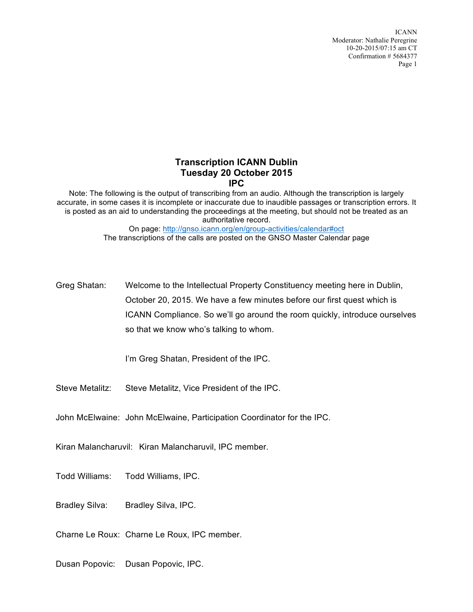## **Transcription ICANN Dublin Tuesday 20 October 2015 IPC**

Note: The following is the output of transcribing from an audio. Although the transcription is largely accurate, in some cases it is incomplete or inaccurate due to inaudible passages or transcription errors. It is posted as an aid to understanding the proceedings at the meeting, but should not be treated as an authoritative record. On page: http://gnso.icann.org/en/group-activities/calendar#oct The transcriptions of the calls are posted on the GNSO Master Calendar page

Greg Shatan: Welcome to the Intellectual Property Constituency meeting here in Dublin, October 20, 2015. We have a few minutes before our first quest which is ICANN Compliance. So we'll go around the room quickly, introduce ourselves so that we know who's talking to whom.

I'm Greg Shatan, President of the IPC.

Steve Metalitz: Steve Metalitz, Vice President of the IPC.

John McElwaine: John McElwaine, Participation Coordinator for the IPC.

Kiran Malancharuvil: Kiran Malancharuvil, IPC member.

Todd Williams: Todd Williams, IPC.

Bradley Silva: Bradley Silva, IPC.

Charne Le Roux: Charne Le Roux, IPC member.

Dusan Popovic: Dusan Popovic, IPC.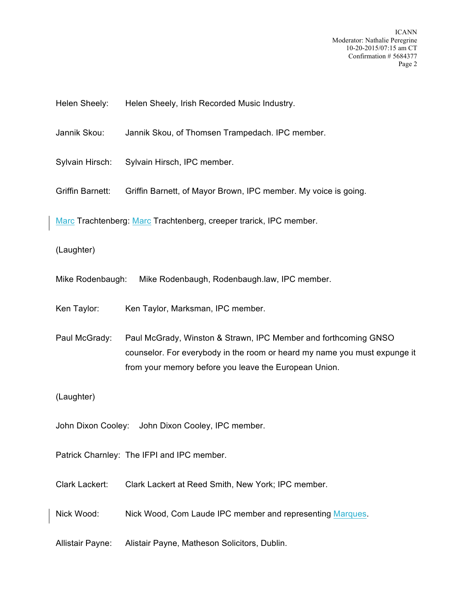Helen Sheely: Helen Sheely, Irish Recorded Music Industry.

Jannik Skou: Jannik Skou, of Thomsen Trampedach. IPC member.

Sylvain Hirsch: Sylvain Hirsch, IPC member.

Griffin Barnett: Griffin Barnett, of Mayor Brown, IPC member. My voice is going.

Marc Trachtenberg: Marc Trachtenberg, creeper trarick, IPC member.

(Laughter)

Mike Rodenbaugh: Mike Rodenbaugh, Rodenbaugh.law, IPC member.

Ken Taylor: Ken Taylor, Marksman, IPC member.

Paul McGrady: Paul McGrady, Winston & Strawn, IPC Member and forthcoming GNSO counselor. For everybody in the room or heard my name you must expunge it from your memory before you leave the European Union.

(Laughter)

John Dixon Cooley: John Dixon Cooley, IPC member.

Patrick Charnley: The IFPI and IPC member.

Clark Lackert: Clark Lackert at Reed Smith, New York; IPC member.

Nick Wood: Nick Wood, Com Laude IPC member and representing Marques.

Allistair Payne: Alistair Payne, Matheson Solicitors, Dublin.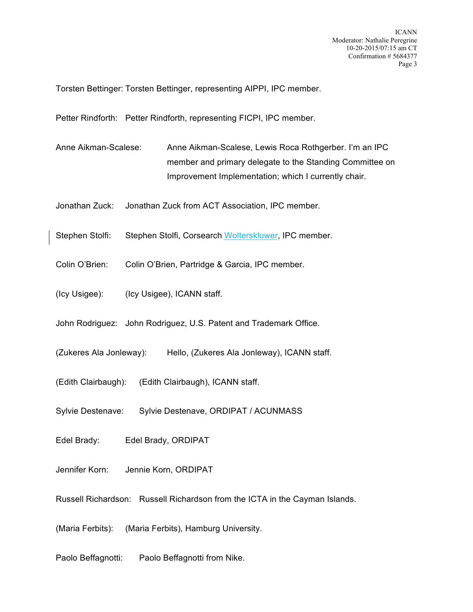Torsten Bettinger: Torsten Bettinger, representing AIPPI, IPC member.

Petter Rindforth: Petter Rindforth, representing FICPI, IPC member.

- Anne Aikman-Scalese: Anne Aikman-Scalese, Lewis Roca Rothgerber. I'm an IPC member and primary delegate to the Standing Committee on Improvement Implementation; which I currently chair.
- Jonathan Zuck: Jonathan Zuck from ACT Association, IPC member.
- Stephen Stolfi: Stephen Stolfi, Corsearch Wolterskluwer, IPC member.
- Colin O'Brien: Colin O'Brien, Partridge & Garcia, IPC member.
- (Icy Usigee): (Icy Usigee), ICANN staff.
- John Rodriguez: John Rodriguez, U.S. Patent and Trademark Office.
- (Zukeres Ala Jonleway): Hello, (Zukeres Ala Jonleway), ICANN staff.
- (Edith Clairbaugh): (Edith Clairbaugh), ICANN staff.
- Sylvie Destenave: Sylvie Destenave, ORDIPAT / ACUNMASS
- Edel Brady: Edel Brady, ORDIPAT
- Jennifer Korn: Jennie Korn, ORDIPAT
- Russell Richardson: Russell Richardson from the ICTA in the Cayman Islands.
- (Maria Ferbits): (Maria Ferbits), Hamburg University.
- Paolo Beffagnotti: Paolo Beffagnotti from Nike.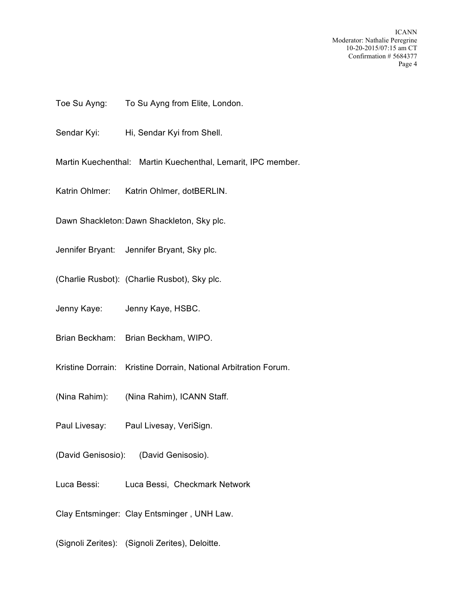- Toe Su Ayng: To Su Ayng from Elite, London.
- Sendar Kyi: Hi, Sendar Kyi from Shell.
- Martin Kuechenthal: Martin Kuechenthal, Lemarit, IPC member.
- Katrin Ohlmer: Katrin Ohlmer, dotBERLIN.
- Dawn Shackleton:Dawn Shackleton, Sky plc.
- Jennifer Bryant: Jennifer Bryant, Sky plc.
- (Charlie Rusbot): (Charlie Rusbot), Sky plc.
- Jenny Kaye: Jenny Kaye, HSBC.
- Brian Beckham: Brian Beckham, WIPO.
- Kristine Dorrain: Kristine Dorrain, National Arbitration Forum.
- (Nina Rahim): (Nina Rahim), ICANN Staff.
- Paul Livesay: Paul Livesay, VeriSign.
- (David Genisosio): (David Genisosio).
- Luca Bessi: Luca Bessi, Checkmark Network
- Clay Entsminger: Clay Entsminger , UNH Law.
- (Signoli Zerites): (Signoli Zerites), Deloitte.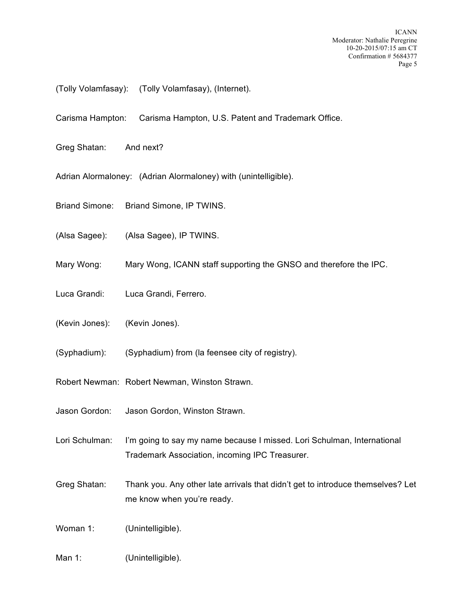- (Tolly Volamfasay): (Tolly Volamfasay), (Internet).
- Carisma Hampton: Carisma Hampton, U.S. Patent and Trademark Office.
- Greg Shatan: And next?
- Adrian Alormaloney: (Adrian Alormaloney) with (unintelligible).
- Briand Simone: Briand Simone, IP TWINS.
- (Alsa Sagee): (Alsa Sagee), IP TWINS.
- Mary Wong: Mary Wong, ICANN staff supporting the GNSO and therefore the IPC.
- Luca Grandi: Luca Grandi, Ferrero.
- (Kevin Jones): (Kevin Jones).
- (Syphadium): (Syphadium) from (la feensee city of registry).
- Robert Newman: Robert Newman, Winston Strawn.
- Jason Gordon: Jason Gordon, Winston Strawn.
- Lori Schulman: I'm going to say my name because I missed. Lori Schulman, International Trademark Association, incoming IPC Treasurer.
- Greg Shatan: Thank you. Any other late arrivals that didn't get to introduce themselves? Let me know when you're ready.

Woman 1: (Unintelligible).

Man 1: (Unintelligible).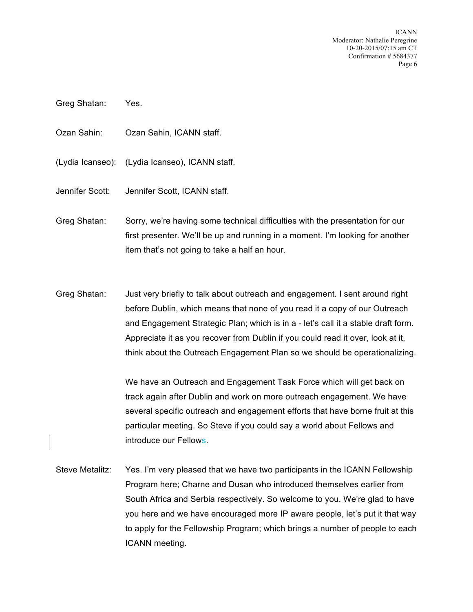- Greg Shatan: Yes.
- Ozan Sahin: Ozan Sahin, ICANN staff.
- (Lydia Icanseo): (Lydia Icanseo), ICANN staff.
- Jennifer Scott: Jennifer Scott, ICANN staff.
- Greg Shatan: Sorry, we're having some technical difficulties with the presentation for our first presenter. We'll be up and running in a moment. I'm looking for another item that's not going to take a half an hour.
- Greg Shatan: Just very briefly to talk about outreach and engagement. I sent around right before Dublin, which means that none of you read it a copy of our Outreach and Engagement Strategic Plan; which is in a - let's call it a stable draft form. Appreciate it as you recover from Dublin if you could read it over, look at it, think about the Outreach Engagement Plan so we should be operationalizing.

We have an Outreach and Engagement Task Force which will get back on track again after Dublin and work on more outreach engagement. We have several specific outreach and engagement efforts that have borne fruit at this particular meeting. So Steve if you could say a world about Fellows and introduce our Fellows.

Steve Metalitz: Yes. I'm very pleased that we have two participants in the ICANN Fellowship Program here; Charne and Dusan who introduced themselves earlier from South Africa and Serbia respectively. So welcome to you. We're glad to have you here and we have encouraged more IP aware people, let's put it that way to apply for the Fellowship Program; which brings a number of people to each ICANN meeting.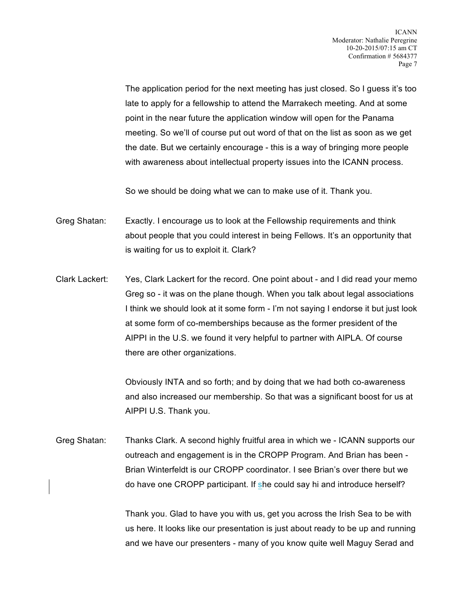The application period for the next meeting has just closed. So I guess it's too late to apply for a fellowship to attend the Marrakech meeting. And at some point in the near future the application window will open for the Panama meeting. So we'll of course put out word of that on the list as soon as we get the date. But we certainly encourage - this is a way of bringing more people with awareness about intellectual property issues into the ICANN process.

So we should be doing what we can to make use of it. Thank you.

Greg Shatan: Exactly. I encourage us to look at the Fellowship requirements and think about people that you could interest in being Fellows. It's an opportunity that is waiting for us to exploit it. Clark?

Clark Lackert: Yes, Clark Lackert for the record. One point about - and I did read your memo Greg so - it was on the plane though. When you talk about legal associations I think we should look at it some form - I'm not saying I endorse it but just look at some form of co-memberships because as the former president of the AIPPI in the U.S. we found it very helpful to partner with AIPLA. Of course there are other organizations.

> Obviously INTA and so forth; and by doing that we had both co-awareness and also increased our membership. So that was a significant boost for us at AIPPI U.S. Thank you.

Greg Shatan: Thanks Clark. A second highly fruitful area in which we - ICANN supports our outreach and engagement is in the CROPP Program. And Brian has been - Brian Winterfeldt is our CROPP coordinator. I see Brian's over there but we do have one CROPP participant. If she could say hi and introduce herself?

> Thank you. Glad to have you with us, get you across the Irish Sea to be with us here. It looks like our presentation is just about ready to be up and running and we have our presenters - many of you know quite well Maguy Serad and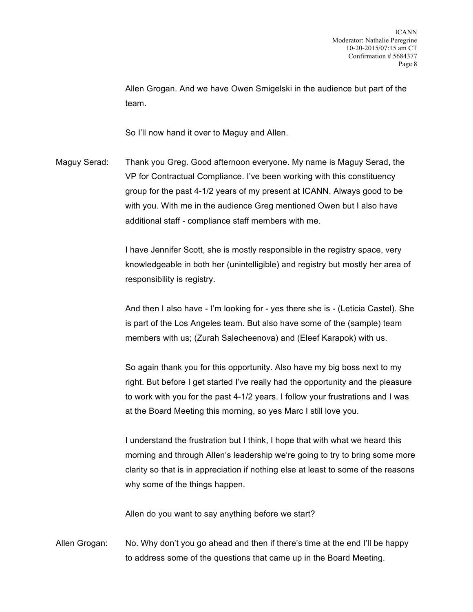Allen Grogan. And we have Owen Smigelski in the audience but part of the team.

So I'll now hand it over to Maguy and Allen.

Maguy Serad: Thank you Greg. Good afternoon everyone. My name is Maguy Serad, the VP for Contractual Compliance. I've been working with this constituency group for the past 4-1/2 years of my present at ICANN. Always good to be with you. With me in the audience Greg mentioned Owen but I also have additional staff - compliance staff members with me.

> I have Jennifer Scott, she is mostly responsible in the registry space, very knowledgeable in both her (unintelligible) and registry but mostly her area of responsibility is registry.

And then I also have - I'm looking for - yes there she is - (Leticia Castel). She is part of the Los Angeles team. But also have some of the (sample) team members with us; (Zurah Salecheenova) and (Eleef Karapok) with us.

So again thank you for this opportunity. Also have my big boss next to my right. But before I get started I've really had the opportunity and the pleasure to work with you for the past 4-1/2 years. I follow your frustrations and I was at the Board Meeting this morning, so yes Marc I still love you.

I understand the frustration but I think, I hope that with what we heard this morning and through Allen's leadership we're going to try to bring some more clarity so that is in appreciation if nothing else at least to some of the reasons why some of the things happen.

Allen do you want to say anything before we start?

Allen Grogan: No. Why don't you go ahead and then if there's time at the end I'll be happy to address some of the questions that came up in the Board Meeting.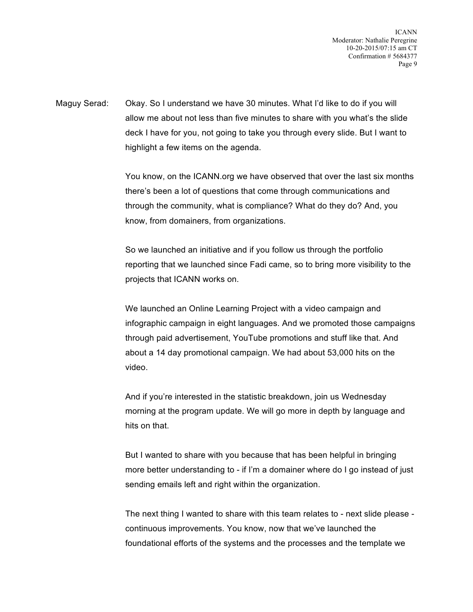Maguy Serad: Okay. So I understand we have 30 minutes. What I'd like to do if you will allow me about not less than five minutes to share with you what's the slide deck I have for you, not going to take you through every slide. But I want to highlight a few items on the agenda.

> You know, on the ICANN.org we have observed that over the last six months there's been a lot of questions that come through communications and through the community, what is compliance? What do they do? And, you know, from domainers, from organizations.

> So we launched an initiative and if you follow us through the portfolio reporting that we launched since Fadi came, so to bring more visibility to the projects that ICANN works on.

We launched an Online Learning Project with a video campaign and infographic campaign in eight languages. And we promoted those campaigns through paid advertisement, YouTube promotions and stuff like that. And about a 14 day promotional campaign. We had about 53,000 hits on the video.

And if you're interested in the statistic breakdown, join us Wednesday morning at the program update. We will go more in depth by language and hits on that.

But I wanted to share with you because that has been helpful in bringing more better understanding to - if I'm a domainer where do I go instead of just sending emails left and right within the organization.

The next thing I wanted to share with this team relates to - next slide please continuous improvements. You know, now that we've launched the foundational efforts of the systems and the processes and the template we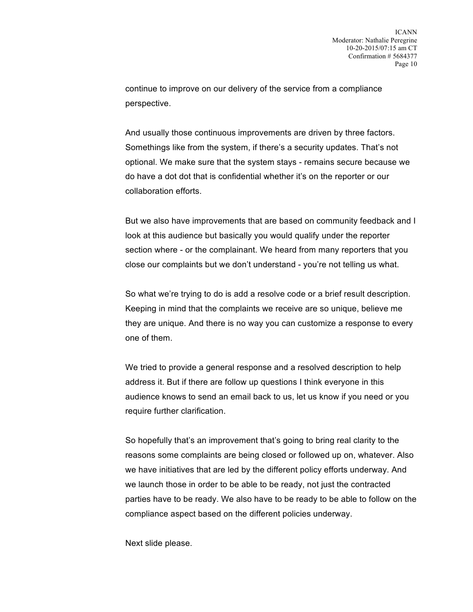continue to improve on our delivery of the service from a compliance perspective.

And usually those continuous improvements are driven by three factors. Somethings like from the system, if there's a security updates. That's not optional. We make sure that the system stays - remains secure because we do have a dot dot that is confidential whether it's on the reporter or our collaboration efforts.

But we also have improvements that are based on community feedback and I look at this audience but basically you would qualify under the reporter section where - or the complainant. We heard from many reporters that you close our complaints but we don't understand - you're not telling us what.

So what we're trying to do is add a resolve code or a brief result description. Keeping in mind that the complaints we receive are so unique, believe me they are unique. And there is no way you can customize a response to every one of them.

We tried to provide a general response and a resolved description to help address it. But if there are follow up questions I think everyone in this audience knows to send an email back to us, let us know if you need or you require further clarification.

So hopefully that's an improvement that's going to bring real clarity to the reasons some complaints are being closed or followed up on, whatever. Also we have initiatives that are led by the different policy efforts underway. And we launch those in order to be able to be ready, not just the contracted parties have to be ready. We also have to be ready to be able to follow on the compliance aspect based on the different policies underway.

Next slide please.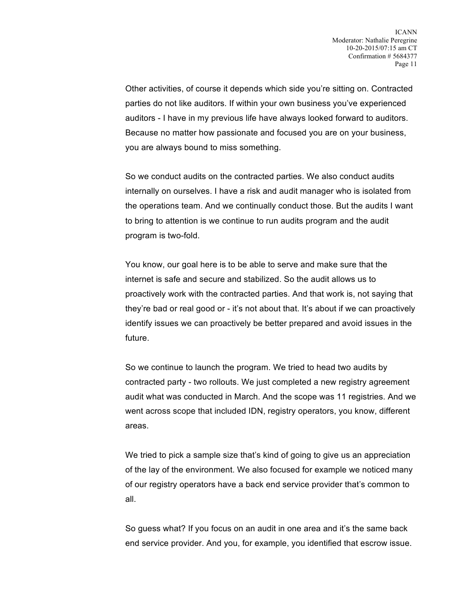Other activities, of course it depends which side you're sitting on. Contracted parties do not like auditors. If within your own business you've experienced auditors - I have in my previous life have always looked forward to auditors. Because no matter how passionate and focused you are on your business, you are always bound to miss something.

So we conduct audits on the contracted parties. We also conduct audits internally on ourselves. I have a risk and audit manager who is isolated from the operations team. And we continually conduct those. But the audits I want to bring to attention is we continue to run audits program and the audit program is two-fold.

You know, our goal here is to be able to serve and make sure that the internet is safe and secure and stabilized. So the audit allows us to proactively work with the contracted parties. And that work is, not saying that they're bad or real good or - it's not about that. It's about if we can proactively identify issues we can proactively be better prepared and avoid issues in the future.

So we continue to launch the program. We tried to head two audits by contracted party - two rollouts. We just completed a new registry agreement audit what was conducted in March. And the scope was 11 registries. And we went across scope that included IDN, registry operators, you know, different areas.

We tried to pick a sample size that's kind of going to give us an appreciation of the lay of the environment. We also focused for example we noticed many of our registry operators have a back end service provider that's common to all.

So guess what? If you focus on an audit in one area and it's the same back end service provider. And you, for example, you identified that escrow issue.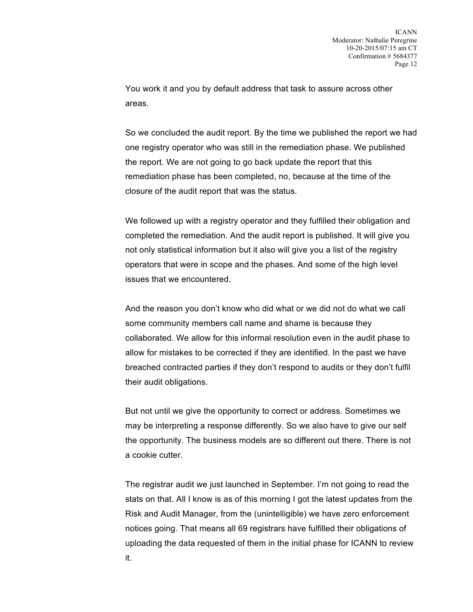You work it and you by default address that task to assure across other areas.

So we concluded the audit report. By the time we published the report we had one registry operator who was still in the remediation phase. We published the report. We are not going to go back update the report that this remediation phase has been completed, no, because at the time of the closure of the audit report that was the status.

We followed up with a registry operator and they fulfilled their obligation and completed the remediation. And the audit report is published. It will give you not only statistical information but it also will give you a list of the registry operators that were in scope and the phases. And some of the high level issues that we encountered.

And the reason you don't know who did what or we did not do what we call some community members call name and shame is because they collaborated. We allow for this informal resolution even in the audit phase to allow for mistakes to be corrected if they are identified. In the past we have breached contracted parties if they don't respond to audits or they don't fulfil their audit obligations.

But not until we give the opportunity to correct or address. Sometimes we may be interpreting a response differently. So we also have to give our self the opportunity. The business models are so different out there. There is not a cookie cutter.

The registrar audit we just launched in September. I'm not going to read the stats on that. All I know is as of this morning I got the latest updates from the Risk and Audit Manager, from the (unintelligible) we have zero enforcement notices going. That means all 69 registrars have fulfilled their obligations of uploading the data requested of them in the initial phase for ICANN to review it.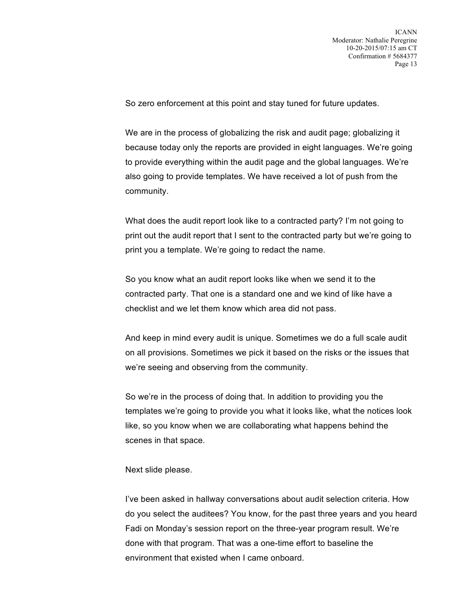So zero enforcement at this point and stay tuned for future updates.

We are in the process of globalizing the risk and audit page; globalizing it because today only the reports are provided in eight languages. We're going to provide everything within the audit page and the global languages. We're also going to provide templates. We have received a lot of push from the community.

What does the audit report look like to a contracted party? I'm not going to print out the audit report that I sent to the contracted party but we're going to print you a template. We're going to redact the name.

So you know what an audit report looks like when we send it to the contracted party. That one is a standard one and we kind of like have a checklist and we let them know which area did not pass.

And keep in mind every audit is unique. Sometimes we do a full scale audit on all provisions. Sometimes we pick it based on the risks or the issues that we're seeing and observing from the community.

So we're in the process of doing that. In addition to providing you the templates we're going to provide you what it looks like, what the notices look like, so you know when we are collaborating what happens behind the scenes in that space.

## Next slide please.

I've been asked in hallway conversations about audit selection criteria. How do you select the auditees? You know, for the past three years and you heard Fadi on Monday's session report on the three-year program result. We're done with that program. That was a one-time effort to baseline the environment that existed when I came onboard.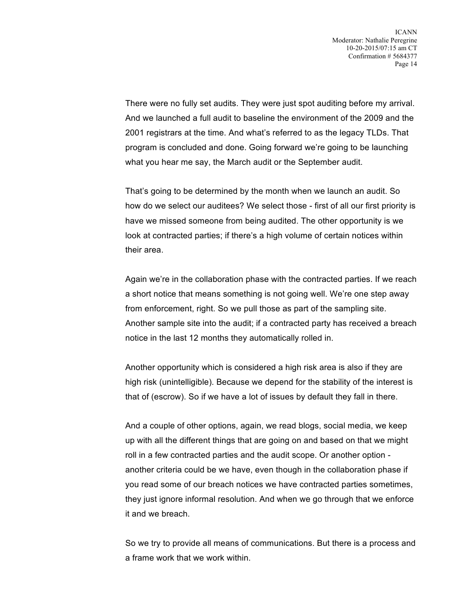There were no fully set audits. They were just spot auditing before my arrival. And we launched a full audit to baseline the environment of the 2009 and the 2001 registrars at the time. And what's referred to as the legacy TLDs. That program is concluded and done. Going forward we're going to be launching what you hear me say, the March audit or the September audit.

That's going to be determined by the month when we launch an audit. So how do we select our auditees? We select those - first of all our first priority is have we missed someone from being audited. The other opportunity is we look at contracted parties; if there's a high volume of certain notices within their area.

Again we're in the collaboration phase with the contracted parties. If we reach a short notice that means something is not going well. We're one step away from enforcement, right. So we pull those as part of the sampling site. Another sample site into the audit; if a contracted party has received a breach notice in the last 12 months they automatically rolled in.

Another opportunity which is considered a high risk area is also if they are high risk (unintelligible). Because we depend for the stability of the interest is that of (escrow). So if we have a lot of issues by default they fall in there.

And a couple of other options, again, we read blogs, social media, we keep up with all the different things that are going on and based on that we might roll in a few contracted parties and the audit scope. Or another option another criteria could be we have, even though in the collaboration phase if you read some of our breach notices we have contracted parties sometimes, they just ignore informal resolution. And when we go through that we enforce it and we breach.

So we try to provide all means of communications. But there is a process and a frame work that we work within.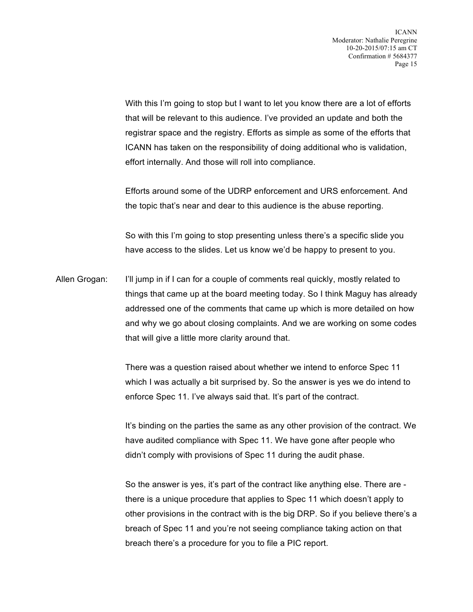With this I'm going to stop but I want to let you know there are a lot of efforts that will be relevant to this audience. I've provided an update and both the registrar space and the registry. Efforts as simple as some of the efforts that ICANN has taken on the responsibility of doing additional who is validation, effort internally. And those will roll into compliance.

Efforts around some of the UDRP enforcement and URS enforcement. And the topic that's near and dear to this audience is the abuse reporting.

So with this I'm going to stop presenting unless there's a specific slide you have access to the slides. Let us know we'd be happy to present to you.

Allen Grogan: I'll jump in if I can for a couple of comments real quickly, mostly related to things that came up at the board meeting today. So I think Maguy has already addressed one of the comments that came up which is more detailed on how and why we go about closing complaints. And we are working on some codes that will give a little more clarity around that.

> There was a question raised about whether we intend to enforce Spec 11 which I was actually a bit surprised by. So the answer is yes we do intend to enforce Spec 11. I've always said that. It's part of the contract.

It's binding on the parties the same as any other provision of the contract. We have audited compliance with Spec 11. We have gone after people who didn't comply with provisions of Spec 11 during the audit phase.

So the answer is yes, it's part of the contract like anything else. There are there is a unique procedure that applies to Spec 11 which doesn't apply to other provisions in the contract with is the big DRP. So if you believe there's a breach of Spec 11 and you're not seeing compliance taking action on that breach there's a procedure for you to file a PIC report.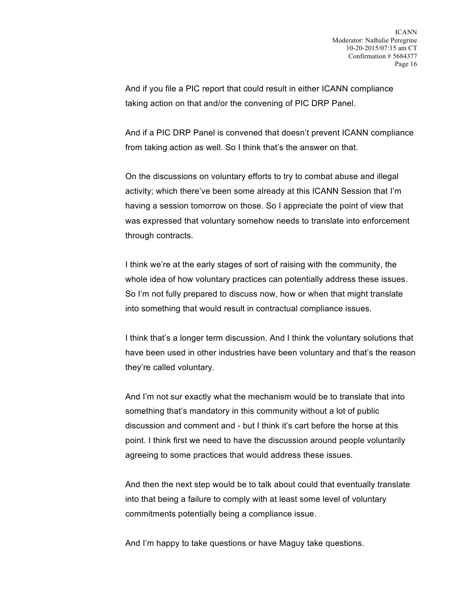And if you file a PIC report that could result in either ICANN compliance taking action on that and/or the convening of PIC DRP Panel.

And if a PIC DRP Panel is convened that doesn't prevent ICANN compliance from taking action as well. So I think that's the answer on that.

On the discussions on voluntary efforts to try to combat abuse and illegal activity; which there've been some already at this ICANN Session that I'm having a session tomorrow on those. So I appreciate the point of view that was expressed that voluntary somehow needs to translate into enforcement through contracts.

I think we're at the early stages of sort of raising with the community, the whole idea of how voluntary practices can potentially address these issues. So I'm not fully prepared to discuss now, how or when that might translate into something that would result in contractual compliance issues.

I think that's a longer term discussion. And I think the voluntary solutions that have been used in other industries have been voluntary and that's the reason they're called voluntary.

And I'm not sur exactly what the mechanism would be to translate that into something that's mandatory in this community without a lot of public discussion and comment and - but I think it's cart before the horse at this point. I think first we need to have the discussion around people voluntarily agreeing to some practices that would address these issues.

And then the next step would be to talk about could that eventually translate into that being a failure to comply with at least some level of voluntary commitments potentially being a compliance issue.

And I'm happy to take questions or have Maguy take questions.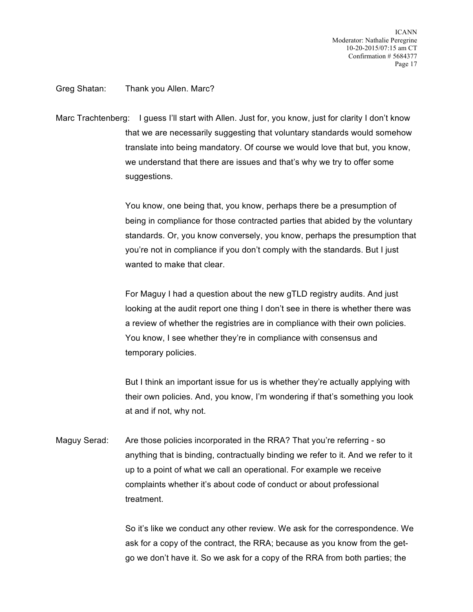Greg Shatan: Thank you Allen. Marc?

Marc Trachtenberg: I guess I'll start with Allen. Just for, you know, just for clarity I don't know that we are necessarily suggesting that voluntary standards would somehow translate into being mandatory. Of course we would love that but, you know, we understand that there are issues and that's why we try to offer some suggestions.

> You know, one being that, you know, perhaps there be a presumption of being in compliance for those contracted parties that abided by the voluntary standards. Or, you know conversely, you know, perhaps the presumption that you're not in compliance if you don't comply with the standards. But I just wanted to make that clear.

For Maguy I had a question about the new gTLD registry audits. And just looking at the audit report one thing I don't see in there is whether there was a review of whether the registries are in compliance with their own policies. You know, I see whether they're in compliance with consensus and temporary policies.

But I think an important issue for us is whether they're actually applying with their own policies. And, you know, I'm wondering if that's something you look at and if not, why not.

Maguy Serad: Are those policies incorporated in the RRA? That you're referring - so anything that is binding, contractually binding we refer to it. And we refer to it up to a point of what we call an operational. For example we receive complaints whether it's about code of conduct or about professional treatment.

> So it's like we conduct any other review. We ask for the correspondence. We ask for a copy of the contract, the RRA; because as you know from the getgo we don't have it. So we ask for a copy of the RRA from both parties; the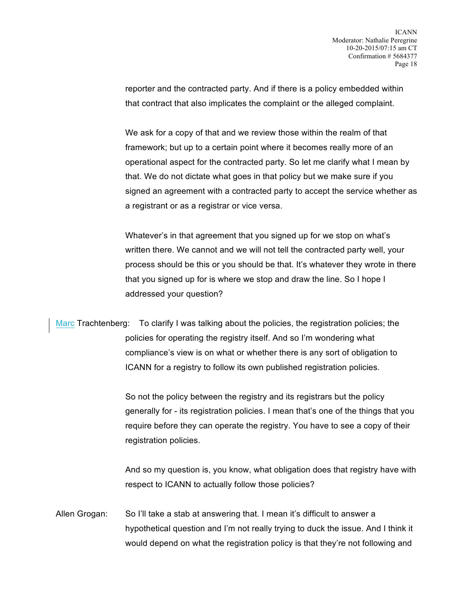reporter and the contracted party. And if there is a policy embedded within that contract that also implicates the complaint or the alleged complaint.

We ask for a copy of that and we review those within the realm of that framework; but up to a certain point where it becomes really more of an operational aspect for the contracted party. So let me clarify what I mean by that. We do not dictate what goes in that policy but we make sure if you signed an agreement with a contracted party to accept the service whether as a registrant or as a registrar or vice versa.

Whatever's in that agreement that you signed up for we stop on what's written there. We cannot and we will not tell the contracted party well, your process should be this or you should be that. It's whatever they wrote in there that you signed up for is where we stop and draw the line. So I hope I addressed your question?

Marc Trachtenberg: To clarify I was talking about the policies, the registration policies; the policies for operating the registry itself. And so I'm wondering what compliance's view is on what or whether there is any sort of obligation to ICANN for a registry to follow its own published registration policies.

> So not the policy between the registry and its registrars but the policy generally for - its registration policies. I mean that's one of the things that you require before they can operate the registry. You have to see a copy of their registration policies.

> And so my question is, you know, what obligation does that registry have with respect to ICANN to actually follow those policies?

Allen Grogan: So I'll take a stab at answering that. I mean it's difficult to answer a hypothetical question and I'm not really trying to duck the issue. And I think it would depend on what the registration policy is that they're not following and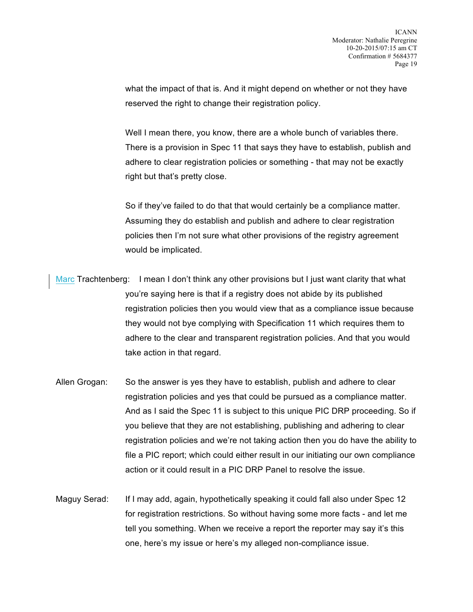what the impact of that is. And it might depend on whether or not they have reserved the right to change their registration policy.

Well I mean there, you know, there are a whole bunch of variables there. There is a provision in Spec 11 that says they have to establish, publish and adhere to clear registration policies or something - that may not be exactly right but that's pretty close.

So if they've failed to do that that would certainly be a compliance matter. Assuming they do establish and publish and adhere to clear registration policies then I'm not sure what other provisions of the registry agreement would be implicated.

- Marc Trachtenberg: I mean I don't think any other provisions but I just want clarity that what you're saying here is that if a registry does not abide by its published registration policies then you would view that as a compliance issue because they would not bye complying with Specification 11 which requires them to adhere to the clear and transparent registration policies. And that you would take action in that regard.
- Allen Grogan: So the answer is yes they have to establish, publish and adhere to clear registration policies and yes that could be pursued as a compliance matter. And as I said the Spec 11 is subject to this unique PIC DRP proceeding. So if you believe that they are not establishing, publishing and adhering to clear registration policies and we're not taking action then you do have the ability to file a PIC report; which could either result in our initiating our own compliance action or it could result in a PIC DRP Panel to resolve the issue.
- Maguy Serad: If I may add, again, hypothetically speaking it could fall also under Spec 12 for registration restrictions. So without having some more facts - and let me tell you something. When we receive a report the reporter may say it's this one, here's my issue or here's my alleged non-compliance issue.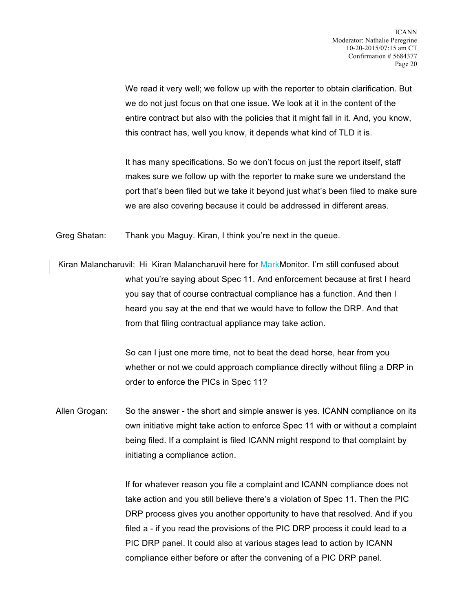We read it very well; we follow up with the reporter to obtain clarification. But we do not just focus on that one issue. We look at it in the content of the entire contract but also with the policies that it might fall in it. And, you know, this contract has, well you know, it depends what kind of TLD it is.

It has many specifications. So we don't focus on just the report itself, staff makes sure we follow up with the reporter to make sure we understand the port that's been filed but we take it beyond just what's been filed to make sure we are also covering because it could be addressed in different areas.

Greg Shatan: Thank you Maguy. Kiran, I think you're next in the queue.

Kiran Malancharuvil: Hi Kiran Malancharuvil here for MarkMonitor. I'm still confused about what you're saying about Spec 11. And enforcement because at first I heard you say that of course contractual compliance has a function. And then I heard you say at the end that we would have to follow the DRP. And that from that filing contractual appliance may take action.

> So can I just one more time, not to beat the dead horse, hear from you whether or not we could approach compliance directly without filing a DRP in order to enforce the PICs in Spec 11?

Allen Grogan: So the answer - the short and simple answer is yes. ICANN compliance on its own initiative might take action to enforce Spec 11 with or without a complaint being filed. If a complaint is filed ICANN might respond to that complaint by initiating a compliance action.

> If for whatever reason you file a complaint and ICANN compliance does not take action and you still believe there's a violation of Spec 11. Then the PIC DRP process gives you another opportunity to have that resolved. And if you filed a - if you read the provisions of the PIC DRP process it could lead to a PIC DRP panel. It could also at various stages lead to action by ICANN compliance either before or after the convening of a PIC DRP panel.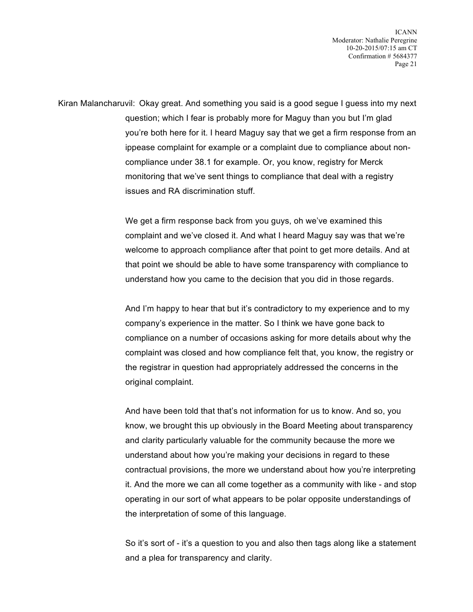Kiran Malancharuvil: Okay great. And something you said is a good segue I guess into my next question; which I fear is probably more for Maguy than you but I'm glad you're both here for it. I heard Maguy say that we get a firm response from an ippease complaint for example or a complaint due to compliance about noncompliance under 38.1 for example. Or, you know, registry for Merck monitoring that we've sent things to compliance that deal with a registry issues and RA discrimination stuff.

> We get a firm response back from you guys, oh we've examined this complaint and we've closed it. And what I heard Maguy say was that we're welcome to approach compliance after that point to get more details. And at that point we should be able to have some transparency with compliance to understand how you came to the decision that you did in those regards.

And I'm happy to hear that but it's contradictory to my experience and to my company's experience in the matter. So I think we have gone back to compliance on a number of occasions asking for more details about why the complaint was closed and how compliance felt that, you know, the registry or the registrar in question had appropriately addressed the concerns in the original complaint.

And have been told that that's not information for us to know. And so, you know, we brought this up obviously in the Board Meeting about transparency and clarity particularly valuable for the community because the more we understand about how you're making your decisions in regard to these contractual provisions, the more we understand about how you're interpreting it. And the more we can all come together as a community with like - and stop operating in our sort of what appears to be polar opposite understandings of the interpretation of some of this language.

So it's sort of - it's a question to you and also then tags along like a statement and a plea for transparency and clarity.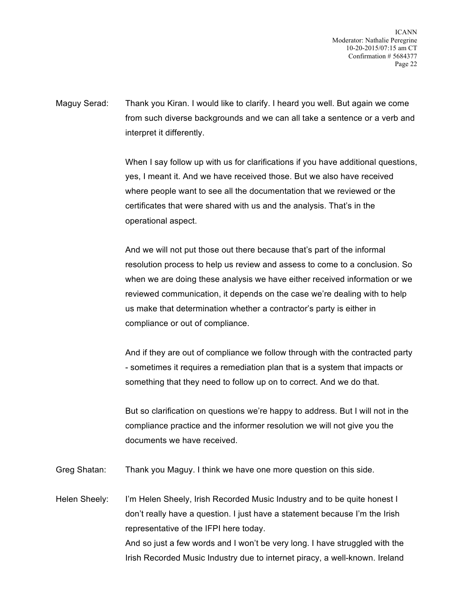Maguy Serad: Thank you Kiran. I would like to clarify. I heard you well. But again we come from such diverse backgrounds and we can all take a sentence or a verb and interpret it differently.

> When I say follow up with us for clarifications if you have additional questions, yes, I meant it. And we have received those. But we also have received where people want to see all the documentation that we reviewed or the certificates that were shared with us and the analysis. That's in the operational aspect.

And we will not put those out there because that's part of the informal resolution process to help us review and assess to come to a conclusion. So when we are doing these analysis we have either received information or we reviewed communication, it depends on the case we're dealing with to help us make that determination whether a contractor's party is either in compliance or out of compliance.

And if they are out of compliance we follow through with the contracted party - sometimes it requires a remediation plan that is a system that impacts or something that they need to follow up on to correct. And we do that.

But so clarification on questions we're happy to address. But I will not in the compliance practice and the informer resolution we will not give you the documents we have received.

Greg Shatan: Thank you Maguy. I think we have one more question on this side.

Helen Sheely: I'm Helen Sheely, Irish Recorded Music Industry and to be quite honest I don't really have a question. I just have a statement because I'm the Irish representative of the IFPI here today. And so just a few words and I won't be very long. I have struggled with the Irish Recorded Music Industry due to internet piracy, a well-known. Ireland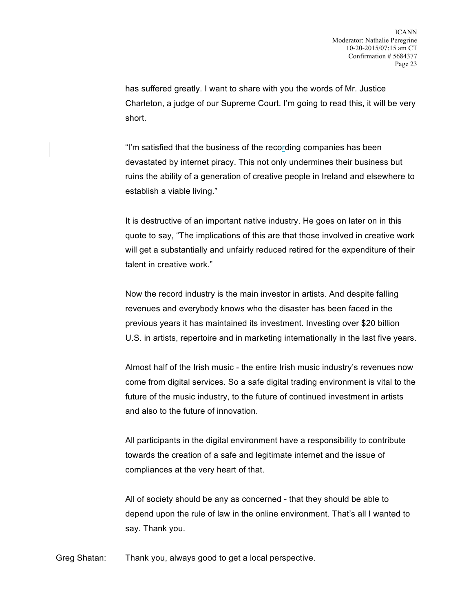has suffered greatly. I want to share with you the words of Mr. Justice Charleton, a judge of our Supreme Court. I'm going to read this, it will be very short.

"I'm satisfied that the business of the recording companies has been devastated by internet piracy. This not only undermines their business but ruins the ability of a generation of creative people in Ireland and elsewhere to establish a viable living."

It is destructive of an important native industry. He goes on later on in this quote to say, "The implications of this are that those involved in creative work will get a substantially and unfairly reduced retired for the expenditure of their talent in creative work."

Now the record industry is the main investor in artists. And despite falling revenues and everybody knows who the disaster has been faced in the previous years it has maintained its investment. Investing over \$20 billion U.S. in artists, repertoire and in marketing internationally in the last five years.

Almost half of the Irish music - the entire Irish music industry's revenues now come from digital services. So a safe digital trading environment is vital to the future of the music industry, to the future of continued investment in artists and also to the future of innovation.

All participants in the digital environment have a responsibility to contribute towards the creation of a safe and legitimate internet and the issue of compliances at the very heart of that.

All of society should be any as concerned - that they should be able to depend upon the rule of law in the online environment. That's all I wanted to say. Thank you.

Greg Shatan: Thank you, always good to get a local perspective.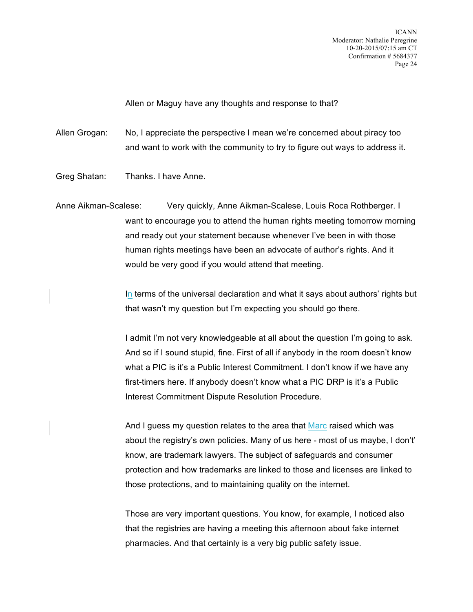Allen or Maguy have any thoughts and response to that?

Allen Grogan: No, I appreciate the perspective I mean we're concerned about piracy too and want to work with the community to try to figure out ways to address it.

Greg Shatan: Thanks. I have Anne.

Anne Aikman-Scalese: Very quickly, Anne Aikman-Scalese, Louis Roca Rothberger. I want to encourage you to attend the human rights meeting tomorrow morning and ready out your statement because whenever I've been in with those human rights meetings have been an advocate of author's rights. And it would be very good if you would attend that meeting.

> In terms of the universal declaration and what it says about authors' rights but that wasn't my question but I'm expecting you should go there.

I admit I'm not very knowledgeable at all about the question I'm going to ask. And so if I sound stupid, fine. First of all if anybody in the room doesn't know what a PIC is it's a Public Interest Commitment. I don't know if we have any first-timers here. If anybody doesn't know what a PIC DRP is it's a Public Interest Commitment Dispute Resolution Procedure.

And I guess my question relates to the area that Marc raised which was about the registry's own policies. Many of us here - most of us maybe, I don't' know, are trademark lawyers. The subject of safeguards and consumer protection and how trademarks are linked to those and licenses are linked to those protections, and to maintaining quality on the internet.

Those are very important questions. You know, for example, I noticed also that the registries are having a meeting this afternoon about fake internet pharmacies. And that certainly is a very big public safety issue.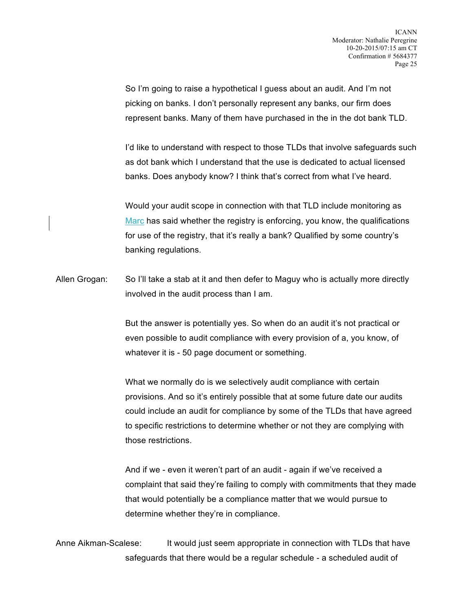So I'm going to raise a hypothetical I guess about an audit. And I'm not picking on banks. I don't personally represent any banks, our firm does represent banks. Many of them have purchased in the in the dot bank TLD.

I'd like to understand with respect to those TLDs that involve safeguards such as dot bank which I understand that the use is dedicated to actual licensed banks. Does anybody know? I think that's correct from what I've heard.

Would your audit scope in connection with that TLD include monitoring as Marc has said whether the registry is enforcing, you know, the qualifications for use of the registry, that it's really a bank? Qualified by some country's banking regulations.

Allen Grogan: So I'll take a stab at it and then defer to Maguy who is actually more directly involved in the audit process than I am.

> But the answer is potentially yes. So when do an audit it's not practical or even possible to audit compliance with every provision of a, you know, of whatever it is - 50 page document or something.

What we normally do is we selectively audit compliance with certain provisions. And so it's entirely possible that at some future date our audits could include an audit for compliance by some of the TLDs that have agreed to specific restrictions to determine whether or not they are complying with those restrictions.

And if we - even it weren't part of an audit - again if we've received a complaint that said they're failing to comply with commitments that they made that would potentially be a compliance matter that we would pursue to determine whether they're in compliance.

Anne Aikman-Scalese: It would just seem appropriate in connection with TLDs that have safeguards that there would be a regular schedule - a scheduled audit of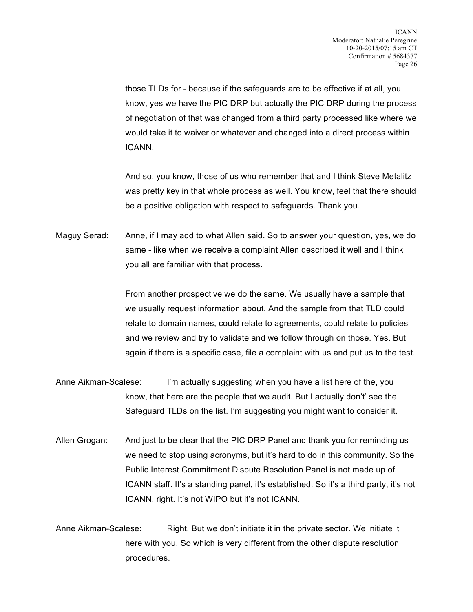those TLDs for - because if the safeguards are to be effective if at all, you know, yes we have the PIC DRP but actually the PIC DRP during the process of negotiation of that was changed from a third party processed like where we would take it to waiver or whatever and changed into a direct process within ICANN.

And so, you know, those of us who remember that and I think Steve Metalitz was pretty key in that whole process as well. You know, feel that there should be a positive obligation with respect to safeguards. Thank you.

Maguy Serad: Anne, if I may add to what Allen said. So to answer your question, yes, we do same - like when we receive a complaint Allen described it well and I think you all are familiar with that process.

> From another prospective we do the same. We usually have a sample that we usually request information about. And the sample from that TLD could relate to domain names, could relate to agreements, could relate to policies and we review and try to validate and we follow through on those. Yes. But again if there is a specific case, file a complaint with us and put us to the test.

- Anne Aikman-Scalese: I'm actually suggesting when you have a list here of the, you know, that here are the people that we audit. But I actually don't' see the Safeguard TLDs on the list. I'm suggesting you might want to consider it.
- Allen Grogan: And just to be clear that the PIC DRP Panel and thank you for reminding us we need to stop using acronyms, but it's hard to do in this community. So the Public Interest Commitment Dispute Resolution Panel is not made up of ICANN staff. It's a standing panel, it's established. So it's a third party, it's not ICANN, right. It's not WIPO but it's not ICANN.

Anne Aikman-Scalese: Right. But we don't initiate it in the private sector. We initiate it here with you. So which is very different from the other dispute resolution procedures.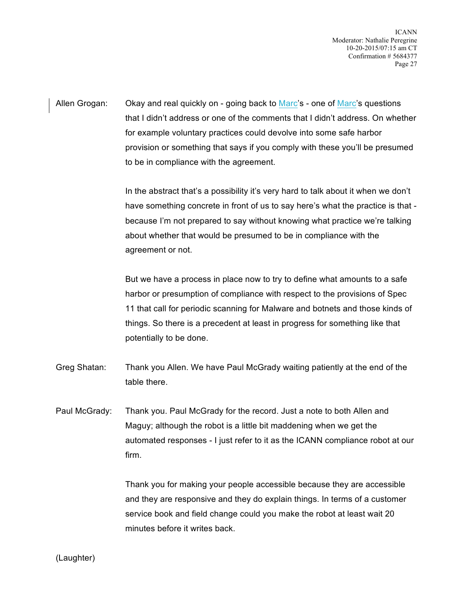Allen Grogan: Okay and real quickly on - going back to Marc's - one of Marc's questions that I didn't address or one of the comments that I didn't address. On whether for example voluntary practices could devolve into some safe harbor provision or something that says if you comply with these you'll be presumed to be in compliance with the agreement.

> In the abstract that's a possibility it's very hard to talk about it when we don't have something concrete in front of us to say here's what the practice is that because I'm not prepared to say without knowing what practice we're talking about whether that would be presumed to be in compliance with the agreement or not.

But we have a process in place now to try to define what amounts to a safe harbor or presumption of compliance with respect to the provisions of Spec 11 that call for periodic scanning for Malware and botnets and those kinds of things. So there is a precedent at least in progress for something like that potentially to be done.

- Greg Shatan: Thank you Allen. We have Paul McGrady waiting patiently at the end of the table there.
- Paul McGrady: Thank you. Paul McGrady for the record. Just a note to both Allen and Maguy; although the robot is a little bit maddening when we get the automated responses - I just refer to it as the ICANN compliance robot at our firm.

Thank you for making your people accessible because they are accessible and they are responsive and they do explain things. In terms of a customer service book and field change could you make the robot at least wait 20 minutes before it writes back.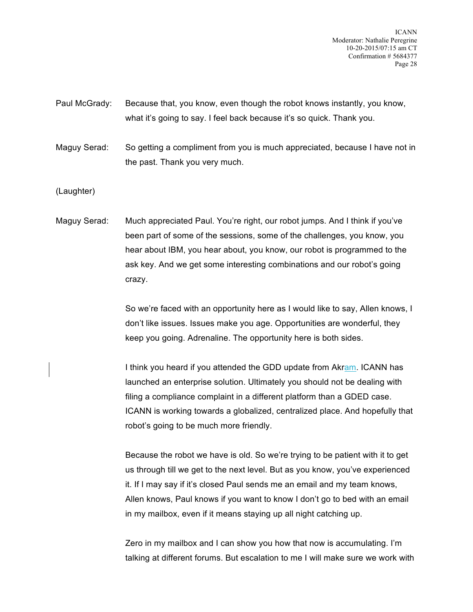Paul McGrady: Because that, you know, even though the robot knows instantly, you know, what it's going to say. I feel back because it's so quick. Thank you.

Maguy Serad: So getting a compliment from you is much appreciated, because I have not in the past. Thank you very much.

(Laughter)

Maguy Serad: Much appreciated Paul. You're right, our robot jumps. And I think if you've been part of some of the sessions, some of the challenges, you know, you hear about IBM, you hear about, you know, our robot is programmed to the ask key. And we get some interesting combinations and our robot's going crazy.

> So we're faced with an opportunity here as I would like to say, Allen knows, I don't like issues. Issues make you age. Opportunities are wonderful, they keep you going. Adrenaline. The opportunity here is both sides.

> I think you heard if you attended the GDD update from Akram. ICANN has launched an enterprise solution. Ultimately you should not be dealing with filing a compliance complaint in a different platform than a GDED case. ICANN is working towards a globalized, centralized place. And hopefully that robot's going to be much more friendly.

Because the robot we have is old. So we're trying to be patient with it to get us through till we get to the next level. But as you know, you've experienced it. If I may say if it's closed Paul sends me an email and my team knows, Allen knows, Paul knows if you want to know I don't go to bed with an email in my mailbox, even if it means staying up all night catching up.

Zero in my mailbox and I can show you how that now is accumulating. I'm talking at different forums. But escalation to me I will make sure we work with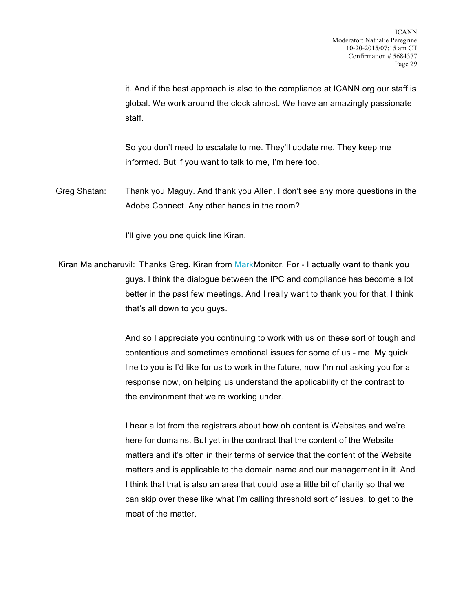it. And if the best approach is also to the compliance at ICANN.org our staff is global. We work around the clock almost. We have an amazingly passionate staff.

So you don't need to escalate to me. They'll update me. They keep me informed. But if you want to talk to me, I'm here too.

Greg Shatan: Thank you Maguy. And thank you Allen. I don't see any more questions in the Adobe Connect. Any other hands in the room?

I'll give you one quick line Kiran.

Kiran Malancharuvil: Thanks Greg. Kiran from MarkMonitor. For - I actually want to thank you guys. I think the dialogue between the IPC and compliance has become a lot better in the past few meetings. And I really want to thank you for that. I think that's all down to you guys.

> And so I appreciate you continuing to work with us on these sort of tough and contentious and sometimes emotional issues for some of us - me. My quick line to you is I'd like for us to work in the future, now I'm not asking you for a response now, on helping us understand the applicability of the contract to the environment that we're working under.

> I hear a lot from the registrars about how oh content is Websites and we're here for domains. But yet in the contract that the content of the Website matters and it's often in their terms of service that the content of the Website matters and is applicable to the domain name and our management in it. And I think that that is also an area that could use a little bit of clarity so that we can skip over these like what I'm calling threshold sort of issues, to get to the meat of the matter.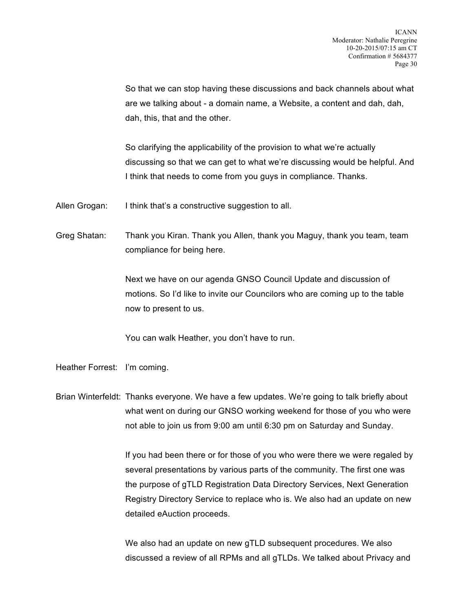So that we can stop having these discussions and back channels about what are we talking about - a domain name, a Website, a content and dah, dah, dah, this, that and the other.

So clarifying the applicability of the provision to what we're actually discussing so that we can get to what we're discussing would be helpful. And I think that needs to come from you guys in compliance. Thanks.

Allen Grogan: I think that's a constructive suggestion to all.

Greg Shatan: Thank you Kiran. Thank you Allen, thank you Maguy, thank you team, team compliance for being here.

> Next we have on our agenda GNSO Council Update and discussion of motions. So I'd like to invite our Councilors who are coming up to the table now to present to us.

You can walk Heather, you don't have to run.

Heather Forrest: I'm coming.

Brian Winterfeldt: Thanks everyone. We have a few updates. We're going to talk briefly about what went on during our GNSO working weekend for those of you who were not able to join us from 9:00 am until 6:30 pm on Saturday and Sunday.

> If you had been there or for those of you who were there we were regaled by several presentations by various parts of the community. The first one was the purpose of gTLD Registration Data Directory Services, Next Generation Registry Directory Service to replace who is. We also had an update on new detailed eAuction proceeds.

We also had an update on new gTLD subsequent procedures. We also discussed a review of all RPMs and all gTLDs. We talked about Privacy and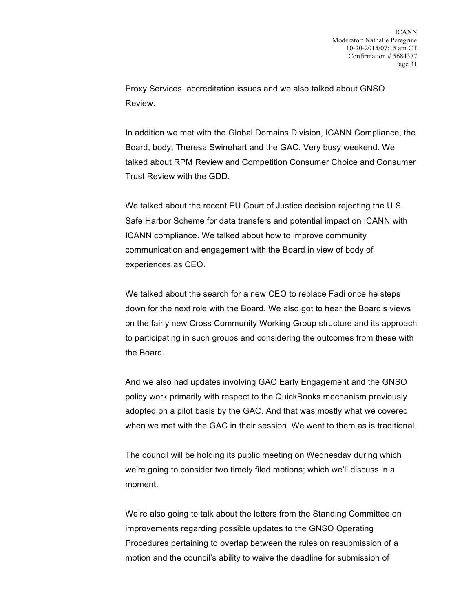Proxy Services, accreditation issues and we also talked about GNSO Review.

In addition we met with the Global Domains Division, ICANN Compliance, the Board, body, Theresa Swinehart and the GAC. Very busy weekend. We talked about RPM Review and Competition Consumer Choice and Consumer Trust Review with the GDD.

We talked about the recent EU Court of Justice decision rejecting the U.S. Safe Harbor Scheme for data transfers and potential impact on ICANN with ICANN compliance. We talked about how to improve community communication and engagement with the Board in view of body of experiences as CEO.

We talked about the search for a new CEO to replace Fadi once he steps down for the next role with the Board. We also got to hear the Board's views on the fairly new Cross Community Working Group structure and its approach to participating in such groups and considering the outcomes from these with the Board.

And we also had updates involving GAC Early Engagement and the GNSO policy work primarily with respect to the QuickBooks mechanism previously adopted on a pilot basis by the GAC. And that was mostly what we covered when we met with the GAC in their session. We went to them as is traditional.

The council will be holding its public meeting on Wednesday during which we're going to consider two timely filed motions; which we'll discuss in a moment.

We're also going to talk about the letters from the Standing Committee on improvements regarding possible updates to the GNSO Operating Procedures pertaining to overlap between the rules on resubmission of a motion and the council's ability to waive the deadline for submission of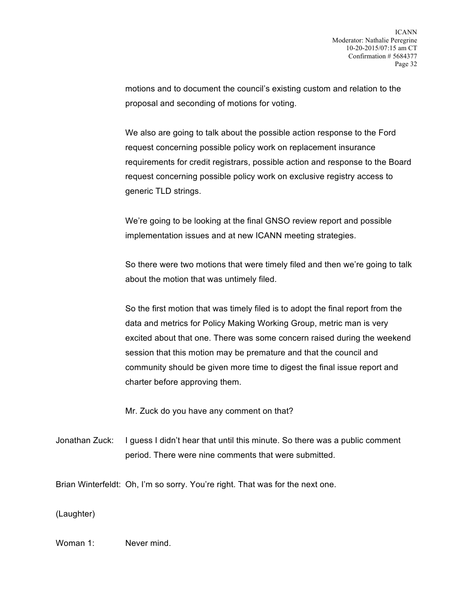motions and to document the council's existing custom and relation to the proposal and seconding of motions for voting.

We also are going to talk about the possible action response to the Ford request concerning possible policy work on replacement insurance requirements for credit registrars, possible action and response to the Board request concerning possible policy work on exclusive registry access to generic TLD strings.

We're going to be looking at the final GNSO review report and possible implementation issues and at new ICANN meeting strategies.

So there were two motions that were timely filed and then we're going to talk about the motion that was untimely filed.

So the first motion that was timely filed is to adopt the final report from the data and metrics for Policy Making Working Group, metric man is very excited about that one. There was some concern raised during the weekend session that this motion may be premature and that the council and community should be given more time to digest the final issue report and charter before approving them.

Mr. Zuck do you have any comment on that?

Jonathan Zuck: I guess I didn't hear that until this minute. So there was a public comment period. There were nine comments that were submitted.

Brian Winterfeldt: Oh, I'm so sorry. You're right. That was for the next one.

(Laughter)

Woman 1: Never mind.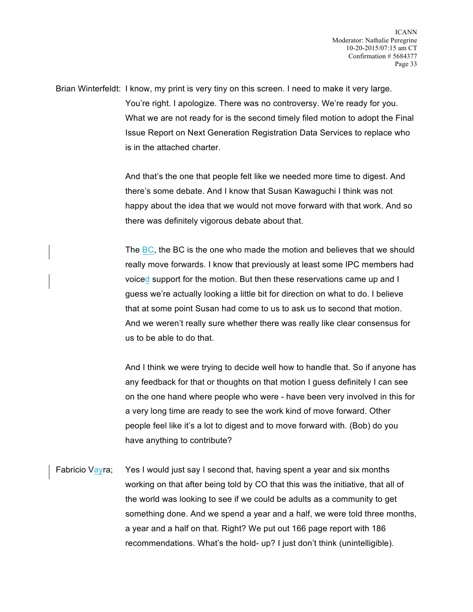Brian Winterfeldt: I know, my print is very tiny on this screen. I need to make it very large. You're right. I apologize. There was no controversy. We're ready for you. What we are not ready for is the second timely filed motion to adopt the Final Issue Report on Next Generation Registration Data Services to replace who is in the attached charter.

> And that's the one that people felt like we needed more time to digest. And there's some debate. And I know that Susan Kawaguchi I think was not happy about the idea that we would not move forward with that work. And so there was definitely vigorous debate about that.

> The BC, the BC is the one who made the motion and believes that we should really move forwards. I know that previously at least some IPC members had voiced support for the motion. But then these reservations came up and I guess we're actually looking a little bit for direction on what to do. I believe that at some point Susan had come to us to ask us to second that motion. And we weren't really sure whether there was really like clear consensus for us to be able to do that.

> And I think we were trying to decide well how to handle that. So if anyone has any feedback for that or thoughts on that motion I guess definitely I can see on the one hand where people who were - have been very involved in this for a very long time are ready to see the work kind of move forward. Other people feel like it's a lot to digest and to move forward with. (Bob) do you have anything to contribute?

Fabricio Vayra; Yes I would just say I second that, having spent a year and six months working on that after being told by CO that this was the initiative, that all of the world was looking to see if we could be adults as a community to get something done. And we spend a year and a half, we were told three months, a year and a half on that. Right? We put out 166 page report with 186 recommendations. What's the hold- up? I just don't think (unintelligible).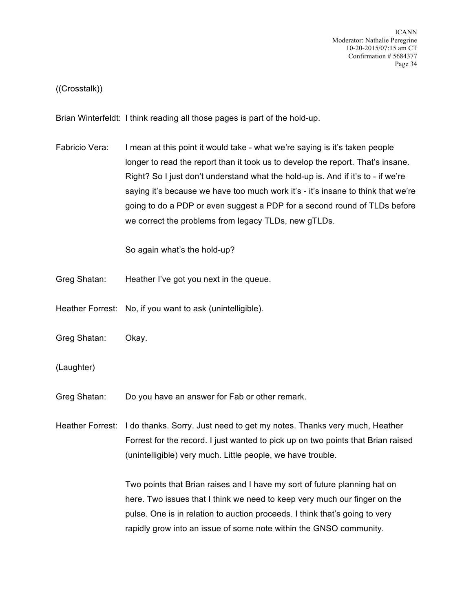## ((Crosstalk))

Brian Winterfeldt: I think reading all those pages is part of the hold-up.

Fabricio Vera: I mean at this point it would take - what we're saying is it's taken people longer to read the report than it took us to develop the report. That's insane. Right? So I just don't understand what the hold-up is. And if it's to - if we're saying it's because we have too much work it's - it's insane to think that we're going to do a PDP or even suggest a PDP for a second round of TLDs before we correct the problems from legacy TLDs, new gTLDs.

So again what's the hold-up?

- Greg Shatan: Heather I've got you next in the queue.
- Heather Forrest: No, if you want to ask (unintelligible).
- Greg Shatan: Okay.
- (Laughter)
- Greg Shatan: Do you have an answer for Fab or other remark.
- Heather Forrest: I do thanks. Sorry. Just need to get my notes. Thanks very much, Heather Forrest for the record. I just wanted to pick up on two points that Brian raised (unintelligible) very much. Little people, we have trouble.

Two points that Brian raises and I have my sort of future planning hat on here. Two issues that I think we need to keep very much our finger on the pulse. One is in relation to auction proceeds. I think that's going to very rapidly grow into an issue of some note within the GNSO community.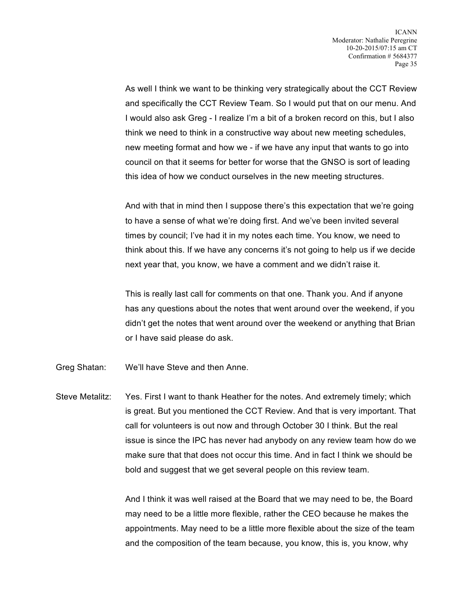As well I think we want to be thinking very strategically about the CCT Review and specifically the CCT Review Team. So I would put that on our menu. And I would also ask Greg - I realize I'm a bit of a broken record on this, but I also think we need to think in a constructive way about new meeting schedules, new meeting format and how we - if we have any input that wants to go into council on that it seems for better for worse that the GNSO is sort of leading this idea of how we conduct ourselves in the new meeting structures.

And with that in mind then I suppose there's this expectation that we're going to have a sense of what we're doing first. And we've been invited several times by council; I've had it in my notes each time. You know, we need to think about this. If we have any concerns it's not going to help us if we decide next year that, you know, we have a comment and we didn't raise it.

This is really last call for comments on that one. Thank you. And if anyone has any questions about the notes that went around over the weekend, if you didn't get the notes that went around over the weekend or anything that Brian or I have said please do ask.

Greg Shatan: We'll have Steve and then Anne.

Steve Metalitz: Yes. First I want to thank Heather for the notes. And extremely timely; which is great. But you mentioned the CCT Review. And that is very important. That call for volunteers is out now and through October 30 I think. But the real issue is since the IPC has never had anybody on any review team how do we make sure that that does not occur this time. And in fact I think we should be bold and suggest that we get several people on this review team.

> And I think it was well raised at the Board that we may need to be, the Board may need to be a little more flexible, rather the CEO because he makes the appointments. May need to be a little more flexible about the size of the team and the composition of the team because, you know, this is, you know, why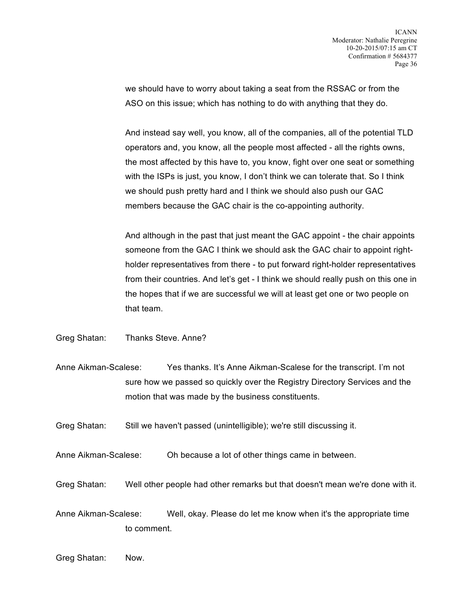we should have to worry about taking a seat from the RSSAC or from the ASO on this issue; which has nothing to do with anything that they do.

And instead say well, you know, all of the companies, all of the potential TLD operators and, you know, all the people most affected - all the rights owns, the most affected by this have to, you know, fight over one seat or something with the ISPs is just, you know, I don't think we can tolerate that. So I think we should push pretty hard and I think we should also push our GAC members because the GAC chair is the co-appointing authority.

And although in the past that just meant the GAC appoint - the chair appoints someone from the GAC I think we should ask the GAC chair to appoint rightholder representatives from there - to put forward right-holder representatives from their countries. And let's get - I think we should really push on this one in the hopes that if we are successful we will at least get one or two people on that team.

Greg Shatan: Thanks Steve. Anne?

- Anne Aikman-Scalese: Yes thanks. It's Anne Aikman-Scalese for the transcript. I'm not sure how we passed so quickly over the Registry Directory Services and the motion that was made by the business constituents.
- Greg Shatan: Still we haven't passed (unintelligible); we're still discussing it.
- Anne Aikman-Scalese: Oh because a lot of other things came in between.
- Greg Shatan: Well other people had other remarks but that doesn't mean we're done with it.

Anne Aikman-Scalese: Well, okay. Please do let me know when it's the appropriate time to comment.

Greg Shatan: Now.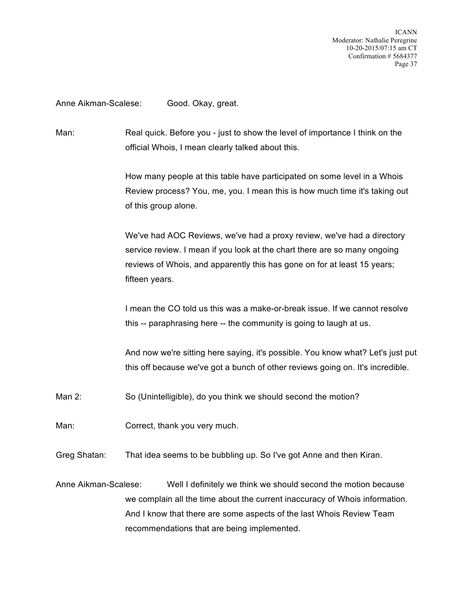ICANN Moderator: Nathalie Peregrine 10-20-2015/07:15 am CT Confirmation # 5684377 Page 37

## Anne Aikman-Scalese: Good. Okay, great.

Man: Real quick. Before you - just to show the level of importance I think on the official Whois, I mean clearly talked about this.

> How many people at this table have participated on some level in a Whois Review process? You, me, you. I mean this is how much time it's taking out of this group alone.

We've had AOC Reviews, we've had a proxy review, we've had a directory service review. I mean if you look at the chart there are so many ongoing reviews of Whois, and apparently this has gone on for at least 15 years; fifteen years.

I mean the CO told us this was a make-or-break issue. If we cannot resolve this -- paraphrasing here -- the community is going to laugh at us.

And now we're sitting here saying, it's possible. You know what? Let's just put this off because we've got a bunch of other reviews going on. It's incredible.

- Man 2: So (Unintelligible), do you think we should second the motion?
- Man: Correct, thank you very much.
- Greg Shatan: That idea seems to be bubbling up. So I've got Anne and then Kiran.

Anne Aikman-Scalese: Well I definitely we think we should second the motion because we complain all the time about the current inaccuracy of Whois information. And I know that there are some aspects of the last Whois Review Team recommendations that are being implemented.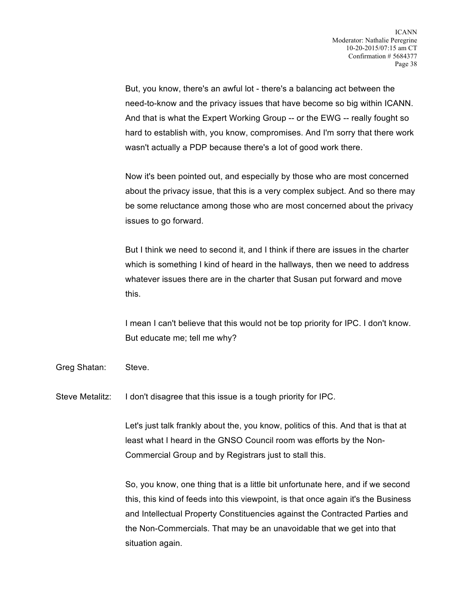But, you know, there's an awful lot - there's a balancing act between the need-to-know and the privacy issues that have become so big within ICANN. And that is what the Expert Working Group -- or the EWG -- really fought so hard to establish with, you know, compromises. And I'm sorry that there work wasn't actually a PDP because there's a lot of good work there.

Now it's been pointed out, and especially by those who are most concerned about the privacy issue, that this is a very complex subject. And so there may be some reluctance among those who are most concerned about the privacy issues to go forward.

But I think we need to second it, and I think if there are issues in the charter which is something I kind of heard in the hallways, then we need to address whatever issues there are in the charter that Susan put forward and move this.

I mean I can't believe that this would not be top priority for IPC. I don't know. But educate me; tell me why?

Greg Shatan: Steve.

Steve Metalitz: I don't disagree that this issue is a tough priority for IPC.

Let's just talk frankly about the, you know, politics of this. And that is that at least what I heard in the GNSO Council room was efforts by the Non-Commercial Group and by Registrars just to stall this.

So, you know, one thing that is a little bit unfortunate here, and if we second this, this kind of feeds into this viewpoint, is that once again it's the Business and Intellectual Property Constituencies against the Contracted Parties and the Non-Commercials. That may be an unavoidable that we get into that situation again.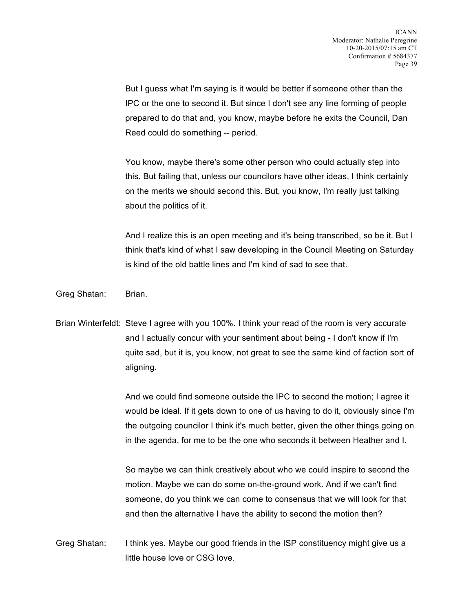But I guess what I'm saying is it would be better if someone other than the IPC or the one to second it. But since I don't see any line forming of people prepared to do that and, you know, maybe before he exits the Council, Dan Reed could do something -- period.

You know, maybe there's some other person who could actually step into this. But failing that, unless our councilors have other ideas, I think certainly on the merits we should second this. But, you know, I'm really just talking about the politics of it.

And I realize this is an open meeting and it's being transcribed, so be it. But I think that's kind of what I saw developing in the Council Meeting on Saturday is kind of the old battle lines and I'm kind of sad to see that.

Greg Shatan: Brian.

Brian Winterfeldt: Steve I agree with you 100%. I think your read of the room is very accurate and I actually concur with your sentiment about being - I don't know if I'm quite sad, but it is, you know, not great to see the same kind of faction sort of aligning.

> And we could find someone outside the IPC to second the motion; I agree it would be ideal. If it gets down to one of us having to do it, obviously since I'm the outgoing councilor I think it's much better, given the other things going on in the agenda, for me to be the one who seconds it between Heather and I.

So maybe we can think creatively about who we could inspire to second the motion. Maybe we can do some on-the-ground work. And if we can't find someone, do you think we can come to consensus that we will look for that and then the alternative I have the ability to second the motion then?

Greg Shatan: I think yes. Maybe our good friends in the ISP constituency might give us a little house love or CSG love.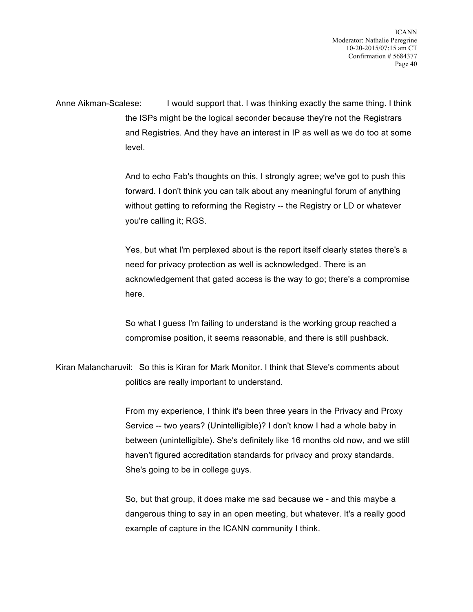ICANN Moderator: Nathalie Peregrine 10-20-2015/07:15 am CT Confirmation # 5684377 Page 40

Anne Aikman-Scalese: I would support that. I was thinking exactly the same thing. I think the ISPs might be the logical seconder because they're not the Registrars and Registries. And they have an interest in IP as well as we do too at some level.

> And to echo Fab's thoughts on this, I strongly agree; we've got to push this forward. I don't think you can talk about any meaningful forum of anything without getting to reforming the Registry -- the Registry or LD or whatever you're calling it; RGS.

Yes, but what I'm perplexed about is the report itself clearly states there's a need for privacy protection as well is acknowledged. There is an acknowledgement that gated access is the way to go; there's a compromise here.

So what I guess I'm failing to understand is the working group reached a compromise position, it seems reasonable, and there is still pushback.

Kiran Malancharuvil: So this is Kiran for Mark Monitor. I think that Steve's comments about politics are really important to understand.

> From my experience, I think it's been three years in the Privacy and Proxy Service -- two years? (Unintelligible)? I don't know I had a whole baby in between (unintelligible). She's definitely like 16 months old now, and we still haven't figured accreditation standards for privacy and proxy standards. She's going to be in college guys.

So, but that group, it does make me sad because we - and this maybe a dangerous thing to say in an open meeting, but whatever. It's a really good example of capture in the ICANN community I think.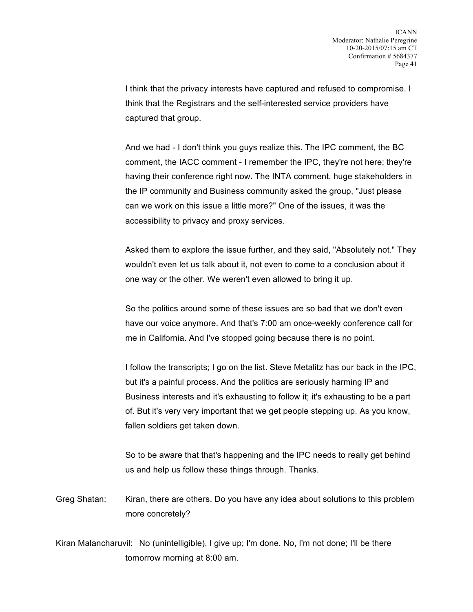I think that the privacy interests have captured and refused to compromise. I think that the Registrars and the self-interested service providers have captured that group.

And we had - I don't think you guys realize this. The IPC comment, the BC comment, the IACC comment - I remember the IPC, they're not here; they're having their conference right now. The INTA comment, huge stakeholders in the IP community and Business community asked the group, "Just please can we work on this issue a little more?" One of the issues, it was the accessibility to privacy and proxy services.

Asked them to explore the issue further, and they said, "Absolutely not." They wouldn't even let us talk about it, not even to come to a conclusion about it one way or the other. We weren't even allowed to bring it up.

So the politics around some of these issues are so bad that we don't even have our voice anymore. And that's 7:00 am once-weekly conference call for me in California. And I've stopped going because there is no point.

I follow the transcripts; I go on the list. Steve Metalitz has our back in the IPC, but it's a painful process. And the politics are seriously harming IP and Business interests and it's exhausting to follow it; it's exhausting to be a part of. But it's very very important that we get people stepping up. As you know, fallen soldiers get taken down.

So to be aware that that's happening and the IPC needs to really get behind us and help us follow these things through. Thanks.

Greg Shatan: Kiran, there are others. Do you have any idea about solutions to this problem more concretely?

Kiran Malancharuvil: No (unintelligible), I give up; I'm done. No, I'm not done; I'll be there tomorrow morning at 8:00 am.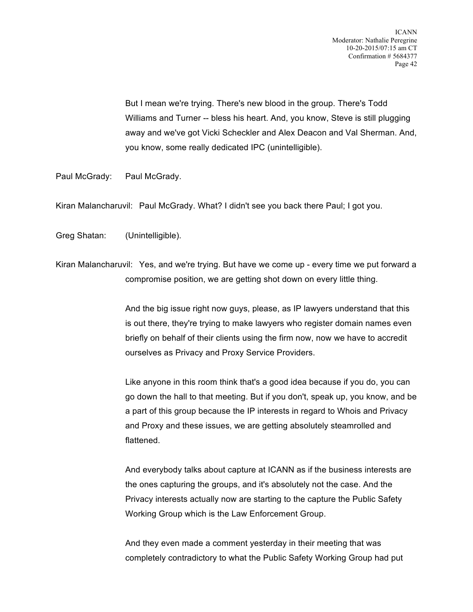But I mean we're trying. There's new blood in the group. There's Todd Williams and Turner -- bless his heart. And, you know, Steve is still plugging away and we've got Vicki Scheckler and Alex Deacon and Val Sherman. And, you know, some really dedicated IPC (unintelligible).

Paul McGrady: Paul McGrady.

Kiran Malancharuvil: Paul McGrady. What? I didn't see you back there Paul; I got you.

Greg Shatan: (Unintelligible).

Kiran Malancharuvil: Yes, and we're trying. But have we come up - every time we put forward a compromise position, we are getting shot down on every little thing.

> And the big issue right now guys, please, as IP lawyers understand that this is out there, they're trying to make lawyers who register domain names even briefly on behalf of their clients using the firm now, now we have to accredit ourselves as Privacy and Proxy Service Providers.

Like anyone in this room think that's a good idea because if you do, you can go down the hall to that meeting. But if you don't, speak up, you know, and be a part of this group because the IP interests in regard to Whois and Privacy and Proxy and these issues, we are getting absolutely steamrolled and flattened.

And everybody talks about capture at ICANN as if the business interests are the ones capturing the groups, and it's absolutely not the case. And the Privacy interests actually now are starting to the capture the Public Safety Working Group which is the Law Enforcement Group.

And they even made a comment yesterday in their meeting that was completely contradictory to what the Public Safety Working Group had put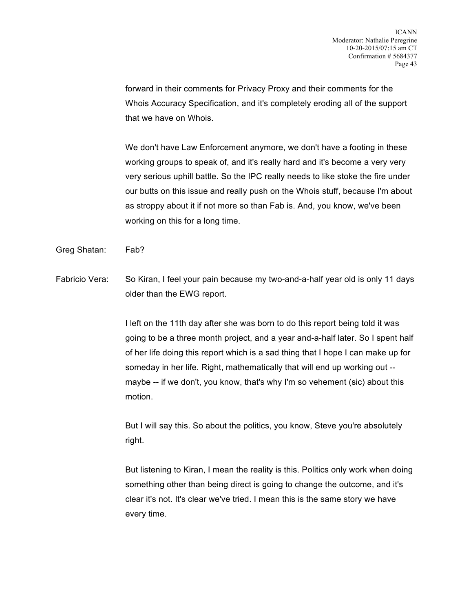forward in their comments for Privacy Proxy and their comments for the Whois Accuracy Specification, and it's completely eroding all of the support that we have on Whois.

We don't have Law Enforcement anymore, we don't have a footing in these working groups to speak of, and it's really hard and it's become a very very very serious uphill battle. So the IPC really needs to like stoke the fire under our butts on this issue and really push on the Whois stuff, because I'm about as stroppy about it if not more so than Fab is. And, you know, we've been working on this for a long time.

Greg Shatan: Fab?

Fabricio Vera: So Kiran, I feel your pain because my two-and-a-half year old is only 11 days older than the EWG report.

> I left on the 11th day after she was born to do this report being told it was going to be a three month project, and a year and-a-half later. So I spent half of her life doing this report which is a sad thing that I hope I can make up for someday in her life. Right, mathematically that will end up working out - maybe -- if we don't, you know, that's why I'm so vehement (sic) about this motion.

But I will say this. So about the politics, you know, Steve you're absolutely right.

But listening to Kiran, I mean the reality is this. Politics only work when doing something other than being direct is going to change the outcome, and it's clear it's not. It's clear we've tried. I mean this is the same story we have every time.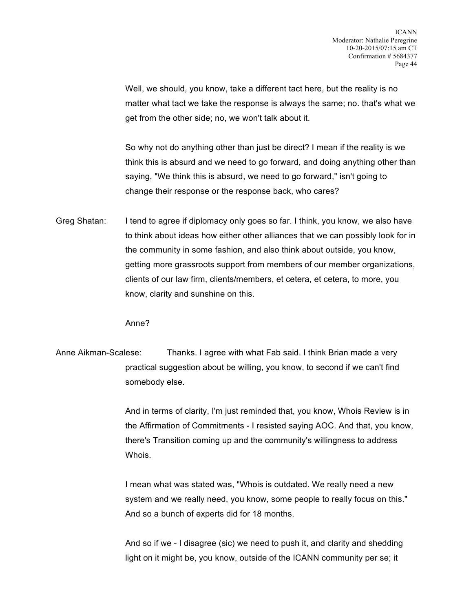Well, we should, you know, take a different tact here, but the reality is no matter what tact we take the response is always the same; no. that's what we get from the other side; no, we won't talk about it.

So why not do anything other than just be direct? I mean if the reality is we think this is absurd and we need to go forward, and doing anything other than saying, "We think this is absurd, we need to go forward," isn't going to change their response or the response back, who cares?

Greg Shatan: I tend to agree if diplomacy only goes so far. I think, you know, we also have to think about ideas how either other alliances that we can possibly look for in the community in some fashion, and also think about outside, you know, getting more grassroots support from members of our member organizations, clients of our law firm, clients/members, et cetera, et cetera, to more, you know, clarity and sunshine on this.

Anne?

Anne Aikman-Scalese: Thanks. I agree with what Fab said. I think Brian made a very practical suggestion about be willing, you know, to second if we can't find somebody else.

> And in terms of clarity, I'm just reminded that, you know, Whois Review is in the Affirmation of Commitments - I resisted saying AOC. And that, you know, there's Transition coming up and the community's willingness to address Whois.

I mean what was stated was, "Whois is outdated. We really need a new system and we really need, you know, some people to really focus on this." And so a bunch of experts did for 18 months.

And so if we - I disagree (sic) we need to push it, and clarity and shedding light on it might be, you know, outside of the ICANN community per se; it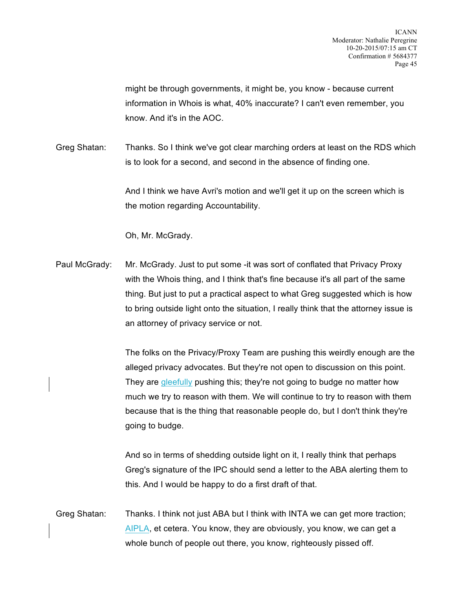might be through governments, it might be, you know - because current information in Whois is what, 40% inaccurate? I can't even remember, you know. And it's in the AOC.

Greg Shatan: Thanks. So I think we've got clear marching orders at least on the RDS which is to look for a second, and second in the absence of finding one.

> And I think we have Avri's motion and we'll get it up on the screen which is the motion regarding Accountability.

Oh, Mr. McGrady.

Paul McGrady: Mr. McGrady. Just to put some -it was sort of conflated that Privacy Proxy with the Whois thing, and I think that's fine because it's all part of the same thing. But just to put a practical aspect to what Greg suggested which is how to bring outside light onto the situation, I really think that the attorney issue is an attorney of privacy service or not.

> The folks on the Privacy/Proxy Team are pushing this weirdly enough are the alleged privacy advocates. But they're not open to discussion on this point. They are gleefully pushing this; they're not going to budge no matter how much we try to reason with them. We will continue to try to reason with them because that is the thing that reasonable people do, but I don't think they're going to budge.

And so in terms of shedding outside light on it, I really think that perhaps Greg's signature of the IPC should send a letter to the ABA alerting them to this. And I would be happy to do a first draft of that.

Greg Shatan: Thanks. I think not just ABA but I think with INTA we can get more traction; AIPLA, et cetera. You know, they are obviously, you know, we can get a whole bunch of people out there, you know, righteously pissed off.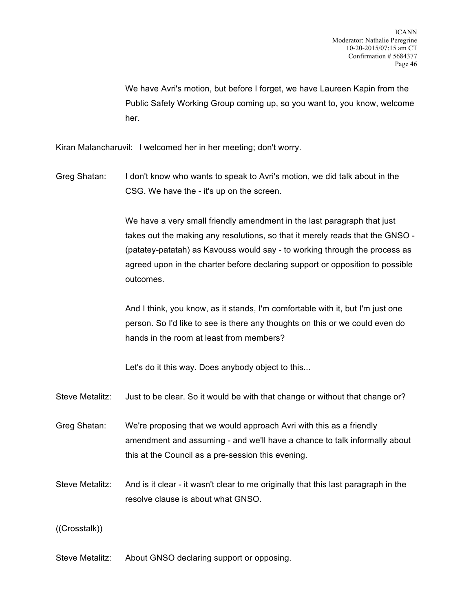We have Avri's motion, but before I forget, we have Laureen Kapin from the Public Safety Working Group coming up, so you want to, you know, welcome her.

Kiran Malancharuvil: I welcomed her in her meeting; don't worry.

Greg Shatan: I don't know who wants to speak to Avri's motion, we did talk about in the CSG. We have the - it's up on the screen.

> We have a very small friendly amendment in the last paragraph that just takes out the making any resolutions, so that it merely reads that the GNSO - (patatey-patatah) as Kavouss would say - to working through the process as agreed upon in the charter before declaring support or opposition to possible outcomes.

And I think, you know, as it stands, I'm comfortable with it, but I'm just one person. So I'd like to see is there any thoughts on this or we could even do hands in the room at least from members?

Let's do it this way. Does anybody object to this...

- Steve Metalitz: Just to be clear. So it would be with that change or without that change or?
- Greg Shatan: We're proposing that we would approach Avri with this as a friendly amendment and assuming - and we'll have a chance to talk informally about this at the Council as a pre-session this evening.
- Steve Metalitz: And is it clear it wasn't clear to me originally that this last paragraph in the resolve clause is about what GNSO.

## ((Crosstalk))

Steve Metalitz: About GNSO declaring support or opposing.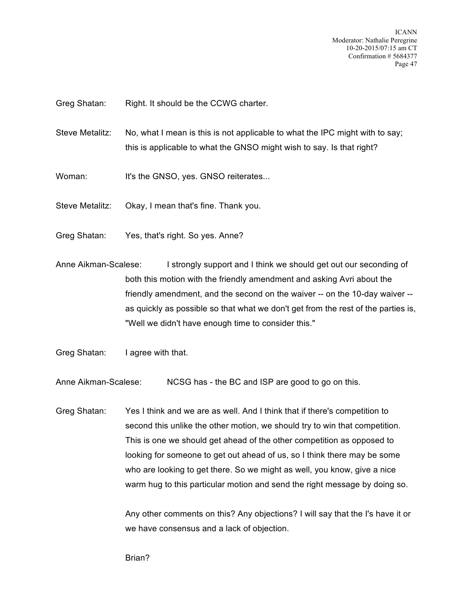ICANN Moderator: Nathalie Peregrine 10-20-2015/07:15 am CT Confirmation # 5684377 Page 47

Greg Shatan: Right. It should be the CCWG charter.

- Steve Metalitz: No, what I mean is this is not applicable to what the IPC might with to say; this is applicable to what the GNSO might wish to say. Is that right?
- Woman: It's the GNSO, yes. GNSO reiterates...

Steve Metalitz: Okay, I mean that's fine. Thank you.

Greg Shatan: Yes, that's right. So yes. Anne?

Anne Aikman-Scalese: I strongly support and I think we should get out our seconding of both this motion with the friendly amendment and asking Avri about the friendly amendment, and the second on the waiver -- on the 10-day waiver - as quickly as possible so that what we don't get from the rest of the parties is, "Well we didn't have enough time to consider this."

Greg Shatan: I agree with that.

Anne Aikman-Scalese: NCSG has - the BC and ISP are good to go on this.

Greg Shatan: Yes I think and we are as well. And I think that if there's competition to second this unlike the other motion, we should try to win that competition. This is one we should get ahead of the other competition as opposed to looking for someone to get out ahead of us, so I think there may be some who are looking to get there. So we might as well, you know, give a nice warm hug to this particular motion and send the right message by doing so.

> Any other comments on this? Any objections? I will say that the I's have it or we have consensus and a lack of objection.

Brian?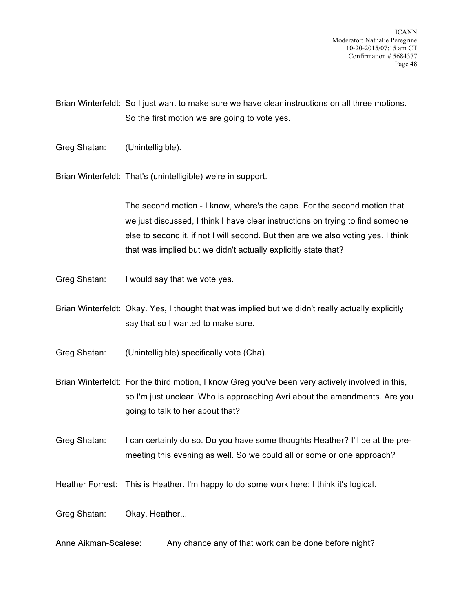ICANN Moderator: Nathalie Peregrine 10-20-2015/07:15 am CT Confirmation # 5684377 Page 48

Brian Winterfeldt: So I just want to make sure we have clear instructions on all three motions. So the first motion we are going to vote yes.

Greg Shatan: (Unintelligible).

Brian Winterfeldt: That's (unintelligible) we're in support.

The second motion - I know, where's the cape. For the second motion that we just discussed, I think I have clear instructions on trying to find someone else to second it, if not I will second. But then are we also voting yes. I think that was implied but we didn't actually explicitly state that?

Greg Shatan: I would say that we vote yes.

Brian Winterfeldt: Okay. Yes, I thought that was implied but we didn't really actually explicitly say that so I wanted to make sure.

Greg Shatan: (Unintelligible) specifically vote (Cha).

Brian Winterfeldt: For the third motion, I know Greg you've been very actively involved in this, so I'm just unclear. Who is approaching Avri about the amendments. Are you going to talk to her about that?

Greg Shatan: I can certainly do so. Do you have some thoughts Heather? I'll be at the premeeting this evening as well. So we could all or some or one approach?

Heather Forrest: This is Heather. I'm happy to do some work here; I think it's logical.

Greg Shatan: Okay. Heather...

Anne Aikman-Scalese: Any chance any of that work can be done before night?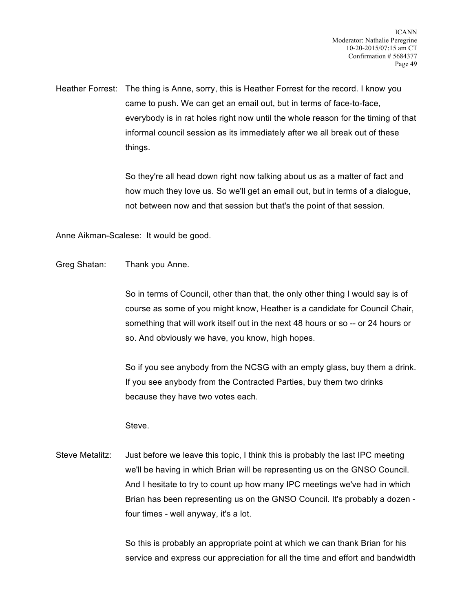Heather Forrest: The thing is Anne, sorry, this is Heather Forrest for the record. I know you came to push. We can get an email out, but in terms of face-to-face, everybody is in rat holes right now until the whole reason for the timing of that informal council session as its immediately after we all break out of these things.

> So they're all head down right now talking about us as a matter of fact and how much they love us. So we'll get an email out, but in terms of a dialogue, not between now and that session but that's the point of that session.

Anne Aikman-Scalese: It would be good.

Greg Shatan: Thank you Anne.

So in terms of Council, other than that, the only other thing I would say is of course as some of you might know, Heather is a candidate for Council Chair, something that will work itself out in the next 48 hours or so -- or 24 hours or so. And obviously we have, you know, high hopes.

So if you see anybody from the NCSG with an empty glass, buy them a drink. If you see anybody from the Contracted Parties, buy them two drinks because they have two votes each.

## Steve.

Steve Metalitz: Just before we leave this topic, I think this is probably the last IPC meeting we'll be having in which Brian will be representing us on the GNSO Council. And I hesitate to try to count up how many IPC meetings we've had in which Brian has been representing us on the GNSO Council. It's probably a dozen four times - well anyway, it's a lot.

> So this is probably an appropriate point at which we can thank Brian for his service and express our appreciation for all the time and effort and bandwidth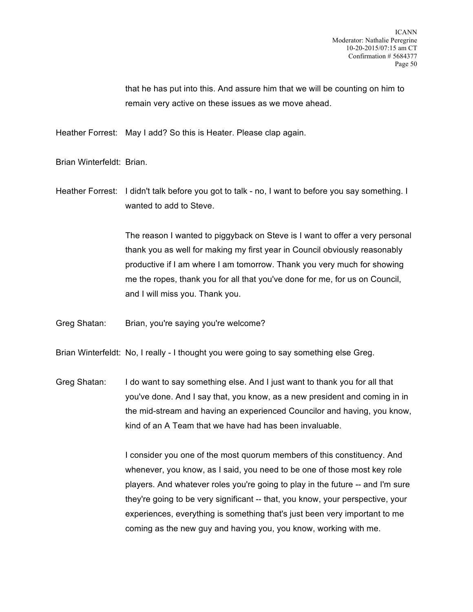that he has put into this. And assure him that we will be counting on him to remain very active on these issues as we move ahead.

Heather Forrest: May I add? So this is Heater. Please clap again.

Brian Winterfeldt: Brian.

Heather Forrest: I didn't talk before you got to talk - no, I want to before you say something. I wanted to add to Steve.

> The reason I wanted to piggyback on Steve is I want to offer a very personal thank you as well for making my first year in Council obviously reasonably productive if I am where I am tomorrow. Thank you very much for showing me the ropes, thank you for all that you've done for me, for us on Council, and I will miss you. Thank you.

Greg Shatan: Brian, you're saying you're welcome?

Brian Winterfeldt: No, I really - I thought you were going to say something else Greg.

Greg Shatan: I do want to say something else. And I just want to thank you for all that you've done. And I say that, you know, as a new president and coming in in the mid-stream and having an experienced Councilor and having, you know, kind of an A Team that we have had has been invaluable.

> I consider you one of the most quorum members of this constituency. And whenever, you know, as I said, you need to be one of those most key role players. And whatever roles you're going to play in the future -- and I'm sure they're going to be very significant -- that, you know, your perspective, your experiences, everything is something that's just been very important to me coming as the new guy and having you, you know, working with me.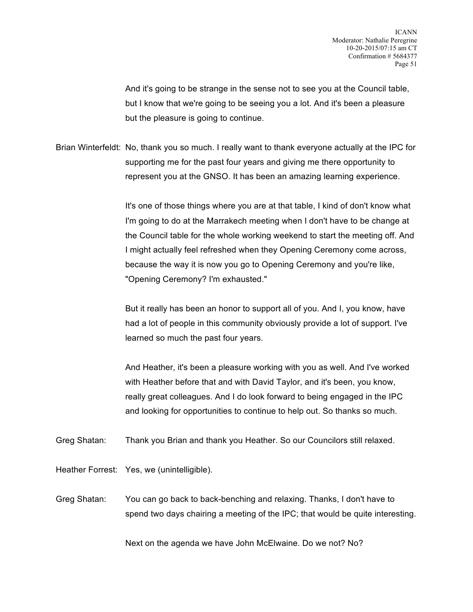And it's going to be strange in the sense not to see you at the Council table, but I know that we're going to be seeing you a lot. And it's been a pleasure but the pleasure is going to continue.

Brian Winterfeldt: No, thank you so much. I really want to thank everyone actually at the IPC for supporting me for the past four years and giving me there opportunity to represent you at the GNSO. It has been an amazing learning experience.

> It's one of those things where you are at that table, I kind of don't know what I'm going to do at the Marrakech meeting when I don't have to be change at the Council table for the whole working weekend to start the meeting off. And I might actually feel refreshed when they Opening Ceremony come across, because the way it is now you go to Opening Ceremony and you're like, "Opening Ceremony? I'm exhausted."

But it really has been an honor to support all of you. And I, you know, have had a lot of people in this community obviously provide a lot of support. I've learned so much the past four years.

And Heather, it's been a pleasure working with you as well. And I've worked with Heather before that and with David Taylor, and it's been, you know, really great colleagues. And I do look forward to being engaged in the IPC and looking for opportunities to continue to help out. So thanks so much.

Greg Shatan: Thank you Brian and thank you Heather. So our Councilors still relaxed.

Heather Forrest: Yes, we (unintelligible).

Greg Shatan: You can go back to back-benching and relaxing. Thanks, I don't have to spend two days chairing a meeting of the IPC; that would be quite interesting.

Next on the agenda we have John McElwaine. Do we not? No?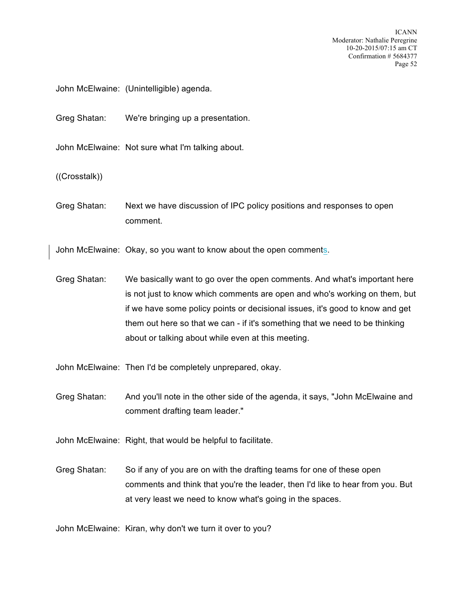ICANN Moderator: Nathalie Peregrine 10-20-2015/07:15 am CT Confirmation # 5684377 Page 52

John McElwaine: (Unintelligible) agenda.

Greg Shatan: We're bringing up a presentation.

John McElwaine: Not sure what I'm talking about.

((Crosstalk))

Greg Shatan: Next we have discussion of IPC policy positions and responses to open comment.

John McElwaine: Okay, so you want to know about the open comments.

Greg Shatan: We basically want to go over the open comments. And what's important here is not just to know which comments are open and who's working on them, but if we have some policy points or decisional issues, it's good to know and get them out here so that we can - if it's something that we need to be thinking about or talking about while even at this meeting.

John McElwaine: Then I'd be completely unprepared, okay.

Greg Shatan: And you'll note in the other side of the agenda, it says, "John McElwaine and comment drafting team leader."

John McElwaine: Right, that would be helpful to facilitate.

Greg Shatan: So if any of you are on with the drafting teams for one of these open comments and think that you're the leader, then I'd like to hear from you. But at very least we need to know what's going in the spaces.

John McElwaine: Kiran, why don't we turn it over to you?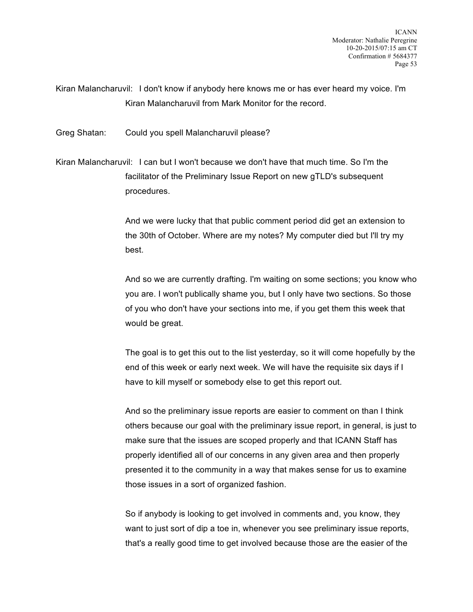Kiran Malancharuvil: I don't know if anybody here knows me or has ever heard my voice. I'm Kiran Malancharuvil from Mark Monitor for the record.

Greg Shatan: Could you spell Malancharuvil please?

Kiran Malancharuvil: I can but I won't because we don't have that much time. So I'm the facilitator of the Preliminary Issue Report on new gTLD's subsequent procedures.

> And we were lucky that that public comment period did get an extension to the 30th of October. Where are my notes? My computer died but I'll try my best.

And so we are currently drafting. I'm waiting on some sections; you know who you are. I won't publically shame you, but I only have two sections. So those of you who don't have your sections into me, if you get them this week that would be great.

The goal is to get this out to the list yesterday, so it will come hopefully by the end of this week or early next week. We will have the requisite six days if I have to kill myself or somebody else to get this report out.

And so the preliminary issue reports are easier to comment on than I think others because our goal with the preliminary issue report, in general, is just to make sure that the issues are scoped properly and that ICANN Staff has properly identified all of our concerns in any given area and then properly presented it to the community in a way that makes sense for us to examine those issues in a sort of organized fashion.

So if anybody is looking to get involved in comments and, you know, they want to just sort of dip a toe in, whenever you see preliminary issue reports, that's a really good time to get involved because those are the easier of the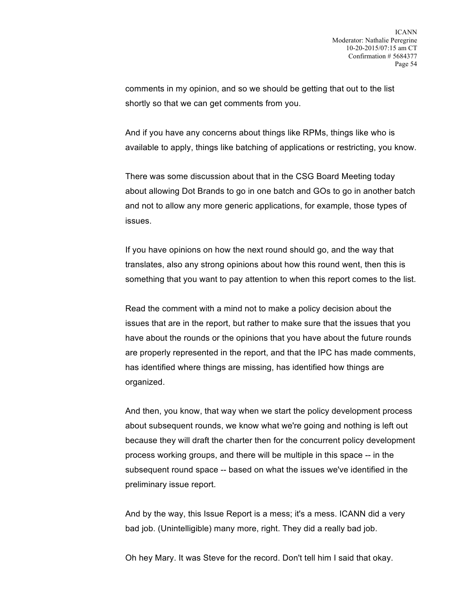comments in my opinion, and so we should be getting that out to the list shortly so that we can get comments from you.

And if you have any concerns about things like RPMs, things like who is available to apply, things like batching of applications or restricting, you know.

There was some discussion about that in the CSG Board Meeting today about allowing Dot Brands to go in one batch and GOs to go in another batch and not to allow any more generic applications, for example, those types of issues.

If you have opinions on how the next round should go, and the way that translates, also any strong opinions about how this round went, then this is something that you want to pay attention to when this report comes to the list.

Read the comment with a mind not to make a policy decision about the issues that are in the report, but rather to make sure that the issues that you have about the rounds or the opinions that you have about the future rounds are properly represented in the report, and that the IPC has made comments, has identified where things are missing, has identified how things are organized.

And then, you know, that way when we start the policy development process about subsequent rounds, we know what we're going and nothing is left out because they will draft the charter then for the concurrent policy development process working groups, and there will be multiple in this space -- in the subsequent round space -- based on what the issues we've identified in the preliminary issue report.

And by the way, this Issue Report is a mess; it's a mess. ICANN did a very bad job. (Unintelligible) many more, right. They did a really bad job.

Oh hey Mary. It was Steve for the record. Don't tell him I said that okay.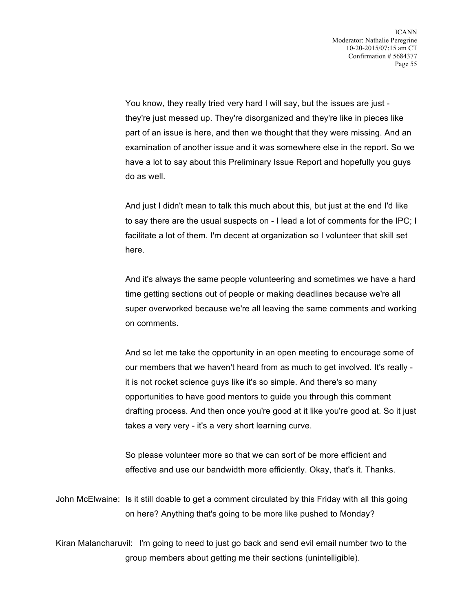You know, they really tried very hard I will say, but the issues are just they're just messed up. They're disorganized and they're like in pieces like part of an issue is here, and then we thought that they were missing. And an examination of another issue and it was somewhere else in the report. So we have a lot to say about this Preliminary Issue Report and hopefully you guys do as well.

And just I didn't mean to talk this much about this, but just at the end I'd like to say there are the usual suspects on - I lead a lot of comments for the IPC; I facilitate a lot of them. I'm decent at organization so I volunteer that skill set here.

And it's always the same people volunteering and sometimes we have a hard time getting sections out of people or making deadlines because we're all super overworked because we're all leaving the same comments and working on comments.

And so let me take the opportunity in an open meeting to encourage some of our members that we haven't heard from as much to get involved. It's really it is not rocket science guys like it's so simple. And there's so many opportunities to have good mentors to guide you through this comment drafting process. And then once you're good at it like you're good at. So it just takes a very very - it's a very short learning curve.

So please volunteer more so that we can sort of be more efficient and effective and use our bandwidth more efficiently. Okay, that's it. Thanks.

John McElwaine: Is it still doable to get a comment circulated by this Friday with all this going on here? Anything that's going to be more like pushed to Monday?

Kiran Malancharuvil: I'm going to need to just go back and send evil email number two to the group members about getting me their sections (unintelligible).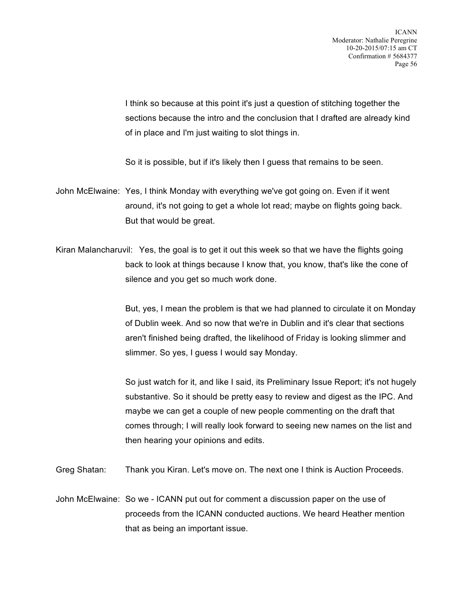I think so because at this point it's just a question of stitching together the sections because the intro and the conclusion that I drafted are already kind of in place and I'm just waiting to slot things in.

So it is possible, but if it's likely then I guess that remains to be seen.

John McElwaine: Yes, I think Monday with everything we've got going on. Even if it went around, it's not going to get a whole lot read; maybe on flights going back. But that would be great.

Kiran Malancharuvil: Yes, the goal is to get it out this week so that we have the flights going back to look at things because I know that, you know, that's like the cone of silence and you get so much work done.

> But, yes, I mean the problem is that we had planned to circulate it on Monday of Dublin week. And so now that we're in Dublin and it's clear that sections aren't finished being drafted, the likelihood of Friday is looking slimmer and slimmer. So yes, I guess I would say Monday.

> So just watch for it, and like I said, its Preliminary Issue Report; it's not hugely substantive. So it should be pretty easy to review and digest as the IPC. And maybe we can get a couple of new people commenting on the draft that comes through; I will really look forward to seeing new names on the list and then hearing your opinions and edits.

Greg Shatan: Thank you Kiran. Let's move on. The next one I think is Auction Proceeds.

John McElwaine: So we - ICANN put out for comment a discussion paper on the use of proceeds from the ICANN conducted auctions. We heard Heather mention that as being an important issue.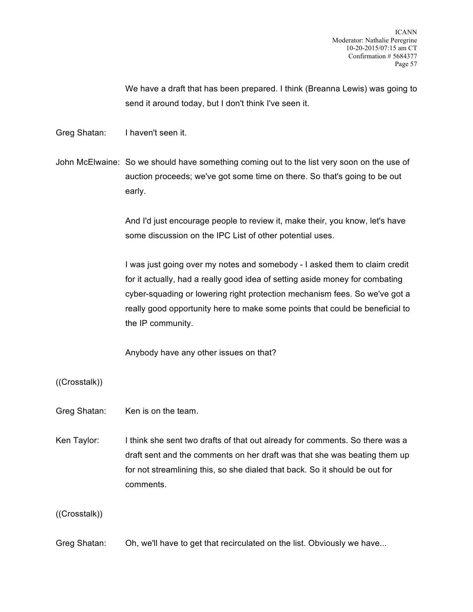We have a draft that has been prepared. I think (Breanna Lewis) was going to send it around today, but I don't think I've seen it.

Greg Shatan: I haven't seen it.

John McElwaine: So we should have something coming out to the list very soon on the use of auction proceeds; we've got some time on there. So that's going to be out early.

> And I'd just encourage people to review it, make their, you know, let's have some discussion on the IPC List of other potential uses.

I was just going over my notes and somebody - I asked them to claim credit for it actually, had a really good idea of setting aside money for combating cyber-squading or lowering right protection mechanism fees. So we've got a really good opportunity here to make some points that could be beneficial to the IP community.

Anybody have any other issues on that?

((Crosstalk))

Greg Shatan: Ken is on the team.

Ken Taylor: I think she sent two drafts of that out already for comments. So there was a draft sent and the comments on her draft was that she was beating them up for not streamlining this, so she dialed that back. So it should be out for comments.

((Crosstalk))

Greg Shatan: Oh, we'll have to get that recirculated on the list. Obviously we have...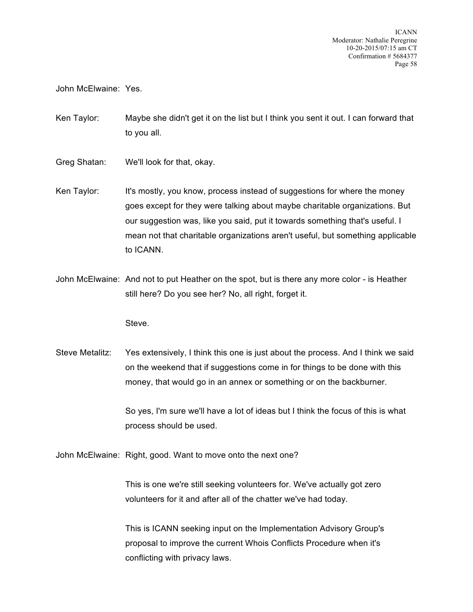John McElwaine: Yes.

Ken Taylor: Maybe she didn't get it on the list but I think you sent it out. I can forward that to you all.

- Greg Shatan: We'll look for that, okay.
- Ken Taylor: It's mostly, you know, process instead of suggestions for where the money goes except for they were talking about maybe charitable organizations. But our suggestion was, like you said, put it towards something that's useful. I mean not that charitable organizations aren't useful, but something applicable to ICANN.
- John McElwaine: And not to put Heather on the spot, but is there any more color is Heather still here? Do you see her? No, all right, forget it.

Steve.

Steve Metalitz: Yes extensively, I think this one is just about the process. And I think we said on the weekend that if suggestions come in for things to be done with this money, that would go in an annex or something or on the backburner.

> So yes, I'm sure we'll have a lot of ideas but I think the focus of this is what process should be used.

John McElwaine: Right, good. Want to move onto the next one?

This is one we're still seeking volunteers for. We've actually got zero volunteers for it and after all of the chatter we've had today.

This is ICANN seeking input on the Implementation Advisory Group's proposal to improve the current Whois Conflicts Procedure when it's conflicting with privacy laws.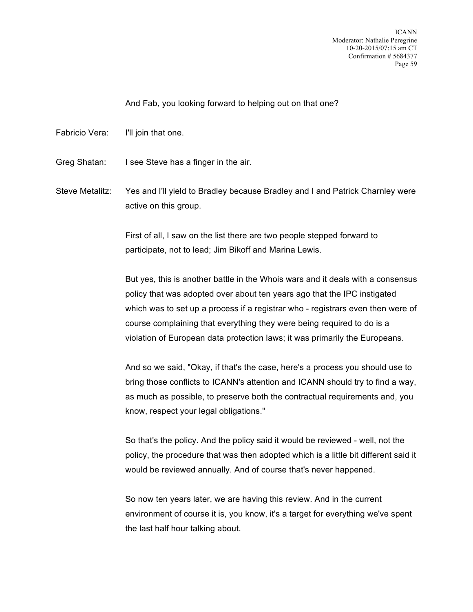And Fab, you looking forward to helping out on that one?

- Fabricio Vera: I'll join that one.
- Greg Shatan: I see Steve has a finger in the air.

Steve Metalitz: Yes and I'll yield to Bradley because Bradley and I and Patrick Charnley were active on this group.

> First of all, I saw on the list there are two people stepped forward to participate, not to lead; Jim Bikoff and Marina Lewis.

But yes, this is another battle in the Whois wars and it deals with a consensus policy that was adopted over about ten years ago that the IPC instigated which was to set up a process if a registrar who - registrars even then were of course complaining that everything they were being required to do is a violation of European data protection laws; it was primarily the Europeans.

And so we said, "Okay, if that's the case, here's a process you should use to bring those conflicts to ICANN's attention and ICANN should try to find a way, as much as possible, to preserve both the contractual requirements and, you know, respect your legal obligations."

So that's the policy. And the policy said it would be reviewed - well, not the policy, the procedure that was then adopted which is a little bit different said it would be reviewed annually. And of course that's never happened.

So now ten years later, we are having this review. And in the current environment of course it is, you know, it's a target for everything we've spent the last half hour talking about.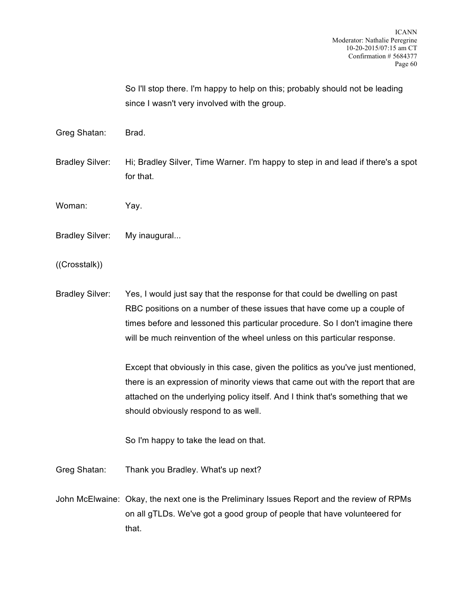So I'll stop there. I'm happy to help on this; probably should not be leading since I wasn't very involved with the group.

Greg Shatan: Brad.

Bradley Silver: Hi; Bradley Silver, Time Warner. I'm happy to step in and lead if there's a spot for that.

Woman: Yay.

Bradley Silver: My inaugural...

((Crosstalk))

Bradley Silver: Yes, I would just say that the response for that could be dwelling on past RBC positions on a number of these issues that have come up a couple of times before and lessoned this particular procedure. So I don't imagine there will be much reinvention of the wheel unless on this particular response.

> Except that obviously in this case, given the politics as you've just mentioned, there is an expression of minority views that came out with the report that are attached on the underlying policy itself. And I think that's something that we should obviously respond to as well.

So I'm happy to take the lead on that.

Greg Shatan: Thank you Bradley. What's up next?

John McElwaine: Okay, the next one is the Preliminary Issues Report and the review of RPMs on all gTLDs. We've got a good group of people that have volunteered for that.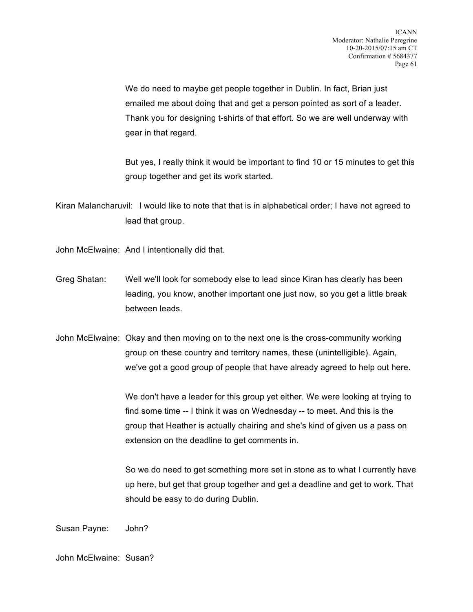We do need to maybe get people together in Dublin. In fact, Brian just emailed me about doing that and get a person pointed as sort of a leader. Thank you for designing t-shirts of that effort. So we are well underway with gear in that regard.

But yes, I really think it would be important to find 10 or 15 minutes to get this group together and get its work started.

Kiran Malancharuvil: I would like to note that that is in alphabetical order; I have not agreed to lead that group.

John McElwaine: And I intentionally did that.

Greg Shatan: Well we'll look for somebody else to lead since Kiran has clearly has been leading, you know, another important one just now, so you get a little break between leads.

John McElwaine: Okay and then moving on to the next one is the cross-community working group on these country and territory names, these (unintelligible). Again, we've got a good group of people that have already agreed to help out here.

> We don't have a leader for this group yet either. We were looking at trying to find some time -- I think it was on Wednesday -- to meet. And this is the group that Heather is actually chairing and she's kind of given us a pass on extension on the deadline to get comments in.

So we do need to get something more set in stone as to what I currently have up here, but get that group together and get a deadline and get to work. That should be easy to do during Dublin.

Susan Payne: John?

John McElwaine: Susan?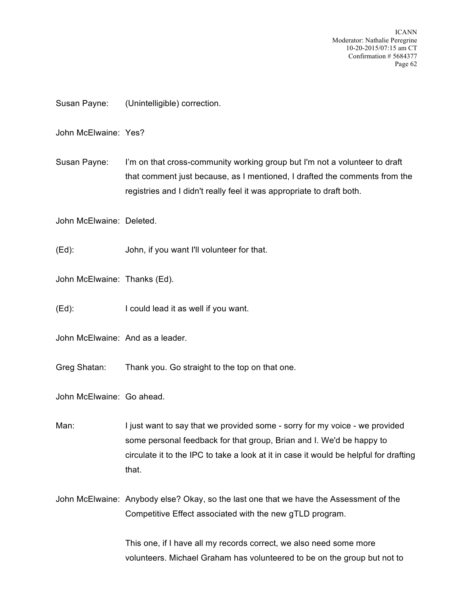ICANN Moderator: Nathalie Peregrine 10-20-2015/07:15 am CT Confirmation # 5684377 Page 62

Susan Payne: (Unintelligible) correction.

John McElwaine: Yes?

Susan Payne: I'm on that cross-community working group but I'm not a volunteer to draft that comment just because, as I mentioned, I drafted the comments from the registries and I didn't really feel it was appropriate to draft both.

John McElwaine: Deleted.

(Ed): John, if you want I'll volunteer for that.

John McElwaine: Thanks (Ed).

(Ed): I could lead it as well if you want.

John McElwaine: And as a leader.

Greg Shatan: Thank you. Go straight to the top on that one.

John McElwaine: Go ahead.

Man: I just want to say that we provided some - sorry for my voice - we provided some personal feedback for that group, Brian and I. We'd be happy to circulate it to the IPC to take a look at it in case it would be helpful for drafting that.

John McElwaine: Anybody else? Okay, so the last one that we have the Assessment of the Competitive Effect associated with the new gTLD program.

> This one, if I have all my records correct, we also need some more volunteers. Michael Graham has volunteered to be on the group but not to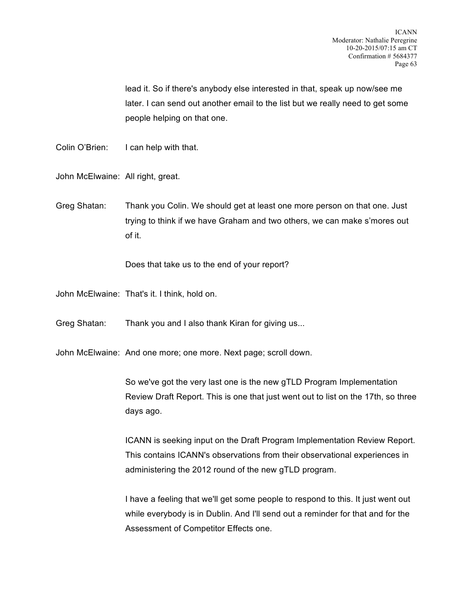lead it. So if there's anybody else interested in that, speak up now/see me later. I can send out another email to the list but we really need to get some people helping on that one.

Colin O'Brien: I can help with that.

John McElwaine: All right, great.

Greg Shatan: Thank you Colin. We should get at least one more person on that one. Just trying to think if we have Graham and two others, we can make s'mores out of it.

Does that take us to the end of your report?

John McElwaine: That's it. I think, hold on.

Greg Shatan: Thank you and I also thank Kiran for giving us...

John McElwaine: And one more; one more. Next page; scroll down.

So we've got the very last one is the new gTLD Program Implementation Review Draft Report. This is one that just went out to list on the 17th, so three days ago.

ICANN is seeking input on the Draft Program Implementation Review Report. This contains ICANN's observations from their observational experiences in administering the 2012 round of the new gTLD program.

I have a feeling that we'll get some people to respond to this. It just went out while everybody is in Dublin. And I'll send out a reminder for that and for the Assessment of Competitor Effects one.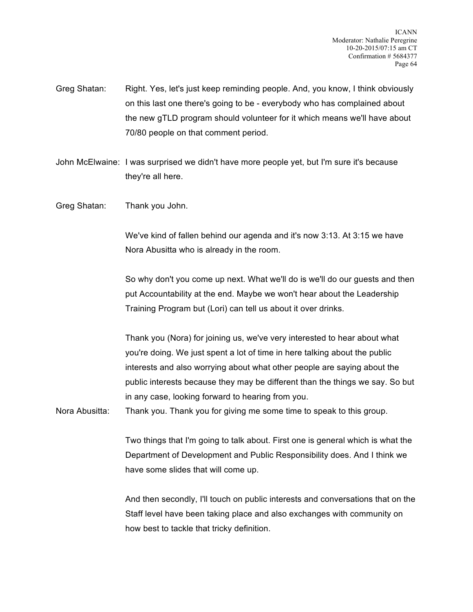Greg Shatan: Right. Yes, let's just keep reminding people. And, you know, I think obviously on this last one there's going to be - everybody who has complained about the new gTLD program should volunteer for it which means we'll have about 70/80 people on that comment period.

John McElwaine: I was surprised we didn't have more people yet, but I'm sure it's because they're all here.

Greg Shatan: Thank you John.

We've kind of fallen behind our agenda and it's now 3:13. At 3:15 we have Nora Abusitta who is already in the room.

So why don't you come up next. What we'll do is we'll do our guests and then put Accountability at the end. Maybe we won't hear about the Leadership Training Program but (Lori) can tell us about it over drinks.

Thank you (Nora) for joining us, we've very interested to hear about what you're doing. We just spent a lot of time in here talking about the public interests and also worrying about what other people are saying about the public interests because they may be different than the things we say. So but in any case, looking forward to hearing from you.

Nora Abusitta: Thank you. Thank you for giving me some time to speak to this group.

Two things that I'm going to talk about. First one is general which is what the Department of Development and Public Responsibility does. And I think we have some slides that will come up.

And then secondly, I'll touch on public interests and conversations that on the Staff level have been taking place and also exchanges with community on how best to tackle that tricky definition.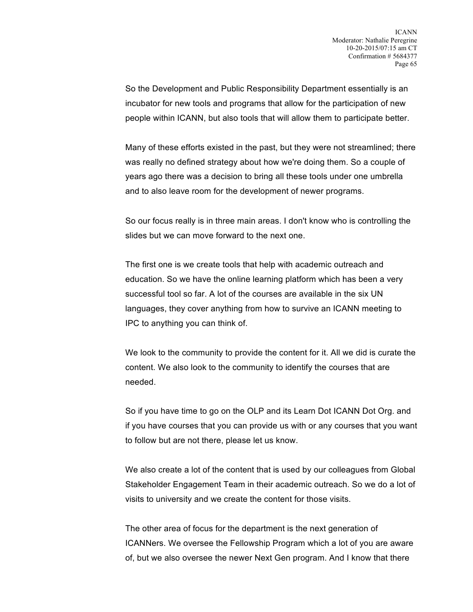So the Development and Public Responsibility Department essentially is an incubator for new tools and programs that allow for the participation of new people within ICANN, but also tools that will allow them to participate better.

Many of these efforts existed in the past, but they were not streamlined; there was really no defined strategy about how we're doing them. So a couple of years ago there was a decision to bring all these tools under one umbrella and to also leave room for the development of newer programs.

So our focus really is in three main areas. I don't know who is controlling the slides but we can move forward to the next one.

The first one is we create tools that help with academic outreach and education. So we have the online learning platform which has been a very successful tool so far. A lot of the courses are available in the six UN languages, they cover anything from how to survive an ICANN meeting to IPC to anything you can think of.

We look to the community to provide the content for it. All we did is curate the content. We also look to the community to identify the courses that are needed.

So if you have time to go on the OLP and its Learn Dot ICANN Dot Org. and if you have courses that you can provide us with or any courses that you want to follow but are not there, please let us know.

We also create a lot of the content that is used by our colleagues from Global Stakeholder Engagement Team in their academic outreach. So we do a lot of visits to university and we create the content for those visits.

The other area of focus for the department is the next generation of ICANNers. We oversee the Fellowship Program which a lot of you are aware of, but we also oversee the newer Next Gen program. And I know that there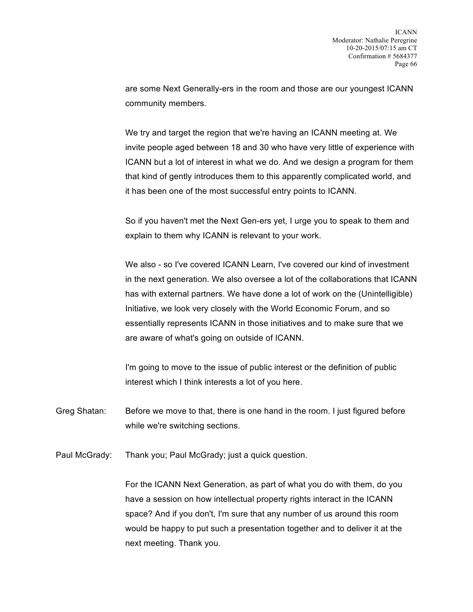are some Next Generally-ers in the room and those are our youngest ICANN community members.

We try and target the region that we're having an ICANN meeting at. We invite people aged between 18 and 30 who have very little of experience with ICANN but a lot of interest in what we do. And we design a program for them that kind of gently introduces them to this apparently complicated world, and it has been one of the most successful entry points to ICANN.

So if you haven't met the Next Gen-ers yet, I urge you to speak to them and explain to them why ICANN is relevant to your work.

We also - so I've covered ICANN Learn, I've covered our kind of investment in the next generation. We also oversee a lot of the collaborations that ICANN has with external partners. We have done a lot of work on the (Unintelligible) Initiative, we look very closely with the World Economic Forum, and so essentially represents ICANN in those initiatives and to make sure that we are aware of what's going on outside of ICANN.

I'm going to move to the issue of public interest or the definition of public interest which I think interests a lot of you here.

Greg Shatan: Before we move to that, there is one hand in the room. I just figured before while we're switching sections.

Paul McGrady: Thank you; Paul McGrady; just a quick question.

For the ICANN Next Generation, as part of what you do with them, do you have a session on how intellectual property rights interact in the ICANN space? And if you don't, I'm sure that any number of us around this room would be happy to put such a presentation together and to deliver it at the next meeting. Thank you.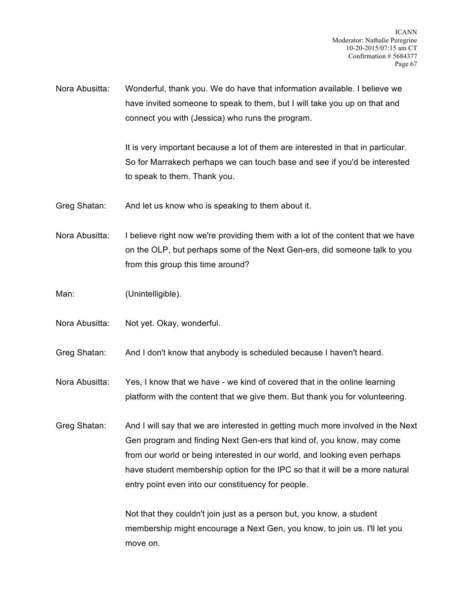Nora Abusitta: Wonderful, thank you. We do have that information available. I believe we have invited someone to speak to them, but I will take you up on that and connect you with (Jessica) who runs the program.

> It is very important because a lot of them are interested in that in particular. So for Marrakech perhaps we can touch base and see if you'd be interested to speak to them. Thank you.

Greg Shatan: And let us know who is speaking to them about it.

Nora Abusitta: I believe right now we're providing them with a lot of the content that we have on the OLP, but perhaps some of the Next Gen-ers, did someone talk to you from this group this time around?

Man: (Unintelligible).

Nora Abusitta: Not yet. Okay, wonderful.

Greg Shatan: And I don't know that anybody is scheduled because I haven't heard.

Nora Abusitta: Yes, I know that we have - we kind of covered that in the online learning platform with the content that we give them. But thank you for volunteering.

Greg Shatan: And I will say that we are interested in getting much more involved in the Next Gen program and finding Next Gen-ers that kind of, you know, may come from our world or being interested in our world, and looking even perhaps have student membership option for the IPC so that it will be a more natural entry point even into our constituency for people.

> Not that they couldn't join just as a person but, you know, a student membership might encourage a Next Gen, you know, to join us. I'll let you move on.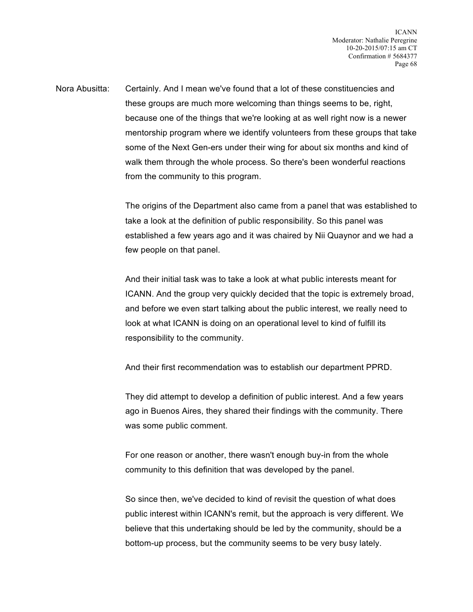Nora Abusitta: Certainly. And I mean we've found that a lot of these constituencies and these groups are much more welcoming than things seems to be, right, because one of the things that we're looking at as well right now is a newer mentorship program where we identify volunteers from these groups that take some of the Next Gen-ers under their wing for about six months and kind of walk them through the whole process. So there's been wonderful reactions from the community to this program.

> The origins of the Department also came from a panel that was established to take a look at the definition of public responsibility. So this panel was established a few years ago and it was chaired by Nii Quaynor and we had a few people on that panel.

And their initial task was to take a look at what public interests meant for ICANN. And the group very quickly decided that the topic is extremely broad, and before we even start talking about the public interest, we really need to look at what ICANN is doing on an operational level to kind of fulfill its responsibility to the community.

And their first recommendation was to establish our department PPRD.

They did attempt to develop a definition of public interest. And a few years ago in Buenos Aires, they shared their findings with the community. There was some public comment.

For one reason or another, there wasn't enough buy-in from the whole community to this definition that was developed by the panel.

So since then, we've decided to kind of revisit the question of what does public interest within ICANN's remit, but the approach is very different. We believe that this undertaking should be led by the community, should be a bottom-up process, but the community seems to be very busy lately.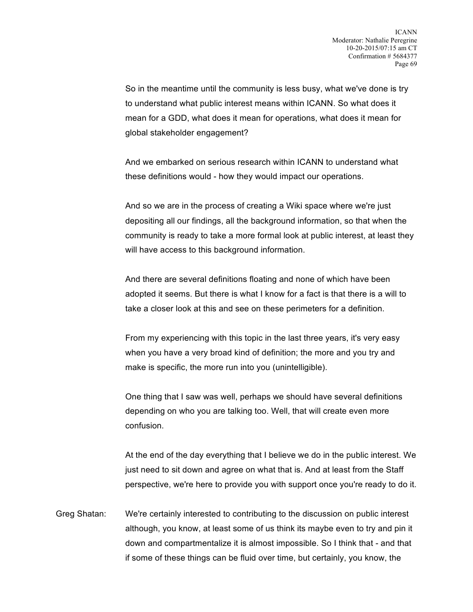So in the meantime until the community is less busy, what we've done is try to understand what public interest means within ICANN. So what does it mean for a GDD, what does it mean for operations, what does it mean for global stakeholder engagement?

And we embarked on serious research within ICANN to understand what these definitions would - how they would impact our operations.

And so we are in the process of creating a Wiki space where we're just depositing all our findings, all the background information, so that when the community is ready to take a more formal look at public interest, at least they will have access to this background information.

And there are several definitions floating and none of which have been adopted it seems. But there is what I know for a fact is that there is a will to take a closer look at this and see on these perimeters for a definition.

From my experiencing with this topic in the last three years, it's very easy when you have a very broad kind of definition; the more and you try and make is specific, the more run into you (unintelligible).

One thing that I saw was well, perhaps we should have several definitions depending on who you are talking too. Well, that will create even more confusion.

At the end of the day everything that I believe we do in the public interest. We just need to sit down and agree on what that is. And at least from the Staff perspective, we're here to provide you with support once you're ready to do it.

Greg Shatan: We're certainly interested to contributing to the discussion on public interest although, you know, at least some of us think its maybe even to try and pin it down and compartmentalize it is almost impossible. So I think that - and that if some of these things can be fluid over time, but certainly, you know, the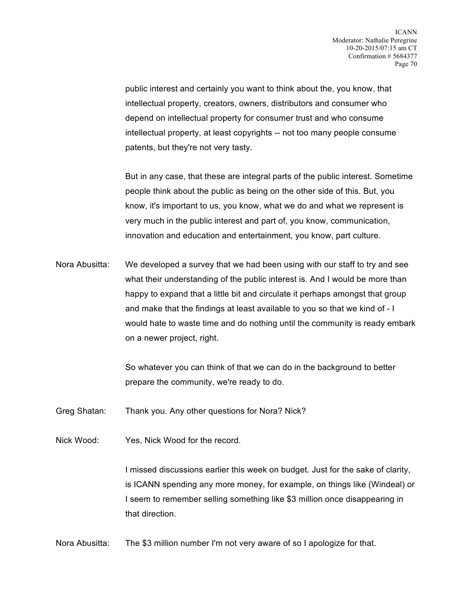public interest and certainly you want to think about the, you know, that intellectual property, creators, owners, distributors and consumer who depend on intellectual property for consumer trust and who consume intellectual property, at least copyrights -- not too many people consume patents, but they're not very tasty.

But in any case, that these are integral parts of the public interest. Sometime people think about the public as being on the other side of this. But, you know, it's important to us, you know, what we do and what we represent is very much in the public interest and part of, you know, communication, innovation and education and entertainment, you know, part culture.

Nora Abusitta: We developed a survey that we had been using with our staff to try and see what their understanding of the public interest is. And I would be more than happy to expand that a little bit and circulate it perhaps amongst that group and make that the findings at least available to you so that we kind of - I would hate to waste time and do nothing until the community is ready embark on a newer project, right.

> So whatever you can think of that we can do in the background to better prepare the community, we're ready to do.

Greg Shatan: Thank you. Any other questions for Nora? Nick?

Nick Wood: Yes, Nick Wood for the record.

I missed discussions earlier this week on budget. Just for the sake of clarity, is ICANN spending any more money, for example, on things like (Windeal) or I seem to remember selling something like \$3 million once disappearing in that direction.

Nora Abusitta: The \$3 million number I'm not very aware of so I apologize for that.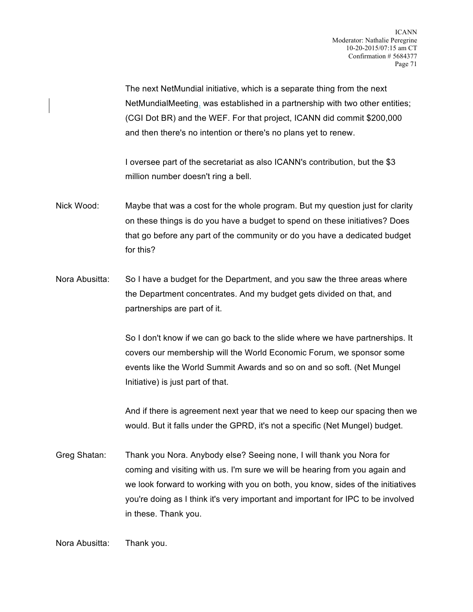The next NetMundial initiative, which is a separate thing from the next NetMundialMeeting, was established in a partnership with two other entities; (CGI Dot BR) and the WEF. For that project, ICANN did commit \$200,000 and then there's no intention or there's no plans yet to renew.

I oversee part of the secretariat as also ICANN's contribution, but the \$3 million number doesn't ring a bell.

- Nick Wood: Maybe that was a cost for the whole program. But my question just for clarity on these things is do you have a budget to spend on these initiatives? Does that go before any part of the community or do you have a dedicated budget for this?
- Nora Abusitta: So I have a budget for the Department, and you saw the three areas where the Department concentrates. And my budget gets divided on that, and partnerships are part of it.

So I don't know if we can go back to the slide where we have partnerships. It covers our membership will the World Economic Forum, we sponsor some events like the World Summit Awards and so on and so soft. (Net Mungel Initiative) is just part of that.

And if there is agreement next year that we need to keep our spacing then we would. But it falls under the GPRD, it's not a specific (Net Mungel) budget.

Greg Shatan: Thank you Nora. Anybody else? Seeing none, I will thank you Nora for coming and visiting with us. I'm sure we will be hearing from you again and we look forward to working with you on both, you know, sides of the initiatives you're doing as I think it's very important and important for IPC to be involved in these. Thank you.

Nora Abusitta: Thank you.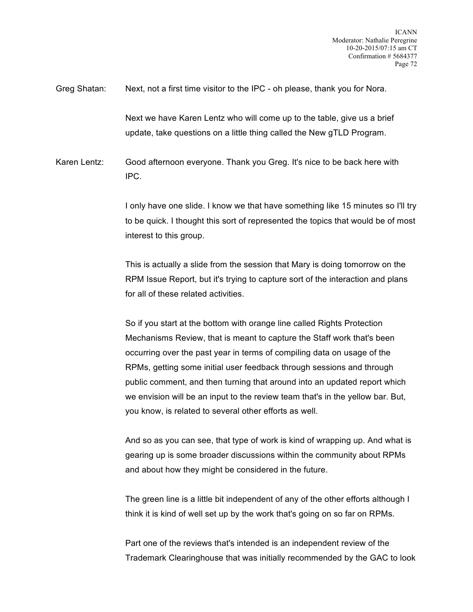Greg Shatan: Next, not a first time visitor to the IPC - oh please, thank you for Nora.

Next we have Karen Lentz who will come up to the table, give us a brief update, take questions on a little thing called the New gTLD Program.

Karen Lentz: Good afternoon everyone. Thank you Greg. It's nice to be back here with IPC.

> I only have one slide. I know we that have something like 15 minutes so I'll try to be quick. I thought this sort of represented the topics that would be of most interest to this group.

This is actually a slide from the session that Mary is doing tomorrow on the RPM Issue Report, but it's trying to capture sort of the interaction and plans for all of these related activities.

So if you start at the bottom with orange line called Rights Protection Mechanisms Review, that is meant to capture the Staff work that's been occurring over the past year in terms of compiling data on usage of the RPMs, getting some initial user feedback through sessions and through public comment, and then turning that around into an updated report which we envision will be an input to the review team that's in the yellow bar. But, you know, is related to several other efforts as well.

And so as you can see, that type of work is kind of wrapping up. And what is gearing up is some broader discussions within the community about RPMs and about how they might be considered in the future.

The green line is a little bit independent of any of the other efforts although I think it is kind of well set up by the work that's going on so far on RPMs.

Part one of the reviews that's intended is an independent review of the Trademark Clearinghouse that was initially recommended by the GAC to look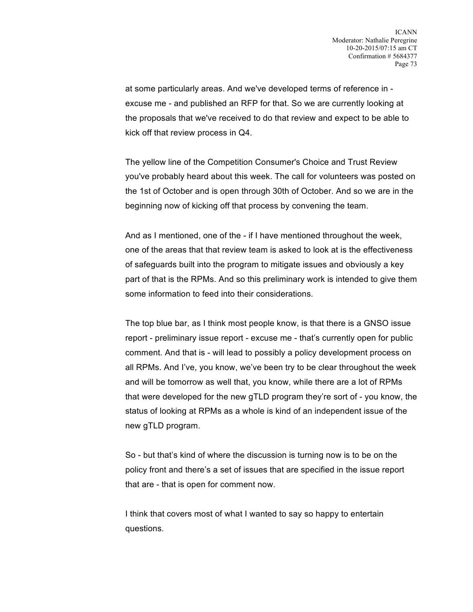at some particularly areas. And we've developed terms of reference in excuse me - and published an RFP for that. So we are currently looking at the proposals that we've received to do that review and expect to be able to kick off that review process in Q4.

The yellow line of the Competition Consumer's Choice and Trust Review you've probably heard about this week. The call for volunteers was posted on the 1st of October and is open through 30th of October. And so we are in the beginning now of kicking off that process by convening the team.

And as I mentioned, one of the - if I have mentioned throughout the week, one of the areas that that review team is asked to look at is the effectiveness of safeguards built into the program to mitigate issues and obviously a key part of that is the RPMs. And so this preliminary work is intended to give them some information to feed into their considerations.

The top blue bar, as I think most people know, is that there is a GNSO issue report - preliminary issue report - excuse me - that's currently open for public comment. And that is - will lead to possibly a policy development process on all RPMs. And I've, you know, we've been try to be clear throughout the week and will be tomorrow as well that, you know, while there are a lot of RPMs that were developed for the new gTLD program they're sort of - you know, the status of looking at RPMs as a whole is kind of an independent issue of the new gTLD program.

So - but that's kind of where the discussion is turning now is to be on the policy front and there's a set of issues that are specified in the issue report that are - that is open for comment now.

I think that covers most of what I wanted to say so happy to entertain questions.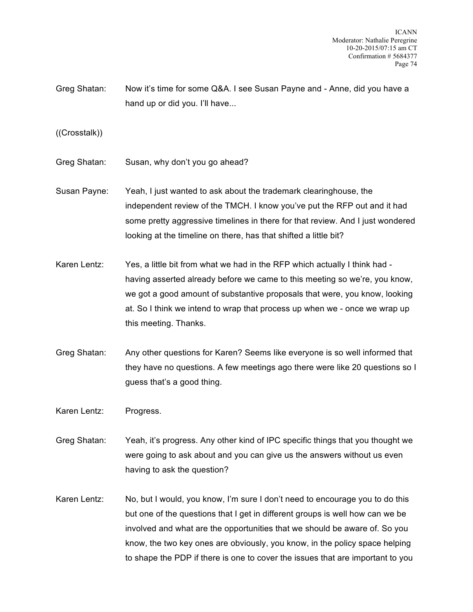Greg Shatan: Now it's time for some Q&A. I see Susan Payne and - Anne, did you have a hand up or did you. I'll have...

((Crosstalk))

- Greg Shatan: Susan, why don't you go ahead?
- Susan Payne: Yeah, I just wanted to ask about the trademark clearinghouse, the independent review of the TMCH. I know you've put the RFP out and it had some pretty aggressive timelines in there for that review. And I just wondered looking at the timeline on there, has that shifted a little bit?
- Karen Lentz: Yes, a little bit from what we had in the RFP which actually I think had having asserted already before we came to this meeting so we're, you know, we got a good amount of substantive proposals that were, you know, looking at. So I think we intend to wrap that process up when we - once we wrap up this meeting. Thanks.
- Greg Shatan: Any other questions for Karen? Seems like everyone is so well informed that they have no questions. A few meetings ago there were like 20 questions so I guess that's a good thing.

Karen Lentz: Progress.

- Greg Shatan: Yeah, it's progress. Any other kind of IPC specific things that you thought we were going to ask about and you can give us the answers without us even having to ask the question?
- Karen Lentz: No, but I would, you know, I'm sure I don't need to encourage you to do this but one of the questions that I get in different groups is well how can we be involved and what are the opportunities that we should be aware of. So you know, the two key ones are obviously, you know, in the policy space helping to shape the PDP if there is one to cover the issues that are important to you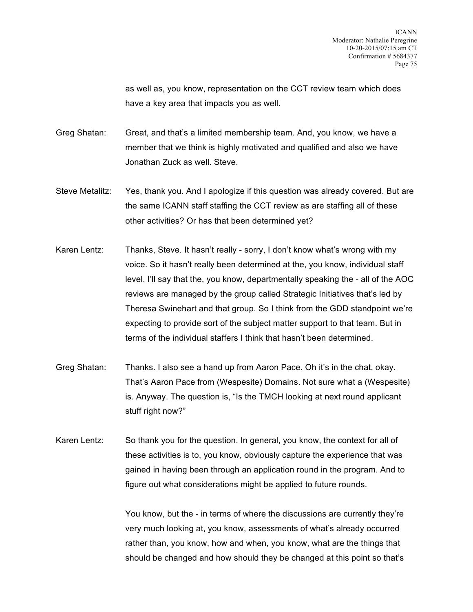as well as, you know, representation on the CCT review team which does have a key area that impacts you as well.

Greg Shatan: Great, and that's a limited membership team. And, you know, we have a member that we think is highly motivated and qualified and also we have Jonathan Zuck as well. Steve.

- Steve Metalitz: Yes, thank you. And I apologize if this question was already covered. But are the same ICANN staff staffing the CCT review as are staffing all of these other activities? Or has that been determined yet?
- Karen Lentz: Thanks, Steve. It hasn't really sorry, I don't know what's wrong with my voice. So it hasn't really been determined at the, you know, individual staff level. I'll say that the, you know, departmentally speaking the - all of the AOC reviews are managed by the group called Strategic Initiatives that's led by Theresa Swinehart and that group. So I think from the GDD standpoint we're expecting to provide sort of the subject matter support to that team. But in terms of the individual staffers I think that hasn't been determined.
- Greg Shatan: Thanks. I also see a hand up from Aaron Pace. Oh it's in the chat, okay. That's Aaron Pace from (Wespesite) Domains. Not sure what a (Wespesite) is. Anyway. The question is, "Is the TMCH looking at next round applicant stuff right now?"
- Karen Lentz: So thank you for the question. In general, you know, the context for all of these activities is to, you know, obviously capture the experience that was gained in having been through an application round in the program. And to figure out what considerations might be applied to future rounds.

You know, but the - in terms of where the discussions are currently they're very much looking at, you know, assessments of what's already occurred rather than, you know, how and when, you know, what are the things that should be changed and how should they be changed at this point so that's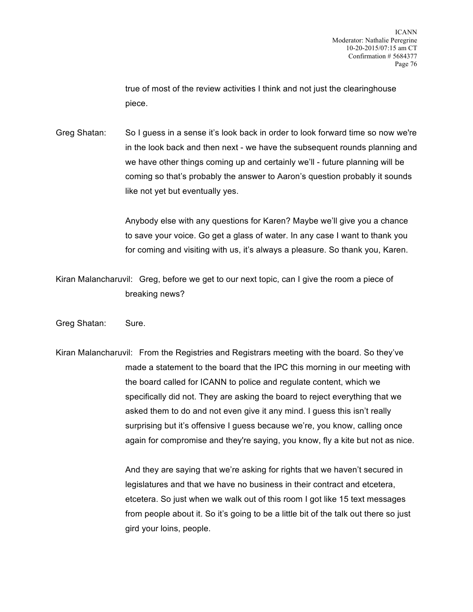true of most of the review activities I think and not just the clearinghouse piece.

Greg Shatan: So I guess in a sense it's look back in order to look forward time so now we're in the look back and then next - we have the subsequent rounds planning and we have other things coming up and certainly we'll - future planning will be coming so that's probably the answer to Aaron's question probably it sounds like not yet but eventually yes.

> Anybody else with any questions for Karen? Maybe we'll give you a chance to save your voice. Go get a glass of water. In any case I want to thank you for coming and visiting with us, it's always a pleasure. So thank you, Karen.

Kiran Malancharuvil: Greg, before we get to our next topic, can I give the room a piece of breaking news?

Greg Shatan: Sure.

Kiran Malancharuvil: From the Registries and Registrars meeting with the board. So they've made a statement to the board that the IPC this morning in our meeting with the board called for ICANN to police and regulate content, which we specifically did not. They are asking the board to reject everything that we asked them to do and not even give it any mind. I guess this isn't really surprising but it's offensive I guess because we're, you know, calling once again for compromise and they're saying, you know, fly a kite but not as nice.

> And they are saying that we're asking for rights that we haven't secured in legislatures and that we have no business in their contract and etcetera, etcetera. So just when we walk out of this room I got like 15 text messages from people about it. So it's going to be a little bit of the talk out there so just gird your loins, people.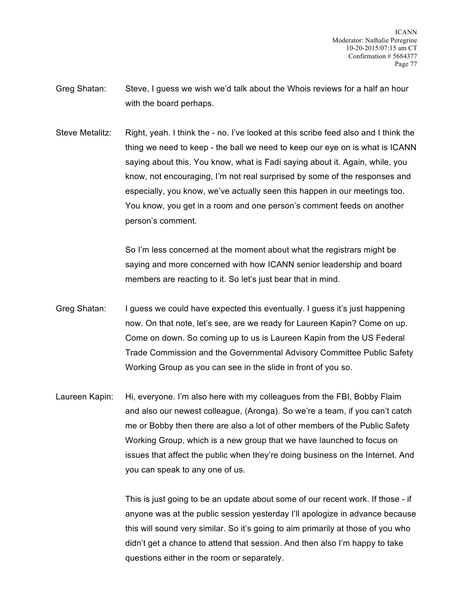- Greg Shatan: Steve, I guess we wish we'd talk about the Whois reviews for a half an hour with the board perhaps.
- Steve Metalitz: Right, yeah. I think the no. I've looked at this scribe feed also and I think the thing we need to keep - the ball we need to keep our eye on is what is ICANN saying about this. You know, what is Fadi saying about it. Again, while, you know, not encouraging, I'm not real surprised by some of the responses and especially, you know, we've actually seen this happen in our meetings too. You know, you get in a room and one person's comment feeds on another person's comment.

So I'm less concerned at the moment about what the registrars might be saying and more concerned with how ICANN senior leadership and board members are reacting to it. So let's just bear that in mind.

- Greg Shatan: I guess we could have expected this eventually. I guess it's just happening now. On that note, let's see, are we ready for Laureen Kapin? Come on up. Come on down. So coming up to us is Laureen Kapin from the US Federal Trade Commission and the Governmental Advisory Committee Public Safety Working Group as you can see in the slide in front of you so.
- Laureen Kapin: Hi, everyone. I'm also here with my colleagues from the FBI, Bobby Flaim and also our newest colleague, (Aronga). So we're a team, if you can't catch me or Bobby then there are also a lot of other members of the Public Safety Working Group, which is a new group that we have launched to focus on issues that affect the public when they're doing business on the Internet. And you can speak to any one of us.

This is just going to be an update about some of our recent work. If those - if anyone was at the public session yesterday I'll apologize in advance because this will sound very similar. So it's going to aim primarily at those of you who didn't get a chance to attend that session. And then also I'm happy to take questions either in the room or separately.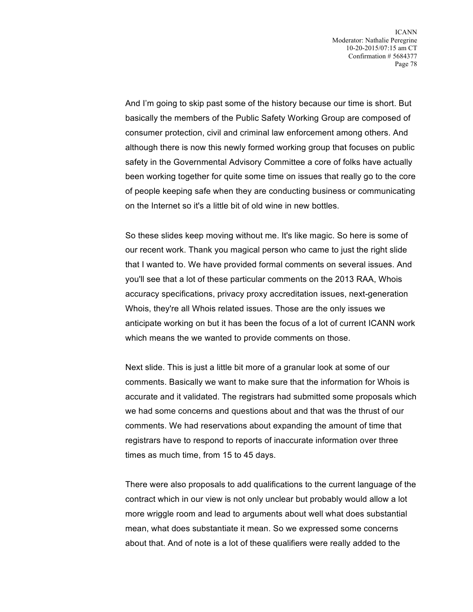And I'm going to skip past some of the history because our time is short. But basically the members of the Public Safety Working Group are composed of consumer protection, civil and criminal law enforcement among others. And although there is now this newly formed working group that focuses on public safety in the Governmental Advisory Committee a core of folks have actually been working together for quite some time on issues that really go to the core of people keeping safe when they are conducting business or communicating on the Internet so it's a little bit of old wine in new bottles.

So these slides keep moving without me. It's like magic. So here is some of our recent work. Thank you magical person who came to just the right slide that I wanted to. We have provided formal comments on several issues. And you'll see that a lot of these particular comments on the 2013 RAA, Whois accuracy specifications, privacy proxy accreditation issues, next-generation Whois, they're all Whois related issues. Those are the only issues we anticipate working on but it has been the focus of a lot of current ICANN work which means the we wanted to provide comments on those.

Next slide. This is just a little bit more of a granular look at some of our comments. Basically we want to make sure that the information for Whois is accurate and it validated. The registrars had submitted some proposals which we had some concerns and questions about and that was the thrust of our comments. We had reservations about expanding the amount of time that registrars have to respond to reports of inaccurate information over three times as much time, from 15 to 45 days.

There were also proposals to add qualifications to the current language of the contract which in our view is not only unclear but probably would allow a lot more wriggle room and lead to arguments about well what does substantial mean, what does substantiate it mean. So we expressed some concerns about that. And of note is a lot of these qualifiers were really added to the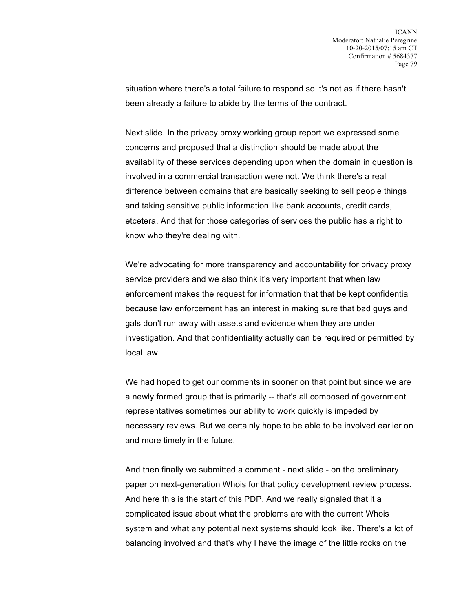situation where there's a total failure to respond so it's not as if there hasn't been already a failure to abide by the terms of the contract.

Next slide. In the privacy proxy working group report we expressed some concerns and proposed that a distinction should be made about the availability of these services depending upon when the domain in question is involved in a commercial transaction were not. We think there's a real difference between domains that are basically seeking to sell people things and taking sensitive public information like bank accounts, credit cards, etcetera. And that for those categories of services the public has a right to know who they're dealing with.

We're advocating for more transparency and accountability for privacy proxy service providers and we also think it's very important that when law enforcement makes the request for information that that be kept confidential because law enforcement has an interest in making sure that bad guys and gals don't run away with assets and evidence when they are under investigation. And that confidentiality actually can be required or permitted by local law.

We had hoped to get our comments in sooner on that point but since we are a newly formed group that is primarily -- that's all composed of government representatives sometimes our ability to work quickly is impeded by necessary reviews. But we certainly hope to be able to be involved earlier on and more timely in the future.

And then finally we submitted a comment - next slide - on the preliminary paper on next-generation Whois for that policy development review process. And here this is the start of this PDP. And we really signaled that it a complicated issue about what the problems are with the current Whois system and what any potential next systems should look like. There's a lot of balancing involved and that's why I have the image of the little rocks on the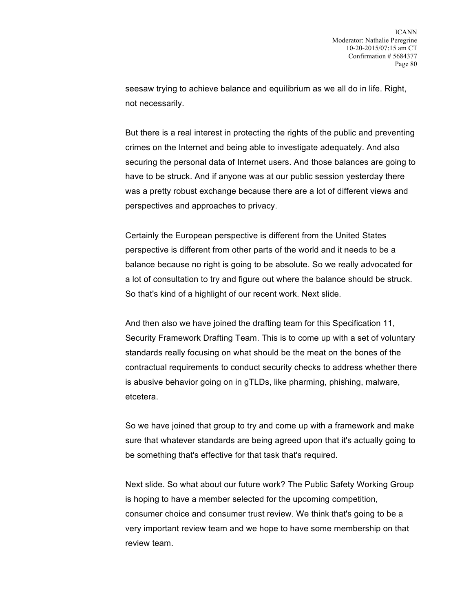seesaw trying to achieve balance and equilibrium as we all do in life. Right, not necessarily.

But there is a real interest in protecting the rights of the public and preventing crimes on the Internet and being able to investigate adequately. And also securing the personal data of Internet users. And those balances are going to have to be struck. And if anyone was at our public session yesterday there was a pretty robust exchange because there are a lot of different views and perspectives and approaches to privacy.

Certainly the European perspective is different from the United States perspective is different from other parts of the world and it needs to be a balance because no right is going to be absolute. So we really advocated for a lot of consultation to try and figure out where the balance should be struck. So that's kind of a highlight of our recent work. Next slide.

And then also we have joined the drafting team for this Specification 11, Security Framework Drafting Team. This is to come up with a set of voluntary standards really focusing on what should be the meat on the bones of the contractual requirements to conduct security checks to address whether there is abusive behavior going on in gTLDs, like pharming, phishing, malware, etcetera.

So we have joined that group to try and come up with a framework and make sure that whatever standards are being agreed upon that it's actually going to be something that's effective for that task that's required.

Next slide. So what about our future work? The Public Safety Working Group is hoping to have a member selected for the upcoming competition, consumer choice and consumer trust review. We think that's going to be a very important review team and we hope to have some membership on that review team.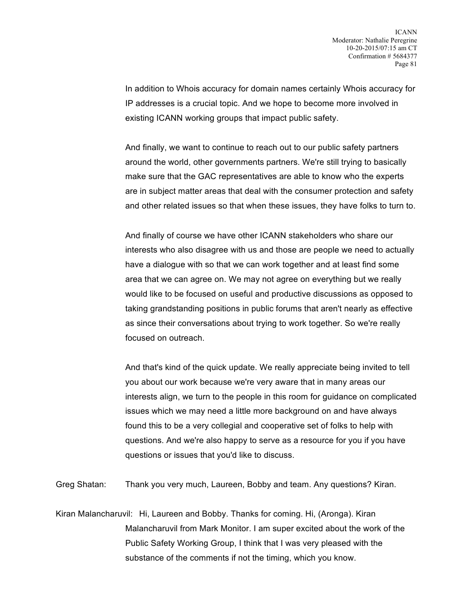In addition to Whois accuracy for domain names certainly Whois accuracy for IP addresses is a crucial topic. And we hope to become more involved in existing ICANN working groups that impact public safety.

And finally, we want to continue to reach out to our public safety partners around the world, other governments partners. We're still trying to basically make sure that the GAC representatives are able to know who the experts are in subject matter areas that deal with the consumer protection and safety and other related issues so that when these issues, they have folks to turn to.

And finally of course we have other ICANN stakeholders who share our interests who also disagree with us and those are people we need to actually have a dialogue with so that we can work together and at least find some area that we can agree on. We may not agree on everything but we really would like to be focused on useful and productive discussions as opposed to taking grandstanding positions in public forums that aren't nearly as effective as since their conversations about trying to work together. So we're really focused on outreach.

And that's kind of the quick update. We really appreciate being invited to tell you about our work because we're very aware that in many areas our interests align, we turn to the people in this room for guidance on complicated issues which we may need a little more background on and have always found this to be a very collegial and cooperative set of folks to help with questions. And we're also happy to serve as a resource for you if you have questions or issues that you'd like to discuss.

Greg Shatan: Thank you very much, Laureen, Bobby and team. Any questions? Kiran.

Kiran Malancharuvil: Hi, Laureen and Bobby. Thanks for coming. Hi, (Aronga). Kiran Malancharuvil from Mark Monitor. I am super excited about the work of the Public Safety Working Group, I think that I was very pleased with the substance of the comments if not the timing, which you know.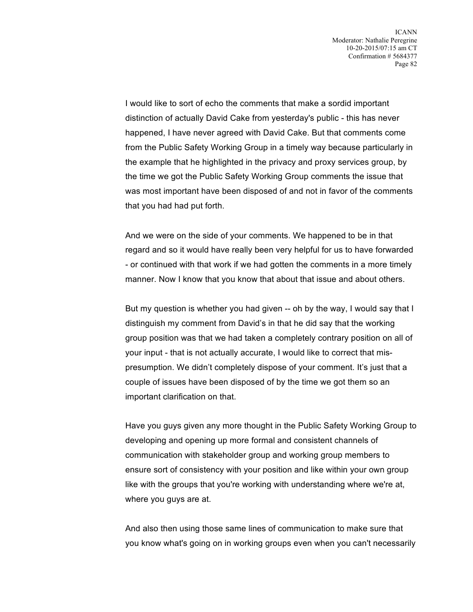I would like to sort of echo the comments that make a sordid important distinction of actually David Cake from yesterday's public - this has never happened, I have never agreed with David Cake. But that comments come from the Public Safety Working Group in a timely way because particularly in the example that he highlighted in the privacy and proxy services group, by the time we got the Public Safety Working Group comments the issue that was most important have been disposed of and not in favor of the comments that you had had put forth.

And we were on the side of your comments. We happened to be in that regard and so it would have really been very helpful for us to have forwarded - or continued with that work if we had gotten the comments in a more timely manner. Now I know that you know that about that issue and about others.

But my question is whether you had given -- oh by the way, I would say that I distinguish my comment from David's in that he did say that the working group position was that we had taken a completely contrary position on all of your input - that is not actually accurate, I would like to correct that mispresumption. We didn't completely dispose of your comment. It's just that a couple of issues have been disposed of by the time we got them so an important clarification on that.

Have you guys given any more thought in the Public Safety Working Group to developing and opening up more formal and consistent channels of communication with stakeholder group and working group members to ensure sort of consistency with your position and like within your own group like with the groups that you're working with understanding where we're at, where you guys are at.

And also then using those same lines of communication to make sure that you know what's going on in working groups even when you can't necessarily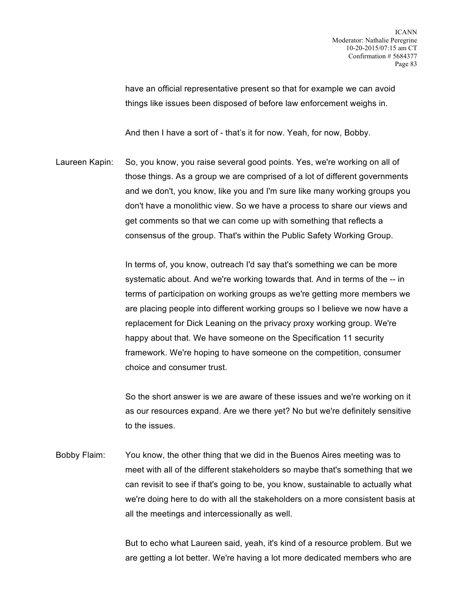have an official representative present so that for example we can avoid things like issues been disposed of before law enforcement weighs in.

And then I have a sort of - that's it for now. Yeah, for now, Bobby.

Laureen Kapin: So, you know, you raise several good points. Yes, we're working on all of those things. As a group we are comprised of a lot of different governments and we don't, you know, like you and I'm sure like many working groups you don't have a monolithic view. So we have a process to share our views and get comments so that we can come up with something that reflects a consensus of the group. That's within the Public Safety Working Group.

> In terms of, you know, outreach I'd say that's something we can be more systematic about. And we're working towards that. And in terms of the -- in terms of participation on working groups as we're getting more members we are placing people into different working groups so I believe we now have a replacement for Dick Leaning on the privacy proxy working group. We're happy about that. We have someone on the Specification 11 security framework. We're hoping to have someone on the competition, consumer choice and consumer trust.

> So the short answer is we are aware of these issues and we're working on it as our resources expand. Are we there yet? No but we're definitely sensitive to the issues.

Bobby Flaim: You know, the other thing that we did in the Buenos Aires meeting was to meet with all of the different stakeholders so maybe that's something that we can revisit to see if that's going to be, you know, sustainable to actually what we're doing here to do with all the stakeholders on a more consistent basis at all the meetings and intercessionally as well.

> But to echo what Laureen said, yeah, it's kind of a resource problem. But we are getting a lot better. We're having a lot more dedicated members who are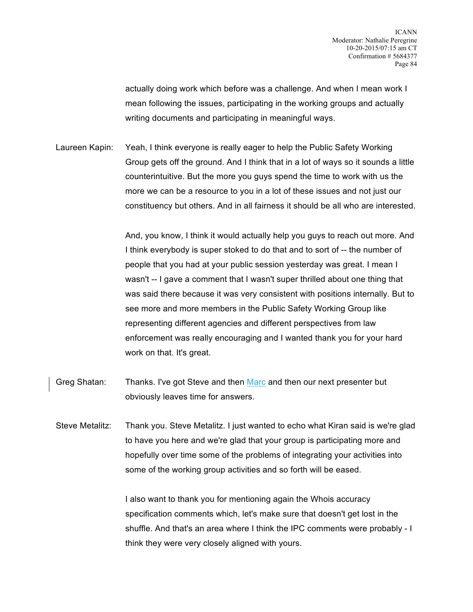actually doing work which before was a challenge. And when I mean work I mean following the issues, participating in the working groups and actually writing documents and participating in meaningful ways.

Laureen Kapin: Yeah, I think everyone is really eager to help the Public Safety Working Group gets off the ground. And I think that in a lot of ways so it sounds a little counterintuitive. But the more you guys spend the time to work with us the more we can be a resource to you in a lot of these issues and not just our constituency but others. And in all fairness it should be all who are interested.

> And, you know, I think it would actually help you guys to reach out more. And I think everybody is super stoked to do that and to sort of -- the number of people that you had at your public session yesterday was great. I mean I wasn't -- I gave a comment that I wasn't super thrilled about one thing that was said there because it was very consistent with positions internally. But to see more and more members in the Public Safety Working Group like representing different agencies and different perspectives from law enforcement was really encouraging and I wanted thank you for your hard work on that. It's great.

- Greg Shatan: Thanks. I've got Steve and then Marc and then our next presenter but obviously leaves time for answers.
- Steve Metalitz: Thank you. Steve Metalitz. I just wanted to echo what Kiran said is we're glad to have you here and we're glad that your group is participating more and hopefully over time some of the problems of integrating your activities into some of the working group activities and so forth will be eased.

I also want to thank you for mentioning again the Whois accuracy specification comments which, let's make sure that doesn't get lost in the shuffle. And that's an area where I think the IPC comments were probably - I think they were very closely aligned with yours.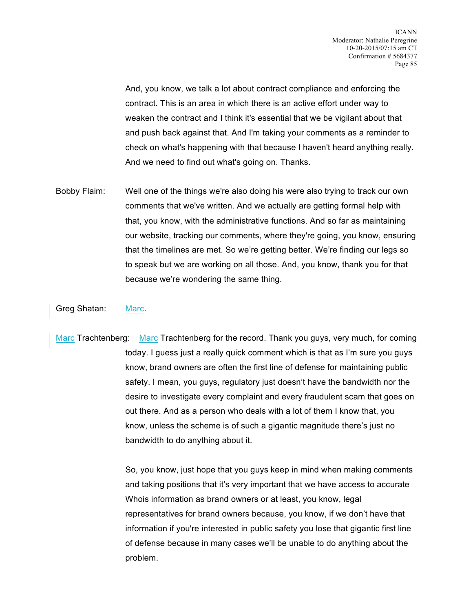And, you know, we talk a lot about contract compliance and enforcing the contract. This is an area in which there is an active effort under way to weaken the contract and I think it's essential that we be vigilant about that and push back against that. And I'm taking your comments as a reminder to check on what's happening with that because I haven't heard anything really. And we need to find out what's going on. Thanks.

Bobby Flaim: Well one of the things we're also doing his were also trying to track our own comments that we've written. And we actually are getting formal help with that, you know, with the administrative functions. And so far as maintaining our website, tracking our comments, where they're going, you know, ensuring that the timelines are met. So we're getting better. We're finding our legs so to speak but we are working on all those. And, you know, thank you for that because we're wondering the same thing.

## Greg Shatan: Marc.

Marc Trachtenberg: Marc Trachtenberg for the record. Thank you guys, very much, for coming today. I guess just a really quick comment which is that as I'm sure you guys know, brand owners are often the first line of defense for maintaining public safety. I mean, you guys, regulatory just doesn't have the bandwidth nor the desire to investigate every complaint and every fraudulent scam that goes on out there. And as a person who deals with a lot of them I know that, you know, unless the scheme is of such a gigantic magnitude there's just no bandwidth to do anything about it.

> So, you know, just hope that you guys keep in mind when making comments and taking positions that it's very important that we have access to accurate Whois information as brand owners or at least, you know, legal representatives for brand owners because, you know, if we don't have that information if you're interested in public safety you lose that gigantic first line of defense because in many cases we'll be unable to do anything about the problem.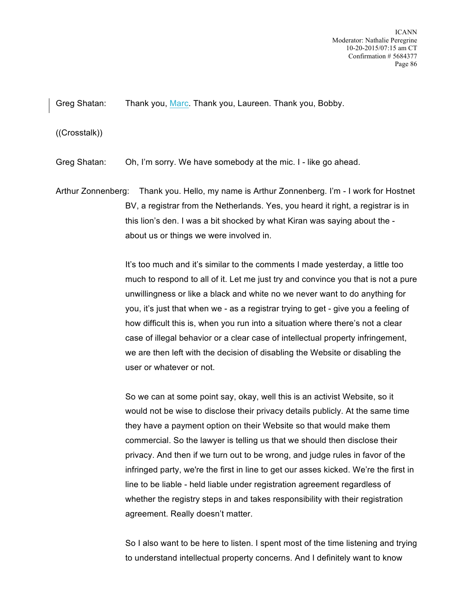Greg Shatan: Thank you, Marc. Thank you, Laureen. Thank you, Bobby.

((Crosstalk))

Greg Shatan: Oh, I'm sorry. We have somebody at the mic. I - like go ahead.

Arthur Zonnenberg: Thank you. Hello, my name is Arthur Zonnenberg. I'm - I work for Hostnet BV, a registrar from the Netherlands. Yes, you heard it right, a registrar is in this lion's den. I was a bit shocked by what Kiran was saying about the about us or things we were involved in.

> It's too much and it's similar to the comments I made yesterday, a little too much to respond to all of it. Let me just try and convince you that is not a pure unwillingness or like a black and white no we never want to do anything for you, it's just that when we - as a registrar trying to get - give you a feeling of how difficult this is, when you run into a situation where there's not a clear case of illegal behavior or a clear case of intellectual property infringement, we are then left with the decision of disabling the Website or disabling the user or whatever or not.

> So we can at some point say, okay, well this is an activist Website, so it would not be wise to disclose their privacy details publicly. At the same time they have a payment option on their Website so that would make them commercial. So the lawyer is telling us that we should then disclose their privacy. And then if we turn out to be wrong, and judge rules in favor of the infringed party, we're the first in line to get our asses kicked. We're the first in line to be liable - held liable under registration agreement regardless of whether the registry steps in and takes responsibility with their registration agreement. Really doesn't matter.

> So I also want to be here to listen. I spent most of the time listening and trying to understand intellectual property concerns. And I definitely want to know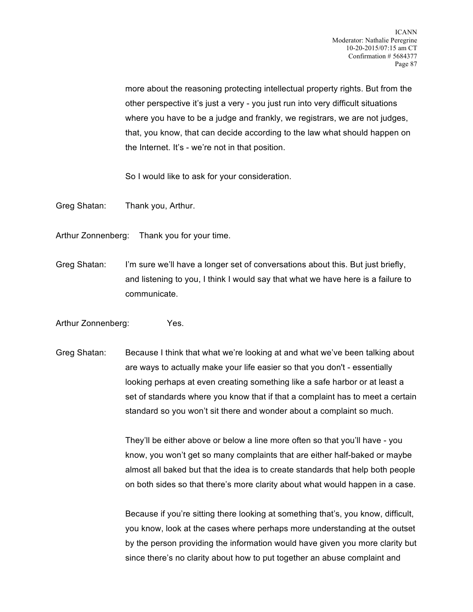more about the reasoning protecting intellectual property rights. But from the other perspective it's just a very - you just run into very difficult situations where you have to be a judge and frankly, we registrars, we are not judges, that, you know, that can decide according to the law what should happen on the Internet. It's - we're not in that position.

So I would like to ask for your consideration.

Greg Shatan: Thank you, Arthur.

Arthur Zonnenberg: Thank you for your time.

Greg Shatan: I'm sure we'll have a longer set of conversations about this. But just briefly, and listening to you, I think I would say that what we have here is a failure to communicate.

Arthur Zonnenberg: Yes.

Greg Shatan: Because I think that what we're looking at and what we've been talking about are ways to actually make your life easier so that you don't - essentially looking perhaps at even creating something like a safe harbor or at least a set of standards where you know that if that a complaint has to meet a certain standard so you won't sit there and wonder about a complaint so much.

> They'll be either above or below a line more often so that you'll have - you know, you won't get so many complaints that are either half-baked or maybe almost all baked but that the idea is to create standards that help both people on both sides so that there's more clarity about what would happen in a case.

> Because if you're sitting there looking at something that's, you know, difficult, you know, look at the cases where perhaps more understanding at the outset by the person providing the information would have given you more clarity but since there's no clarity about how to put together an abuse complaint and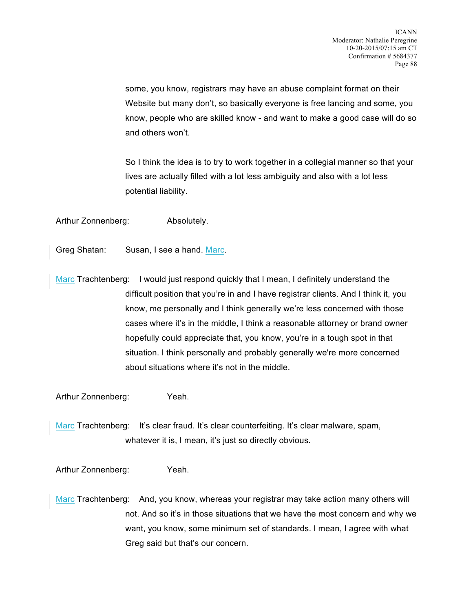some, you know, registrars may have an abuse complaint format on their Website but many don't, so basically everyone is free lancing and some, you know, people who are skilled know - and want to make a good case will do so and others won't.

So I think the idea is to try to work together in a collegial manner so that your lives are actually filled with a lot less ambiguity and also with a lot less potential liability.

Arthur Zonnenberg: Absolutely.

Greg Shatan: Susan, I see a hand. Marc.

Marc Trachtenberg: I would just respond quickly that I mean, I definitely understand the difficult position that you're in and I have registrar clients. And I think it, you know, me personally and I think generally we're less concerned with those cases where it's in the middle, I think a reasonable attorney or brand owner hopefully could appreciate that, you know, you're in a tough spot in that situation. I think personally and probably generally we're more concerned about situations where it's not in the middle.

Arthur Zonnenberg: Yeah.

Marc Trachtenberg: It's clear fraud. It's clear counterfeiting. It's clear malware, spam, whatever it is, I mean, it's just so directly obvious.

Arthur Zonnenberg: Yeah.

Marc Trachtenberg: And, you know, whereas your registrar may take action many others will not. And so it's in those situations that we have the most concern and why we want, you know, some minimum set of standards. I mean, I agree with what Greg said but that's our concern.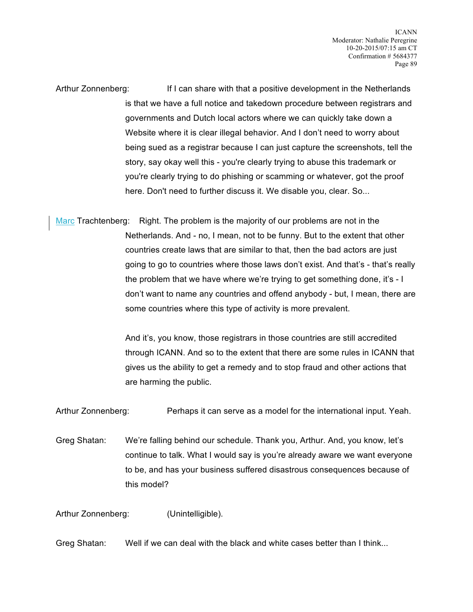Arthur Zonnenberg: If I can share with that a positive development in the Netherlands is that we have a full notice and takedown procedure between registrars and governments and Dutch local actors where we can quickly take down a Website where it is clear illegal behavior. And I don't need to worry about being sued as a registrar because I can just capture the screenshots, tell the story, say okay well this - you're clearly trying to abuse this trademark or you're clearly trying to do phishing or scamming or whatever, got the proof here. Don't need to further discuss it. We disable you, clear. So...

Marc Trachtenberg: Right. The problem is the majority of our problems are not in the Netherlands. And - no, I mean, not to be funny. But to the extent that other countries create laws that are similar to that, then the bad actors are just going to go to countries where those laws don't exist. And that's - that's really the problem that we have where we're trying to get something done, it's - I don't want to name any countries and offend anybody - but, I mean, there are some countries where this type of activity is more prevalent.

> And it's, you know, those registrars in those countries are still accredited through ICANN. And so to the extent that there are some rules in ICANN that gives us the ability to get a remedy and to stop fraud and other actions that are harming the public.

Arthur Zonnenberg: Perhaps it can serve as a model for the international input. Yeah.

Greg Shatan: We're falling behind our schedule. Thank you, Arthur. And, you know, let's continue to talk. What I would say is you're already aware we want everyone to be, and has your business suffered disastrous consequences because of this model?

Arthur Zonnenberg: (Unintelligible).

Greg Shatan: Well if we can deal with the black and white cases better than I think...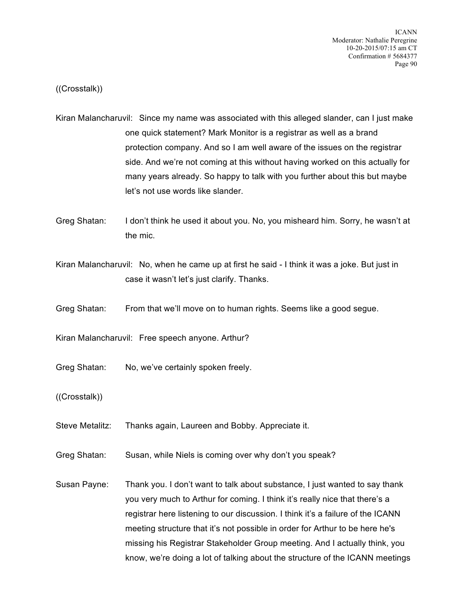((Crosstalk))

- Kiran Malancharuvil: Since my name was associated with this alleged slander, can I just make one quick statement? Mark Monitor is a registrar as well as a brand protection company. And so I am well aware of the issues on the registrar side. And we're not coming at this without having worked on this actually for many years already. So happy to talk with you further about this but maybe let's not use words like slander.
- Greg Shatan: I don't think he used it about you. No, you misheard him. Sorry, he wasn't at the mic.
- Kiran Malancharuvil: No, when he came up at first he said I think it was a joke. But just in case it wasn't let's just clarify. Thanks.
- Greg Shatan: From that we'll move on to human rights. Seems like a good segue.
- Kiran Malancharuvil: Free speech anyone. Arthur?
- Greg Shatan: No, we've certainly spoken freely.
- ((Crosstalk))
- Steve Metalitz: Thanks again, Laureen and Bobby. Appreciate it.
- Greg Shatan: Susan, while Niels is coming over why don't you speak?
- Susan Payne: Thank you. I don't want to talk about substance, I just wanted to say thank you very much to Arthur for coming. I think it's really nice that there's a registrar here listening to our discussion. I think it's a failure of the ICANN meeting structure that it's not possible in order for Arthur to be here he's missing his Registrar Stakeholder Group meeting. And I actually think, you know, we're doing a lot of talking about the structure of the ICANN meetings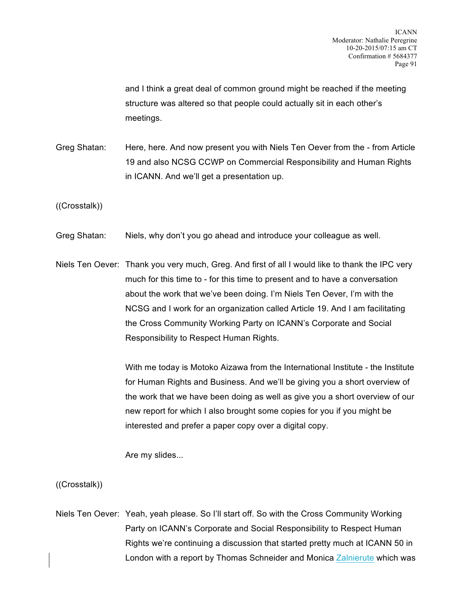and I think a great deal of common ground might be reached if the meeting structure was altered so that people could actually sit in each other's meetings.

Greg Shatan: Here, here. And now present you with Niels Ten Oever from the - from Article 19 and also NCSG CCWP on Commercial Responsibility and Human Rights in ICANN. And we'll get a presentation up.

((Crosstalk))

- Greg Shatan: Niels, why don't you go ahead and introduce your colleague as well.
- Niels Ten Oever: Thank you very much, Greg. And first of all I would like to thank the IPC very much for this time to - for this time to present and to have a conversation about the work that we've been doing. I'm Niels Ten Oever, I'm with the NCSG and I work for an organization called Article 19. And I am facilitating the Cross Community Working Party on ICANN's Corporate and Social Responsibility to Respect Human Rights.

With me today is Motoko Aizawa from the International Institute - the Institute for Human Rights and Business. And we'll be giving you a short overview of the work that we have been doing as well as give you a short overview of our new report for which I also brought some copies for you if you might be interested and prefer a paper copy over a digital copy.

Are my slides...

((Crosstalk))

Niels Ten Oever: Yeah, yeah please. So I'll start off. So with the Cross Community Working Party on ICANN's Corporate and Social Responsibility to Respect Human Rights we're continuing a discussion that started pretty much at ICANN 50 in London with a report by Thomas Schneider and Monica Zalnierute which was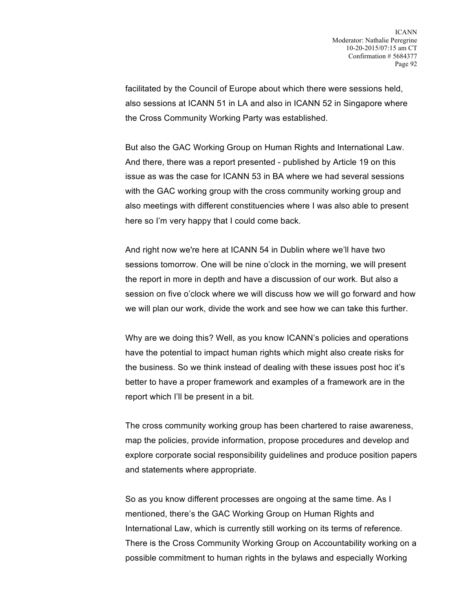facilitated by the Council of Europe about which there were sessions held, also sessions at ICANN 51 in LA and also in ICANN 52 in Singapore where the Cross Community Working Party was established.

But also the GAC Working Group on Human Rights and International Law. And there, there was a report presented - published by Article 19 on this issue as was the case for ICANN 53 in BA where we had several sessions with the GAC working group with the cross community working group and also meetings with different constituencies where I was also able to present here so I'm very happy that I could come back.

And right now we're here at ICANN 54 in Dublin where we'll have two sessions tomorrow. One will be nine o'clock in the morning, we will present the report in more in depth and have a discussion of our work. But also a session on five o'clock where we will discuss how we will go forward and how we will plan our work, divide the work and see how we can take this further.

Why are we doing this? Well, as you know ICANN's policies and operations have the potential to impact human rights which might also create risks for the business. So we think instead of dealing with these issues post hoc it's better to have a proper framework and examples of a framework are in the report which I'll be present in a bit.

The cross community working group has been chartered to raise awareness, map the policies, provide information, propose procedures and develop and explore corporate social responsibility guidelines and produce position papers and statements where appropriate.

So as you know different processes are ongoing at the same time. As I mentioned, there's the GAC Working Group on Human Rights and International Law, which is currently still working on its terms of reference. There is the Cross Community Working Group on Accountability working on a possible commitment to human rights in the bylaws and especially Working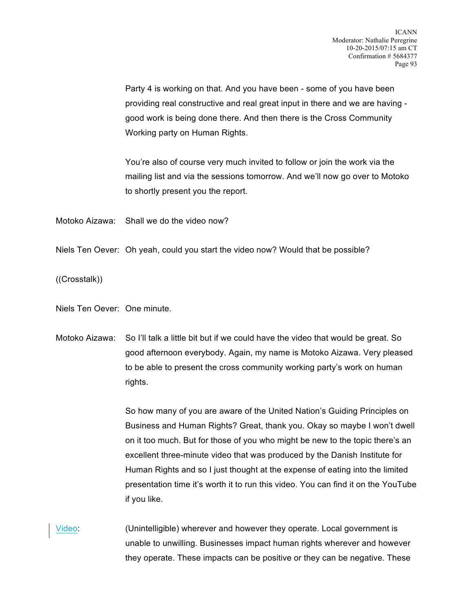Party 4 is working on that. And you have been - some of you have been providing real constructive and real great input in there and we are having good work is being done there. And then there is the Cross Community Working party on Human Rights.

You're also of course very much invited to follow or join the work via the mailing list and via the sessions tomorrow. And we'll now go over to Motoko to shortly present you the report.

Motoko Aizawa: Shall we do the video now?

Niels Ten Oever: Oh yeah, could you start the video now? Would that be possible?

((Crosstalk))

Niels Ten Oever: One minute.

Motoko Aizawa: So I'll talk a little bit but if we could have the video that would be great. So good afternoon everybody. Again, my name is Motoko Aizawa. Very pleased to be able to present the cross community working party's work on human rights.

> So how many of you are aware of the United Nation's Guiding Principles on Business and Human Rights? Great, thank you. Okay so maybe I won't dwell on it too much. But for those of you who might be new to the topic there's an excellent three-minute video that was produced by the Danish Institute for Human Rights and so I just thought at the expense of eating into the limited presentation time it's worth it to run this video. You can find it on the YouTube if you like.

Video: (Unintelligible) wherever and however they operate. Local government is unable to unwilling. Businesses impact human rights wherever and however they operate. These impacts can be positive or they can be negative. These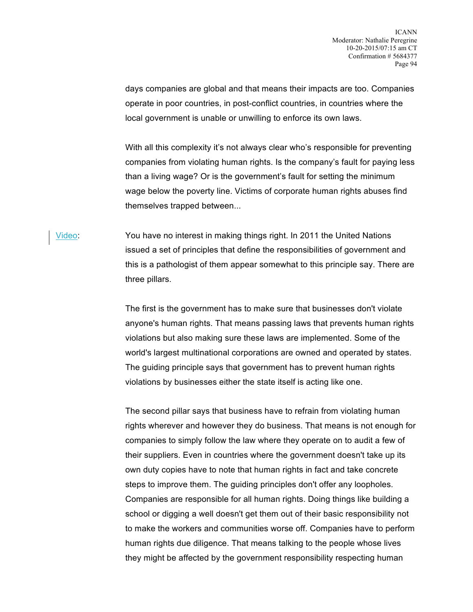days companies are global and that means their impacts are too. Companies operate in poor countries, in post-conflict countries, in countries where the local government is unable or unwilling to enforce its own laws.

With all this complexity it's not always clear who's responsible for preventing companies from violating human rights. Is the company's fault for paying less than a living wage? Or is the government's fault for setting the minimum wage below the poverty line. Victims of corporate human rights abuses find themselves trapped between...

Video: You have no interest in making things right. In 2011 the United Nations issued a set of principles that define the responsibilities of government and this is a pathologist of them appear somewhat to this principle say. There are three pillars.

> The first is the government has to make sure that businesses don't violate anyone's human rights. That means passing laws that prevents human rights violations but also making sure these laws are implemented. Some of the world's largest multinational corporations are owned and operated by states. The guiding principle says that government has to prevent human rights violations by businesses either the state itself is acting like one.

> The second pillar says that business have to refrain from violating human rights wherever and however they do business. That means is not enough for companies to simply follow the law where they operate on to audit a few of their suppliers. Even in countries where the government doesn't take up its own duty copies have to note that human rights in fact and take concrete steps to improve them. The guiding principles don't offer any loopholes. Companies are responsible for all human rights. Doing things like building a school or digging a well doesn't get them out of their basic responsibility not to make the workers and communities worse off. Companies have to perform human rights due diligence. That means talking to the people whose lives they might be affected by the government responsibility respecting human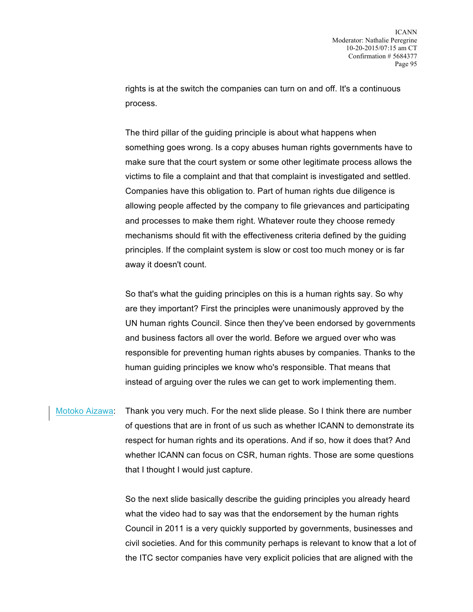rights is at the switch the companies can turn on and off. It's a continuous process.

The third pillar of the guiding principle is about what happens when something goes wrong. Is a copy abuses human rights governments have to make sure that the court system or some other legitimate process allows the victims to file a complaint and that that complaint is investigated and settled. Companies have this obligation to. Part of human rights due diligence is allowing people affected by the company to file grievances and participating and processes to make them right. Whatever route they choose remedy mechanisms should fit with the effectiveness criteria defined by the guiding principles. If the complaint system is slow or cost too much money or is far away it doesn't count.

So that's what the guiding principles on this is a human rights say. So why are they important? First the principles were unanimously approved by the UN human rights Council. Since then they've been endorsed by governments and business factors all over the world. Before we argued over who was responsible for preventing human rights abuses by companies. Thanks to the human guiding principles we know who's responsible. That means that instead of arguing over the rules we can get to work implementing them.

Motoko Aizawa: Thank you very much. For the next slide please. So I think there are number of questions that are in front of us such as whether ICANN to demonstrate its respect for human rights and its operations. And if so, how it does that? And whether ICANN can focus on CSR, human rights. Those are some questions that I thought I would just capture.

> So the next slide basically describe the guiding principles you already heard what the video had to say was that the endorsement by the human rights Council in 2011 is a very quickly supported by governments, businesses and civil societies. And for this community perhaps is relevant to know that a lot of the ITC sector companies have very explicit policies that are aligned with the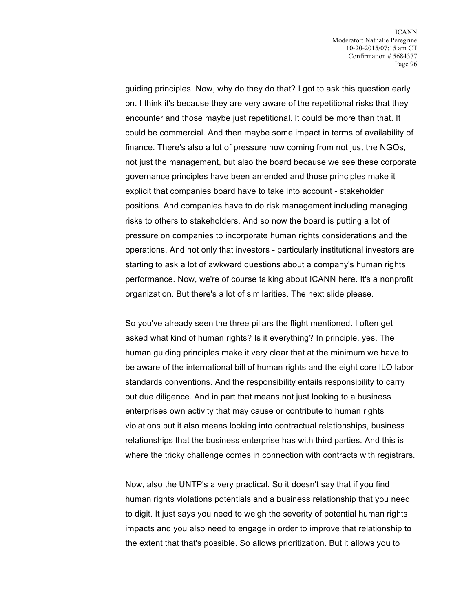guiding principles. Now, why do they do that? I got to ask this question early on. I think it's because they are very aware of the repetitional risks that they encounter and those maybe just repetitional. It could be more than that. It could be commercial. And then maybe some impact in terms of availability of finance. There's also a lot of pressure now coming from not just the NGOs, not just the management, but also the board because we see these corporate governance principles have been amended and those principles make it explicit that companies board have to take into account - stakeholder positions. And companies have to do risk management including managing risks to others to stakeholders. And so now the board is putting a lot of pressure on companies to incorporate human rights considerations and the operations. And not only that investors - particularly institutional investors are starting to ask a lot of awkward questions about a company's human rights performance. Now, we're of course talking about ICANN here. It's a nonprofit organization. But there's a lot of similarities. The next slide please.

So you've already seen the three pillars the flight mentioned. I often get asked what kind of human rights? Is it everything? In principle, yes. The human guiding principles make it very clear that at the minimum we have to be aware of the international bill of human rights and the eight core ILO labor standards conventions. And the responsibility entails responsibility to carry out due diligence. And in part that means not just looking to a business enterprises own activity that may cause or contribute to human rights violations but it also means looking into contractual relationships, business relationships that the business enterprise has with third parties. And this is where the tricky challenge comes in connection with contracts with registrars.

Now, also the UNTP's a very practical. So it doesn't say that if you find human rights violations potentials and a business relationship that you need to digit. It just says you need to weigh the severity of potential human rights impacts and you also need to engage in order to improve that relationship to the extent that that's possible. So allows prioritization. But it allows you to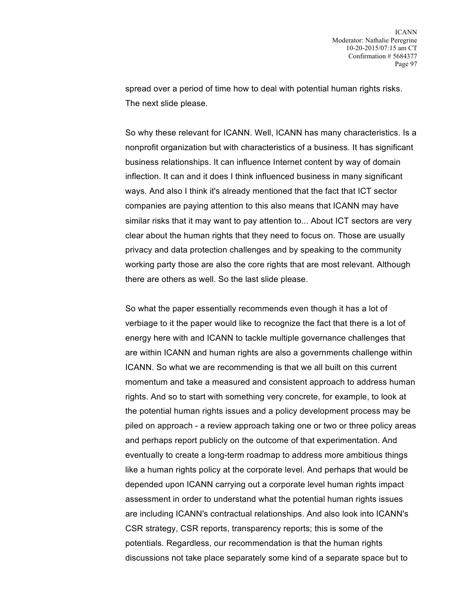spread over a period of time how to deal with potential human rights risks. The next slide please.

So why these relevant for ICANN. Well, ICANN has many characteristics. Is a nonprofit organization but with characteristics of a business. It has significant business relationships. It can influence Internet content by way of domain inflection. It can and it does I think influenced business in many significant ways. And also I think it's already mentioned that the fact that ICT sector companies are paying attention to this also means that ICANN may have similar risks that it may want to pay attention to... About ICT sectors are very clear about the human rights that they need to focus on. Those are usually privacy and data protection challenges and by speaking to the community working party those are also the core rights that are most relevant. Although there are others as well. So the last slide please.

So what the paper essentially recommends even though it has a lot of verbiage to it the paper would like to recognize the fact that there is a lot of energy here with and ICANN to tackle multiple governance challenges that are within ICANN and human rights are also a governments challenge within ICANN. So what we are recommending is that we all built on this current momentum and take a measured and consistent approach to address human rights. And so to start with something very concrete, for example, to look at the potential human rights issues and a policy development process may be piled on approach - a review approach taking one or two or three policy areas and perhaps report publicly on the outcome of that experimentation. And eventually to create a long-term roadmap to address more ambitious things like a human rights policy at the corporate level. And perhaps that would be depended upon ICANN carrying out a corporate level human rights impact assessment in order to understand what the potential human rights issues are including ICANN's contractual relationships. And also look into ICANN's CSR strategy, CSR reports, transparency reports; this is some of the potentials. Regardless, our recommendation is that the human rights discussions not take place separately some kind of a separate space but to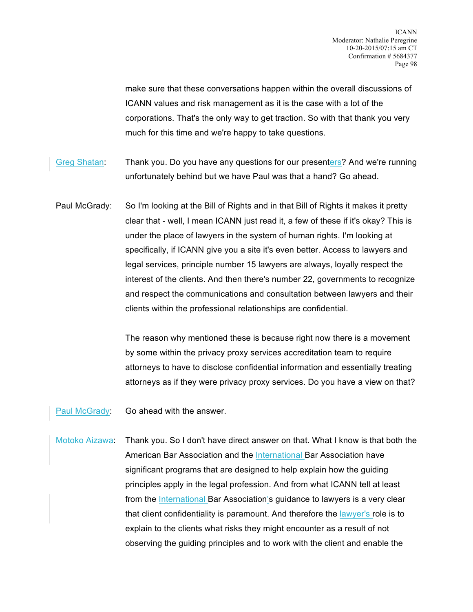make sure that these conversations happen within the overall discussions of ICANN values and risk management as it is the case with a lot of the corporations. That's the only way to get traction. So with that thank you very much for this time and we're happy to take questions.

- Greg Shatan: Thank you. Do you have any questions for our presenters? And we're running unfortunately behind but we have Paul was that a hand? Go ahead.
- Paul McGrady: So I'm looking at the Bill of Rights and in that Bill of Rights it makes it pretty clear that - well, I mean ICANN just read it, a few of these if it's okay? This is under the place of lawyers in the system of human rights. I'm looking at specifically, if ICANN give you a site it's even better. Access to lawyers and legal services, principle number 15 lawyers are always, loyally respect the interest of the clients. And then there's number 22, governments to recognize and respect the communications and consultation between lawyers and their clients within the professional relationships are confidential.

The reason why mentioned these is because right now there is a movement by some within the privacy proxy services accreditation team to require attorneys to have to disclose confidential information and essentially treating attorneys as if they were privacy proxy services. Do you have a view on that?

Paul McGrady: Go ahead with the answer.

Motoko Aizawa: Thank you. So I don't have direct answer on that. What I know is that both the American Bar Association and the International Bar Association have significant programs that are designed to help explain how the guiding principles apply in the legal profession. And from what ICANN tell at least from the International Bar Association's guidance to lawyers is a very clear that client confidentiality is paramount. And therefore the lawyer's role is to explain to the clients what risks they might encounter as a result of not observing the guiding principles and to work with the client and enable the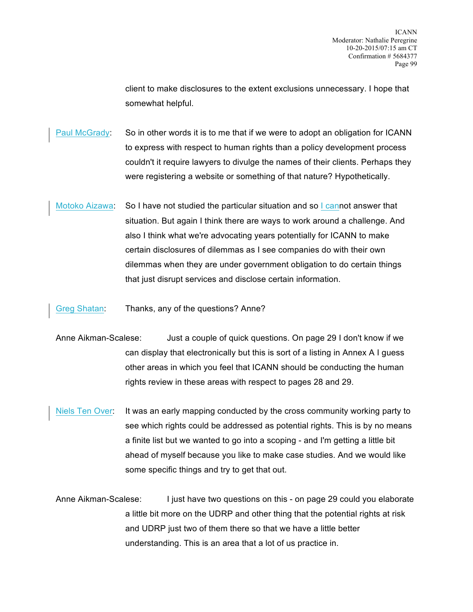client to make disclosures to the extent exclusions unnecessary. I hope that somewhat helpful.

Paul McGrady: So in other words it is to me that if we were to adopt an obligation for ICANN to express with respect to human rights than a policy development process couldn't it require lawyers to divulge the names of their clients. Perhaps they were registering a website or something of that nature? Hypothetically.

Motoko Aizawa: So I have not studied the particular situation and so I cannot answer that situation. But again I think there are ways to work around a challenge. And also I think what we're advocating years potentially for ICANN to make certain disclosures of dilemmas as I see companies do with their own dilemmas when they are under government obligation to do certain things that just disrupt services and disclose certain information.

Greg Shatan: Thanks, any of the questions? Anne?

- Anne Aikman-Scalese: Just a couple of quick questions. On page 29 I don't know if we can display that electronically but this is sort of a listing in Annex A I guess other areas in which you feel that ICANN should be conducting the human rights review in these areas with respect to pages 28 and 29.
- Niels Ten Over: It was an early mapping conducted by the cross community working party to see which rights could be addressed as potential rights. This is by no means a finite list but we wanted to go into a scoping - and I'm getting a little bit ahead of myself because you like to make case studies. And we would like some specific things and try to get that out.

Anne Aikman-Scalese: I just have two questions on this - on page 29 could you elaborate a little bit more on the UDRP and other thing that the potential rights at risk and UDRP just two of them there so that we have a little better understanding. This is an area that a lot of us practice in.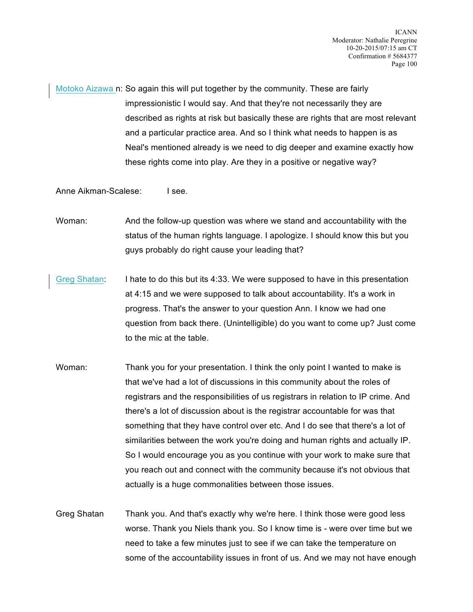Motoko Aizawa n: So again this will put together by the community. These are fairly impressionistic I would say. And that they're not necessarily they are described as rights at risk but basically these are rights that are most relevant and a particular practice area. And so I think what needs to happen is as Neal's mentioned already is we need to dig deeper and examine exactly how these rights come into play. Are they in a positive or negative way?

Anne Aikman-Scalese: I see.

Woman: And the follow-up question was where we stand and accountability with the status of the human rights language. I apologize. I should know this but you guys probably do right cause your leading that?

- Greg Shatan: I hate to do this but its 4:33. We were supposed to have in this presentation at 4:15 and we were supposed to talk about accountability. It's a work in progress. That's the answer to your question Ann. I know we had one question from back there. (Unintelligible) do you want to come up? Just come to the mic at the table.
- Woman: Thank you for your presentation. I think the only point I wanted to make is that we've had a lot of discussions in this community about the roles of registrars and the responsibilities of us registrars in relation to IP crime. And there's a lot of discussion about is the registrar accountable for was that something that they have control over etc. And I do see that there's a lot of similarities between the work you're doing and human rights and actually IP. So I would encourage you as you continue with your work to make sure that you reach out and connect with the community because it's not obvious that actually is a huge commonalities between those issues.
- Greg Shatan Thank you. And that's exactly why we're here. I think those were good less worse. Thank you Niels thank you. So I know time is - were over time but we need to take a few minutes just to see if we can take the temperature on some of the accountability issues in front of us. And we may not have enough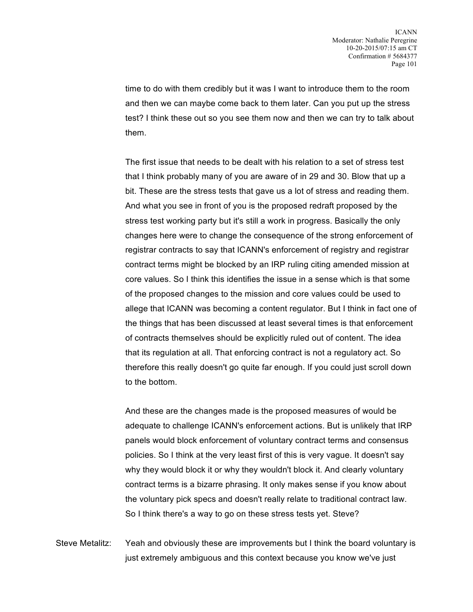time to do with them credibly but it was I want to introduce them to the room and then we can maybe come back to them later. Can you put up the stress test? I think these out so you see them now and then we can try to talk about them.

The first issue that needs to be dealt with his relation to a set of stress test that I think probably many of you are aware of in 29 and 30. Blow that up a bit. These are the stress tests that gave us a lot of stress and reading them. And what you see in front of you is the proposed redraft proposed by the stress test working party but it's still a work in progress. Basically the only changes here were to change the consequence of the strong enforcement of registrar contracts to say that ICANN's enforcement of registry and registrar contract terms might be blocked by an IRP ruling citing amended mission at core values. So I think this identifies the issue in a sense which is that some of the proposed changes to the mission and core values could be used to allege that ICANN was becoming a content regulator. But I think in fact one of the things that has been discussed at least several times is that enforcement of contracts themselves should be explicitly ruled out of content. The idea that its regulation at all. That enforcing contract is not a regulatory act. So therefore this really doesn't go quite far enough. If you could just scroll down to the bottom.

And these are the changes made is the proposed measures of would be adequate to challenge ICANN's enforcement actions. But is unlikely that IRP panels would block enforcement of voluntary contract terms and consensus policies. So I think at the very least first of this is very vague. It doesn't say why they would block it or why they wouldn't block it. And clearly voluntary contract terms is a bizarre phrasing. It only makes sense if you know about the voluntary pick specs and doesn't really relate to traditional contract law. So I think there's a way to go on these stress tests yet. Steve?

Steve Metalitz: Yeah and obviously these are improvements but I think the board voluntary is just extremely ambiguous and this context because you know we've just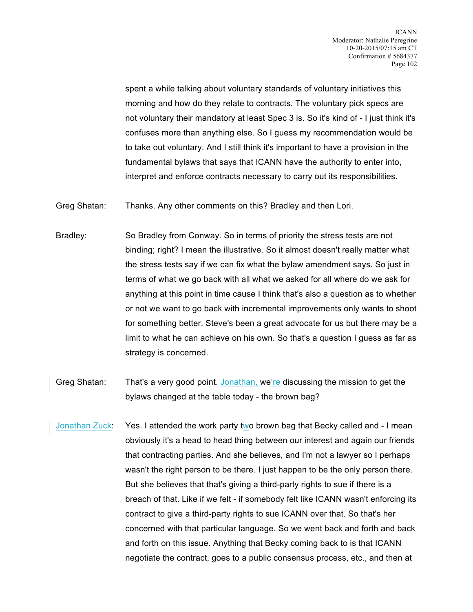spent a while talking about voluntary standards of voluntary initiatives this morning and how do they relate to contracts. The voluntary pick specs are not voluntary their mandatory at least Spec 3 is. So it's kind of - I just think it's confuses more than anything else. So I guess my recommendation would be to take out voluntary. And I still think it's important to have a provision in the fundamental bylaws that says that ICANN have the authority to enter into, interpret and enforce contracts necessary to carry out its responsibilities.

Greg Shatan: Thanks. Any other comments on this? Bradley and then Lori.

- Bradley: So Bradley from Conway. So in terms of priority the stress tests are not binding; right? I mean the illustrative. So it almost doesn't really matter what the stress tests say if we can fix what the bylaw amendment says. So just in terms of what we go back with all what we asked for all where do we ask for anything at this point in time cause I think that's also a question as to whether or not we want to go back with incremental improvements only wants to shoot for something better. Steve's been a great advocate for us but there may be a limit to what he can achieve on his own. So that's a question I guess as far as strategy is concerned.
- Greg Shatan: That's a very good point. Jonathan, we're discussing the mission to get the bylaws changed at the table today - the brown bag?
- Jonathan Zuck: Yes. I attended the work party two brown bag that Becky called and I mean obviously it's a head to head thing between our interest and again our friends that contracting parties. And she believes, and I'm not a lawyer so I perhaps wasn't the right person to be there. I just happen to be the only person there. But she believes that that's giving a third-party rights to sue if there is a breach of that. Like if we felt - if somebody felt like ICANN wasn't enforcing its contract to give a third-party rights to sue ICANN over that. So that's her concerned with that particular language. So we went back and forth and back and forth on this issue. Anything that Becky coming back to is that ICANN negotiate the contract, goes to a public consensus process, etc., and then at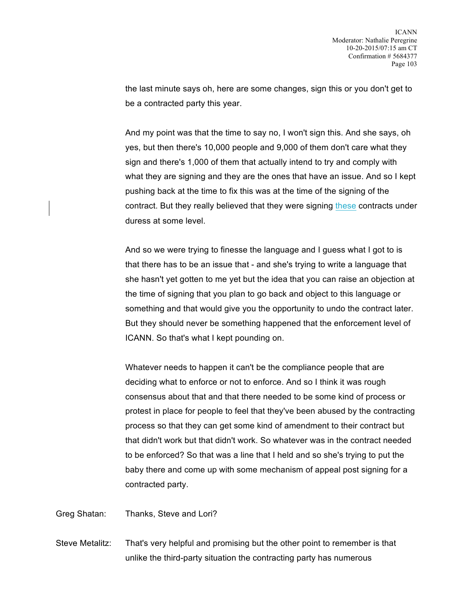the last minute says oh, here are some changes, sign this or you don't get to be a contracted party this year.

And my point was that the time to say no, I won't sign this. And she says, oh yes, but then there's 10,000 people and 9,000 of them don't care what they sign and there's 1,000 of them that actually intend to try and comply with what they are signing and they are the ones that have an issue. And so I kept pushing back at the time to fix this was at the time of the signing of the contract. But they really believed that they were signing these contracts under duress at some level.

And so we were trying to finesse the language and I guess what I got to is that there has to be an issue that - and she's trying to write a language that she hasn't yet gotten to me yet but the idea that you can raise an objection at the time of signing that you plan to go back and object to this language or something and that would give you the opportunity to undo the contract later. But they should never be something happened that the enforcement level of ICANN. So that's what I kept pounding on.

Whatever needs to happen it can't be the compliance people that are deciding what to enforce or not to enforce. And so I think it was rough consensus about that and that there needed to be some kind of process or protest in place for people to feel that they've been abused by the contracting process so that they can get some kind of amendment to their contract but that didn't work but that didn't work. So whatever was in the contract needed to be enforced? So that was a line that I held and so she's trying to put the baby there and come up with some mechanism of appeal post signing for a contracted party.

Greg Shatan: Thanks, Steve and Lori?

Steve Metalitz: That's very helpful and promising but the other point to remember is that unlike the third-party situation the contracting party has numerous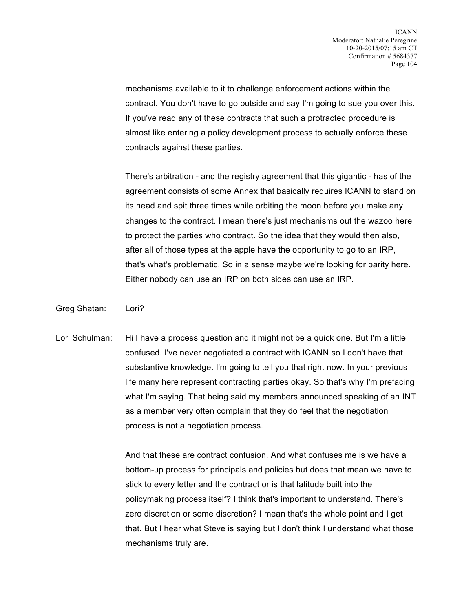mechanisms available to it to challenge enforcement actions within the contract. You don't have to go outside and say I'm going to sue you over this. If you've read any of these contracts that such a protracted procedure is almost like entering a policy development process to actually enforce these contracts against these parties.

There's arbitration - and the registry agreement that this gigantic - has of the agreement consists of some Annex that basically requires ICANN to stand on its head and spit three times while orbiting the moon before you make any changes to the contract. I mean there's just mechanisms out the wazoo here to protect the parties who contract. So the idea that they would then also, after all of those types at the apple have the opportunity to go to an IRP, that's what's problematic. So in a sense maybe we're looking for parity here. Either nobody can use an IRP on both sides can use an IRP.

Greg Shatan: Lori?

Lori Schulman: Hi I have a process question and it might not be a quick one. But I'm a little confused. I've never negotiated a contract with ICANN so I don't have that substantive knowledge. I'm going to tell you that right now. In your previous life many here represent contracting parties okay. So that's why I'm prefacing what I'm saying. That being said my members announced speaking of an INT as a member very often complain that they do feel that the negotiation process is not a negotiation process.

> And that these are contract confusion. And what confuses me is we have a bottom-up process for principals and policies but does that mean we have to stick to every letter and the contract or is that latitude built into the policymaking process itself? I think that's important to understand. There's zero discretion or some discretion? I mean that's the whole point and I get that. But I hear what Steve is saying but I don't think I understand what those mechanisms truly are.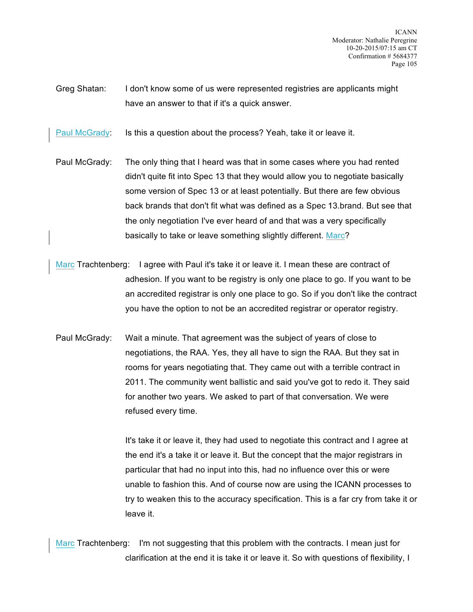ICANN Moderator: Nathalie Peregrine 10-20-2015/07:15 am CT Confirmation # 5684377 Page 105

Greg Shatan: I don't know some of us were represented registries are applicants might have an answer to that if it's a quick answer.

Paul McGrady: Is this a question about the process? Yeah, take it or leave it.

- Paul McGrady: The only thing that I heard was that in some cases where you had rented didn't quite fit into Spec 13 that they would allow you to negotiate basically some version of Spec 13 or at least potentially. But there are few obvious back brands that don't fit what was defined as a Spec 13.brand. But see that the only negotiation I've ever heard of and that was a very specifically basically to take or leave something slightly different. Marc?
- Marc Trachtenberg: I agree with Paul it's take it or leave it. I mean these are contract of adhesion. If you want to be registry is only one place to go. If you want to be an accredited registrar is only one place to go. So if you don't like the contract you have the option to not be an accredited registrar or operator registry.
- Paul McGrady: Wait a minute. That agreement was the subject of years of close to negotiations, the RAA. Yes, they all have to sign the RAA. But they sat in rooms for years negotiating that. They came out with a terrible contract in 2011. The community went ballistic and said you've got to redo it. They said for another two years. We asked to part of that conversation. We were refused every time.

It's take it or leave it, they had used to negotiate this contract and I agree at the end it's a take it or leave it. But the concept that the major registrars in particular that had no input into this, had no influence over this or were unable to fashion this. And of course now are using the ICANN processes to try to weaken this to the accuracy specification. This is a far cry from take it or leave it.

Marc Trachtenberg: I'm not suggesting that this problem with the contracts. I mean just for clarification at the end it is take it or leave it. So with questions of flexibility, I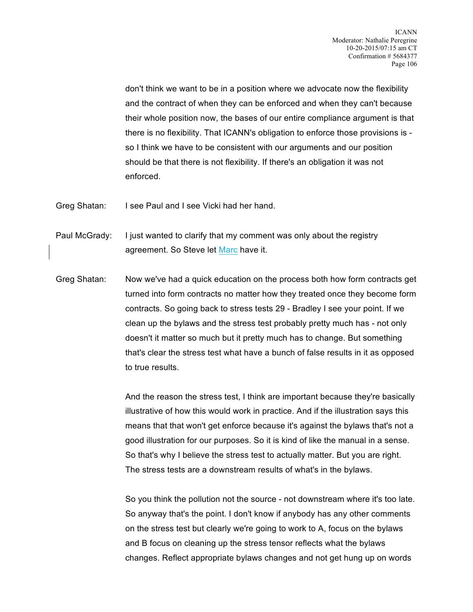don't think we want to be in a position where we advocate now the flexibility and the contract of when they can be enforced and when they can't because their whole position now, the bases of our entire compliance argument is that there is no flexibility. That ICANN's obligation to enforce those provisions is so I think we have to be consistent with our arguments and our position should be that there is not flexibility. If there's an obligation it was not enforced.

Greg Shatan: I see Paul and I see Vicki had her hand.

Paul McGrady: I just wanted to clarify that my comment was only about the registry agreement. So Steve let Marc have it.

Greg Shatan: Now we've had a quick education on the process both how form contracts get turned into form contracts no matter how they treated once they become form contracts. So going back to stress tests 29 - Bradley I see your point. If we clean up the bylaws and the stress test probably pretty much has - not only doesn't it matter so much but it pretty much has to change. But something that's clear the stress test what have a bunch of false results in it as opposed to true results.

> And the reason the stress test, I think are important because they're basically illustrative of how this would work in practice. And if the illustration says this means that that won't get enforce because it's against the bylaws that's not a good illustration for our purposes. So it is kind of like the manual in a sense. So that's why I believe the stress test to actually matter. But you are right. The stress tests are a downstream results of what's in the bylaws.

> So you think the pollution not the source - not downstream where it's too late. So anyway that's the point. I don't know if anybody has any other comments on the stress test but clearly we're going to work to A, focus on the bylaws and B focus on cleaning up the stress tensor reflects what the bylaws changes. Reflect appropriate bylaws changes and not get hung up on words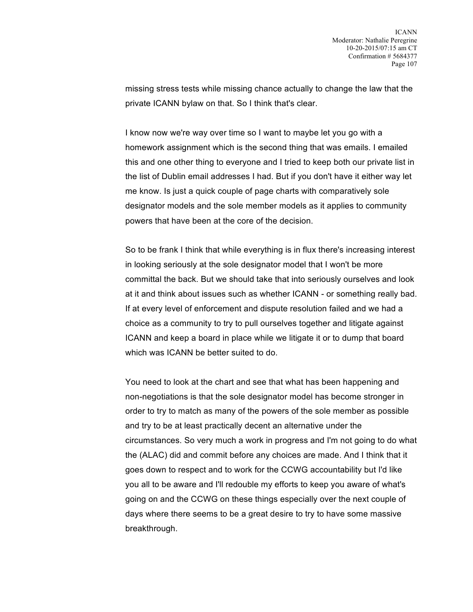missing stress tests while missing chance actually to change the law that the private ICANN bylaw on that. So I think that's clear.

I know now we're way over time so I want to maybe let you go with a homework assignment which is the second thing that was emails. I emailed this and one other thing to everyone and I tried to keep both our private list in the list of Dublin email addresses I had. But if you don't have it either way let me know. Is just a quick couple of page charts with comparatively sole designator models and the sole member models as it applies to community powers that have been at the core of the decision.

So to be frank I think that while everything is in flux there's increasing interest in looking seriously at the sole designator model that I won't be more committal the back. But we should take that into seriously ourselves and look at it and think about issues such as whether ICANN - or something really bad. If at every level of enforcement and dispute resolution failed and we had a choice as a community to try to pull ourselves together and litigate against ICANN and keep a board in place while we litigate it or to dump that board which was ICANN be better suited to do.

You need to look at the chart and see that what has been happening and non-negotiations is that the sole designator model has become stronger in order to try to match as many of the powers of the sole member as possible and try to be at least practically decent an alternative under the circumstances. So very much a work in progress and I'm not going to do what the (ALAC) did and commit before any choices are made. And I think that it goes down to respect and to work for the CCWG accountability but I'd like you all to be aware and I'll redouble my efforts to keep you aware of what's going on and the CCWG on these things especially over the next couple of days where there seems to be a great desire to try to have some massive breakthrough.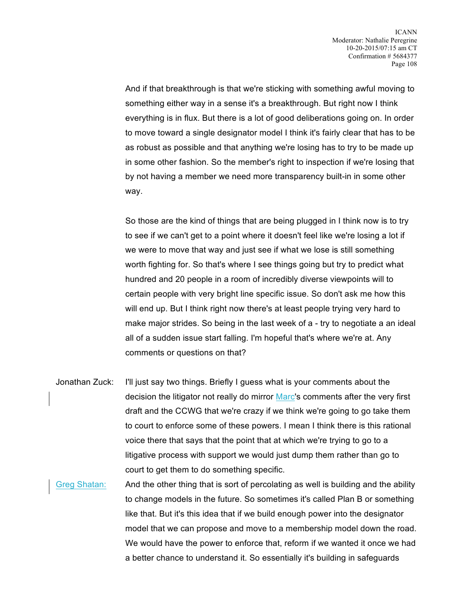And if that breakthrough is that we're sticking with something awful moving to something either way in a sense it's a breakthrough. But right now I think everything is in flux. But there is a lot of good deliberations going on. In order to move toward a single designator model I think it's fairly clear that has to be as robust as possible and that anything we're losing has to try to be made up in some other fashion. So the member's right to inspection if we're losing that by not having a member we need more transparency built-in in some other way.

So those are the kind of things that are being plugged in I think now is to try to see if we can't get to a point where it doesn't feel like we're losing a lot if we were to move that way and just see if what we lose is still something worth fighting for. So that's where I see things going but try to predict what hundred and 20 people in a room of incredibly diverse viewpoints will to certain people with very bright line specific issue. So don't ask me how this will end up. But I think right now there's at least people trying very hard to make major strides. So being in the last week of a - try to negotiate a an ideal all of a sudden issue start falling. I'm hopeful that's where we're at. Any comments or questions on that?

- Jonathan Zuck: I'll just say two things. Briefly I guess what is your comments about the decision the litigator not really do mirror Marc's comments after the very first draft and the CCWG that we're crazy if we think we're going to go take them to court to enforce some of these powers. I mean I think there is this rational voice there that says that the point that at which we're trying to go to a litigative process with support we would just dump them rather than go to court to get them to do something specific.
- Greg Shatan: And the other thing that is sort of percolating as well is building and the ability to change models in the future. So sometimes it's called Plan B or something like that. But it's this idea that if we build enough power into the designator model that we can propose and move to a membership model down the road. We would have the power to enforce that, reform if we wanted it once we had a better chance to understand it. So essentially it's building in safeguards